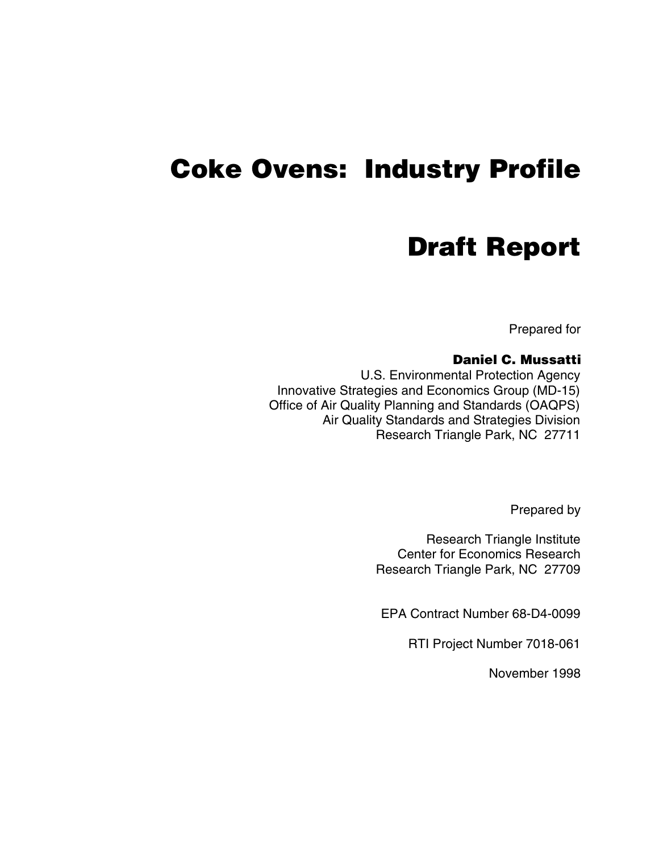# **Coke Ovens: Industry Profile**

# **Draft Report**

Prepared for

#### **Daniel C. Mussatti**

U.S. Environmental Protection Agency Innovative Strategies and Economics Group (MD-15) Office of Air Quality Planning and Standards (OAQPS) Air Quality Standards and Strategies Division Research Triangle Park, NC 27711

Prepared by

Research Triangle Institute Center for Economics Research Research Triangle Park, NC 27709

EPA Contract Number 68-D4-0099

RTI Project Number 7018-061

November 1998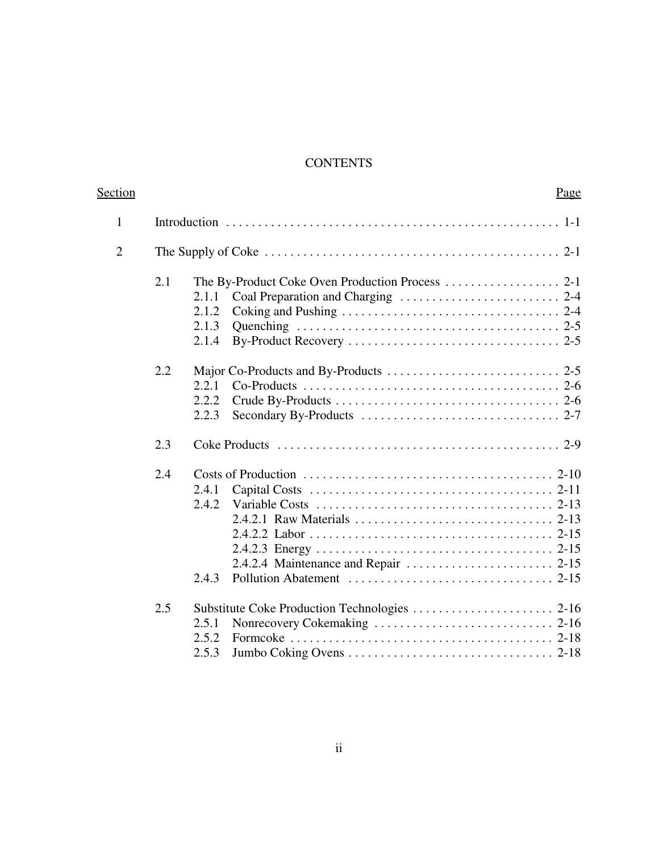## **CONTENTS**

| <b>Section</b> |     |                                  | Page |
|----------------|-----|----------------------------------|------|
| $\mathbf{1}$   |     |                                  |      |
| $\overline{2}$ |     |                                  |      |
|                | 2.1 | 2.1.1<br>2.1.2<br>2.1.3<br>2.1.4 |      |
|                | 2.2 | 2.2.1<br>2.2.2<br>2.2.3          |      |
|                | 2.3 |                                  |      |
|                | 2.4 | 2.4.1<br>2.4.2<br>2.4.3          |      |
|                | 2.5 | 2.5.1<br>2.5.2<br>2.5.3          |      |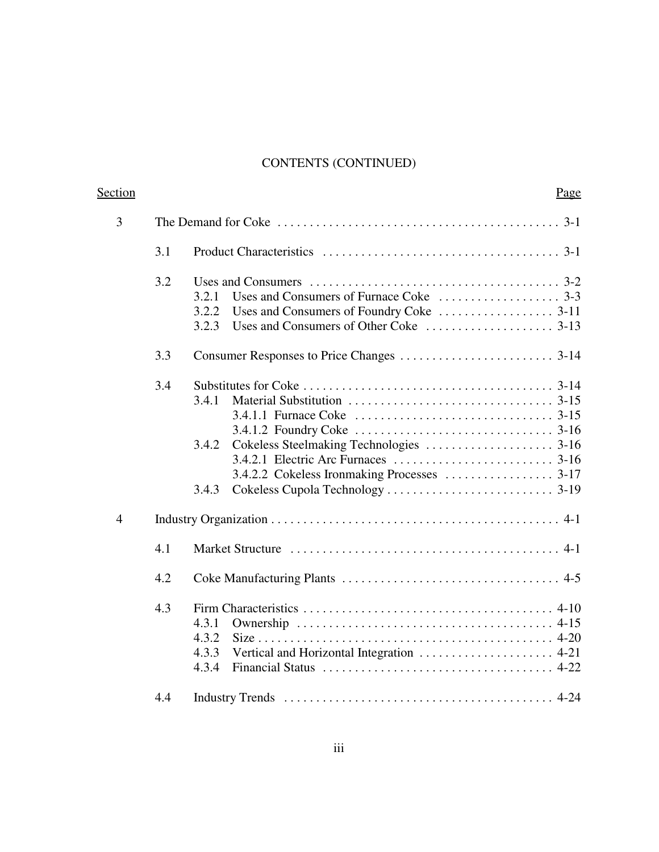# CONTENTS (CONTINUED)

| Section        |     |                                                                                                                       | Page |
|----------------|-----|-----------------------------------------------------------------------------------------------------------------------|------|
| 3              |     | The Demand for Coke $\dots \dots \dots \dots \dots \dots \dots \dots \dots \dots \dots \dots \dots \dots \dots \dots$ |      |
|                | 3.1 |                                                                                                                       |      |
|                | 3.2 | Uses and Consumers $\dots \dots \dots \dots \dots \dots \dots \dots \dots \dots \dots \dots \dots \dots$ 3-2          |      |
|                |     | 3.2.1                                                                                                                 |      |
|                |     | 3.2.2                                                                                                                 |      |
|                |     | 3.2.3                                                                                                                 |      |
|                | 3.3 |                                                                                                                       |      |
|                | 3.4 |                                                                                                                       |      |
|                |     | 3.4.1                                                                                                                 |      |
|                |     |                                                                                                                       |      |
|                |     |                                                                                                                       |      |
|                |     | 3.4.2                                                                                                                 |      |
|                |     |                                                                                                                       |      |
|                |     |                                                                                                                       |      |
|                |     | 3.4.3                                                                                                                 |      |
| $\overline{4}$ |     |                                                                                                                       |      |
|                | 4.1 |                                                                                                                       |      |
|                | 4.2 |                                                                                                                       |      |
|                | 4.3 |                                                                                                                       |      |
|                |     | 4.3.1                                                                                                                 |      |
|                |     | 4.3.2                                                                                                                 |      |
|                |     | 4.3.3                                                                                                                 |      |
|                |     | 4.3.4<br>Financial Status $\ldots \ldots \ldots \ldots \ldots \ldots \ldots \ldots \ldots \ldots$                     |      |
|                | 4.4 |                                                                                                                       |      |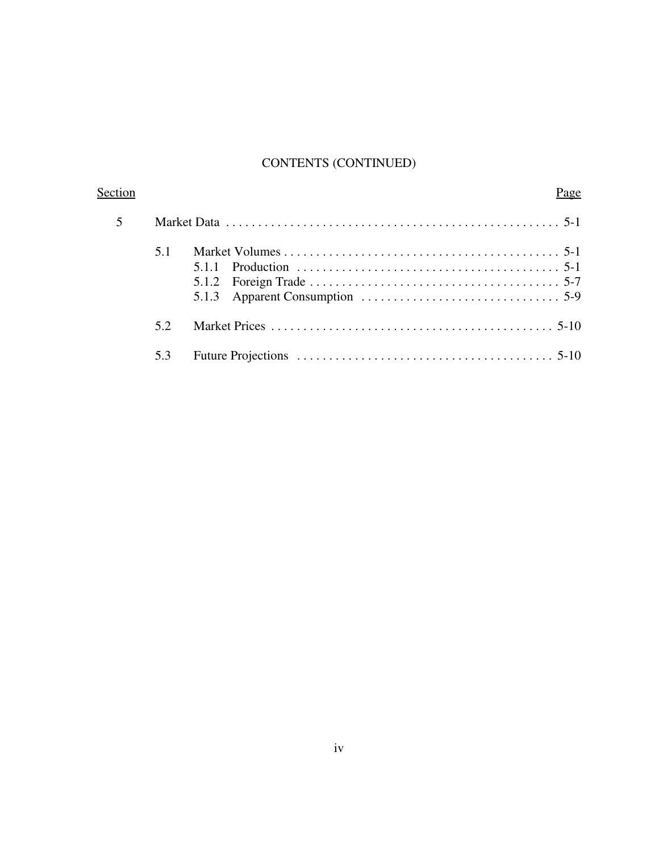# CONTENTS (CONTINUED)

| Section |     | Page |
|---------|-----|------|
|         |     |      |
|         | 5.1 |      |
|         | 52  |      |
|         | 5.3 |      |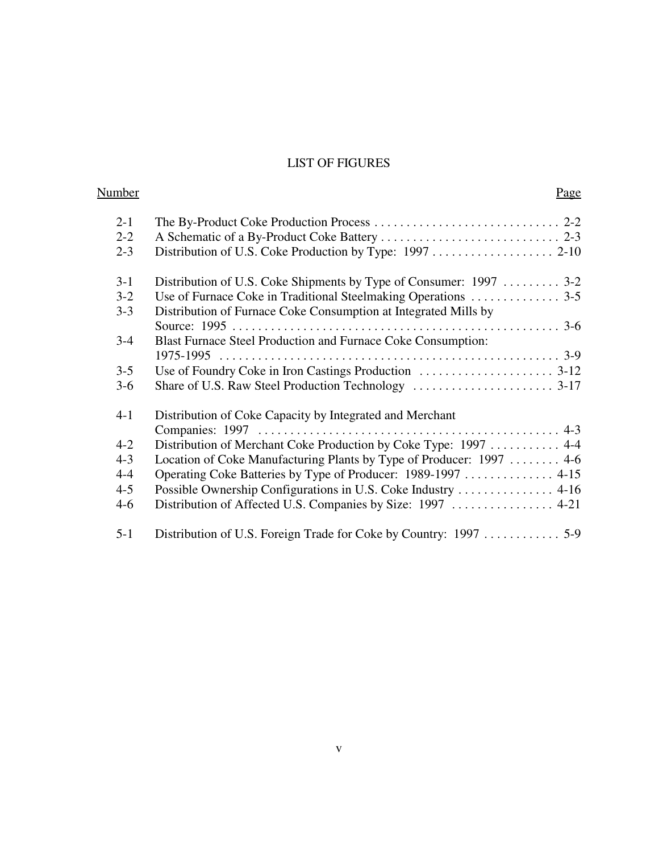## LIST OF FIGURES

| <u>Number</u> |                                                                      | Page |
|---------------|----------------------------------------------------------------------|------|
| $2 - 1$       |                                                                      |      |
| $2 - 2$       |                                                                      |      |
| $2 - 3$       |                                                                      |      |
| $3 - 1$       | Distribution of U.S. Coke Shipments by Type of Consumer: 1997  3-2   |      |
| $3 - 2$       |                                                                      |      |
| $3 - 3$       | Distribution of Furnace Coke Consumption at Integrated Mills by      |      |
|               |                                                                      |      |
| $3 - 4$       | Blast Furnace Steel Production and Furnace Coke Consumption:         |      |
|               |                                                                      |      |
| $3 - 5$       |                                                                      |      |
| $3-6$         |                                                                      |      |
| $4 - 1$       | Distribution of Coke Capacity by Integrated and Merchant             |      |
|               |                                                                      |      |
| $4 - 2$       | Distribution of Merchant Coke Production by Coke Type: 1997  4-4     |      |
| $4 - 3$       | Location of Coke Manufacturing Plants by Type of Producer: 1997  4-6 |      |
| $4 - 4$       | Operating Coke Batteries by Type of Producer: 1989-1997  4-15        |      |
| $4 - 5$       | Possible Ownership Configurations in U.S. Coke Industry 4-16         |      |
| $4 - 6$       |                                                                      |      |
| $5 - 1$       |                                                                      |      |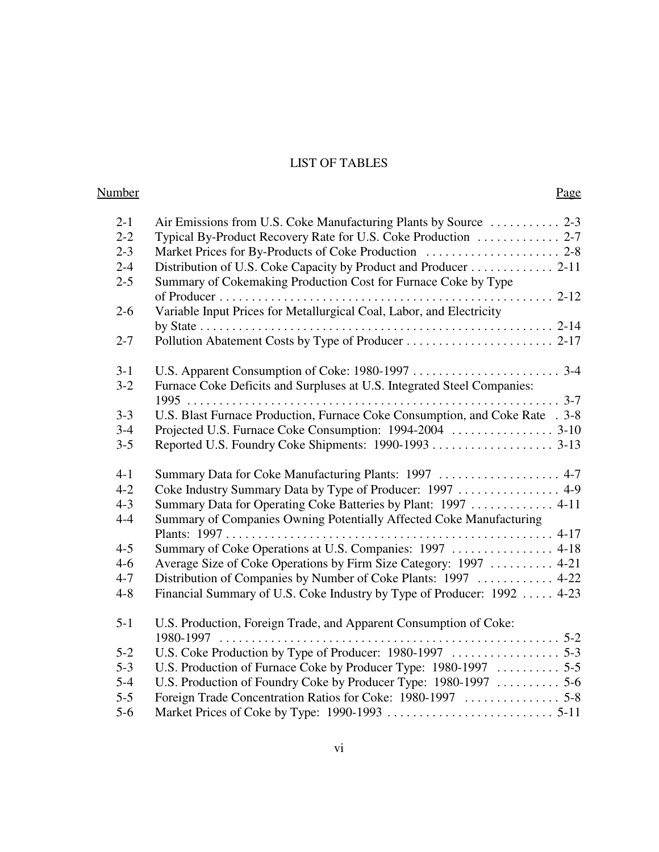# LIST OF TABLES

| <b>Number</b> | Page                                                                         |  |
|---------------|------------------------------------------------------------------------------|--|
| $2 - 1$       | Air Emissions from U.S. Coke Manufacturing Plants by Source  2-3             |  |
| $2 - 2$       | Typical By-Product Recovery Rate for U.S. Coke Production  2-7               |  |
| $2 - 3$       |                                                                              |  |
| $2 - 4$       | Distribution of U.S. Coke Capacity by Product and Producer 2-11              |  |
| $2 - 5$       | Summary of Cokemaking Production Cost for Furnace Coke by Type               |  |
|               |                                                                              |  |
| $2 - 6$       | Variable Input Prices for Metallurgical Coal, Labor, and Electricity         |  |
|               |                                                                              |  |
| $2 - 7$       |                                                                              |  |
| $3-1$         |                                                                              |  |
| $3-2$         | Furnace Coke Deficits and Surpluses at U.S. Integrated Steel Companies:      |  |
|               |                                                                              |  |
| $3 - 3$       | U.S. Blast Furnace Production, Furnace Coke Consumption, and Coke Rate . 3-8 |  |
| $3 - 4$       |                                                                              |  |
| $3 - 5$       |                                                                              |  |
| $4 - 1$       | Summary Data for Coke Manufacturing Plants: 1997  4-7                        |  |
| $4 - 2$       | Coke Industry Summary Data by Type of Producer: 1997  4-9                    |  |
| $4 - 3$       | Summary Data for Operating Coke Batteries by Plant: 1997  4-11               |  |
| $4 - 4$       | Summary of Companies Owning Potentially Affected Coke Manufacturing          |  |
|               |                                                                              |  |
| $4 - 5$       | Summary of Coke Operations at U.S. Companies: 1997  4-18                     |  |
| $4-6$         | Average Size of Coke Operations by Firm Size Category: 1997  4-21            |  |
| $4 - 7$       | Distribution of Companies by Number of Coke Plants: 1997  4-22               |  |
| $4 - 8$       | Financial Summary of U.S. Coke Industry by Type of Producer: 1992  4-23      |  |
| $5 - 1$       | U.S. Production, Foreign Trade, and Apparent Consumption of Coke:            |  |
|               | $1980 - 1997$                                                                |  |
| $5 - 2$       |                                                                              |  |
| $5 - 3$       |                                                                              |  |
| $5 - 4$       | U.S. Production of Foundry Coke by Producer Type: 1980-1997  5-6             |  |
| $5 - 5$       |                                                                              |  |
| $5-6$         |                                                                              |  |
|               |                                                                              |  |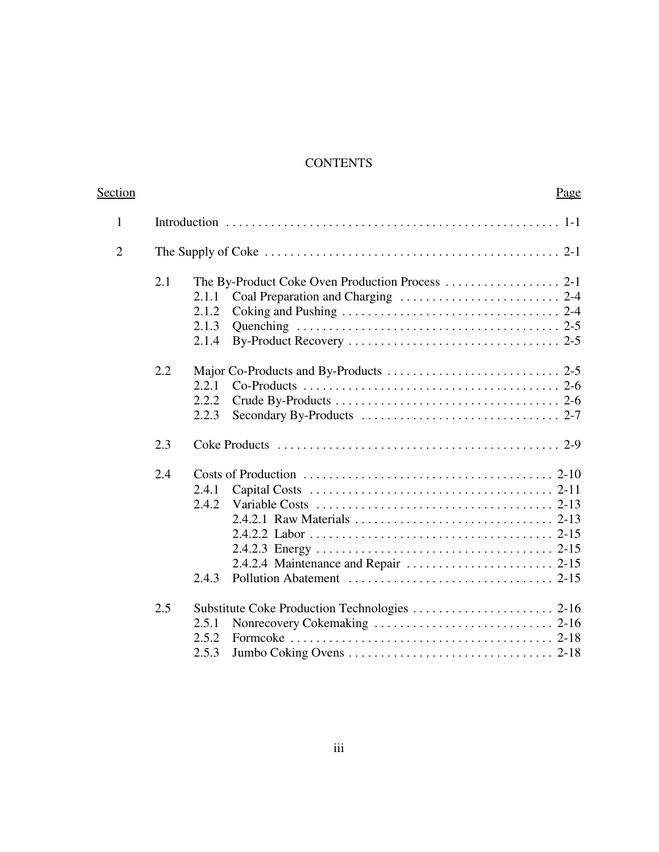# **CONTENTS**

| <b>Section</b> |     |                                  | Page |
|----------------|-----|----------------------------------|------|
| $\mathbf{1}$   |     |                                  |      |
| $\overline{2}$ |     |                                  |      |
|                | 2.1 | 2.1.1<br>2.1.2<br>2.1.3<br>2.1.4 |      |
|                | 2.2 | 2.2.1<br>2.2.2<br>2.2.3          |      |
|                | 2.3 |                                  |      |
|                | 2.4 | 2.4.1<br>2.4.2<br>2.4.3          |      |
|                | 2.5 | 2.5.1<br>2.5.2<br>2.5.3          |      |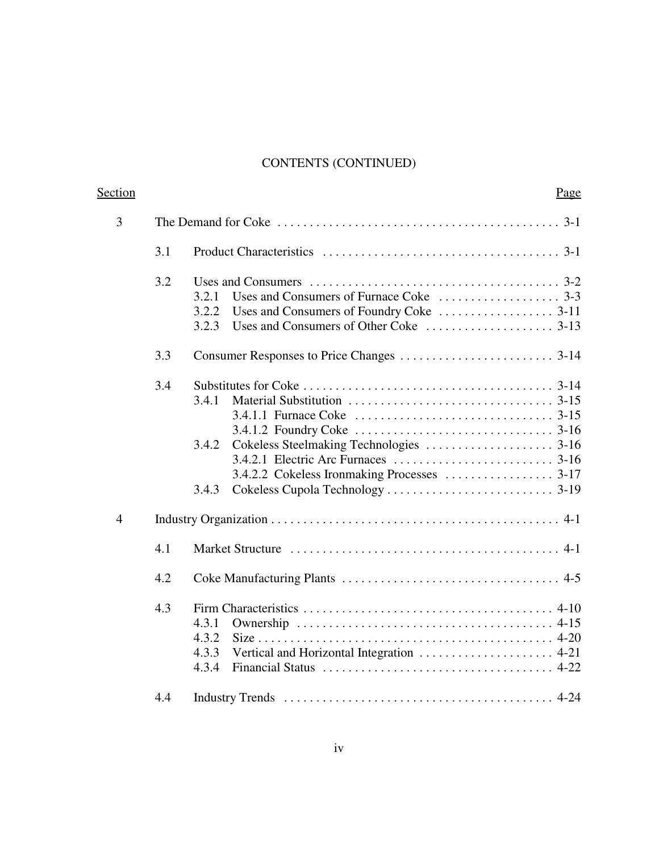# CONTENTS (CONTINUED)

| Section        |     |                                                                                                                 | Page |
|----------------|-----|-----------------------------------------------------------------------------------------------------------------|------|
| 3              |     | The Demand for Coke $\dots \dots \dots \dots \dots \dots \dots \dots \dots \dots \dots \dots \dots \dots \dots$ |      |
|                | 3.1 |                                                                                                                 |      |
|                | 3.2 | Uses and Consumers $\dots \dots \dots \dots \dots \dots \dots \dots \dots \dots \dots \dots \dots \dots$ 3-2    |      |
|                |     | 3.2.1                                                                                                           |      |
|                |     | 3.2.2                                                                                                           |      |
|                |     | 3.2.3                                                                                                           |      |
|                | 3.3 |                                                                                                                 |      |
|                | 3.4 |                                                                                                                 |      |
|                |     | 3.4.1                                                                                                           |      |
|                |     |                                                                                                                 |      |
|                |     |                                                                                                                 |      |
|                |     | 3.4.2                                                                                                           |      |
|                |     |                                                                                                                 |      |
|                |     |                                                                                                                 |      |
|                |     | 3.4.3                                                                                                           |      |
| $\overline{4}$ |     |                                                                                                                 |      |
|                | 4.1 |                                                                                                                 |      |
|                | 4.2 |                                                                                                                 |      |
|                | 4.3 |                                                                                                                 |      |
|                |     | 4.3.1                                                                                                           |      |
|                |     | 4.3.2                                                                                                           |      |
|                |     | 4.3.3                                                                                                           |      |
|                |     | 4.3.4                                                                                                           |      |
|                | 4.4 |                                                                                                                 |      |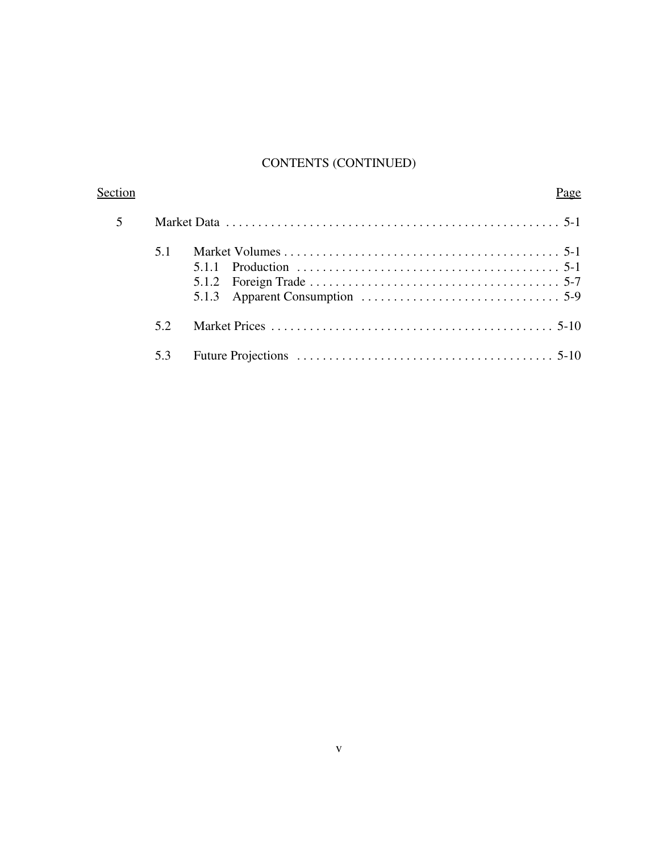# CONTENTS (CONTINUED)

| Section |     |                                                                               | Page |
|---------|-----|-------------------------------------------------------------------------------|------|
|         |     |                                                                               |      |
|         | 5.1 | 5.1.2 Foreign Trade $\ldots$ $\ldots$ $\ldots$ $\ldots$ $\ldots$ $\ldots$ 5-7 |      |
|         | 52  |                                                                               |      |
|         | 5.3 |                                                                               |      |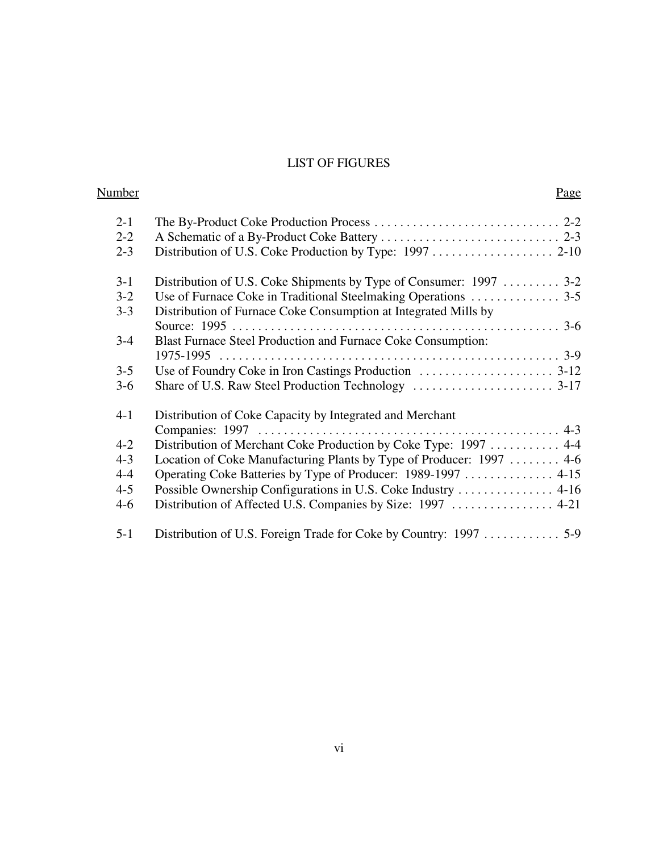## LIST OF FIGURES

| <u>Number</u> | Page                                                                 |  |
|---------------|----------------------------------------------------------------------|--|
| $2 - 1$       |                                                                      |  |
| $2 - 2$       |                                                                      |  |
| $2 - 3$       |                                                                      |  |
| $3 - 1$       | Distribution of U.S. Coke Shipments by Type of Consumer: 1997  3-2   |  |
| $3 - 2$       |                                                                      |  |
| $3 - 3$       | Distribution of Furnace Coke Consumption at Integrated Mills by      |  |
|               |                                                                      |  |
| $3 - 4$       | Blast Furnace Steel Production and Furnace Coke Consumption:         |  |
|               |                                                                      |  |
| $3 - 5$       |                                                                      |  |
| $3-6$         |                                                                      |  |
| $4 - 1$       | Distribution of Coke Capacity by Integrated and Merchant             |  |
|               |                                                                      |  |
| $4 - 2$       | Distribution of Merchant Coke Production by Coke Type: 1997  4-4     |  |
| $4 - 3$       | Location of Coke Manufacturing Plants by Type of Producer: 1997  4-6 |  |
| $4 - 4$       | Operating Coke Batteries by Type of Producer: 1989-1997  4-15        |  |
| $4 - 5$       | Possible Ownership Configurations in U.S. Coke Industry 4-16         |  |
| $4 - 6$       |                                                                      |  |
| $5 - 1$       |                                                                      |  |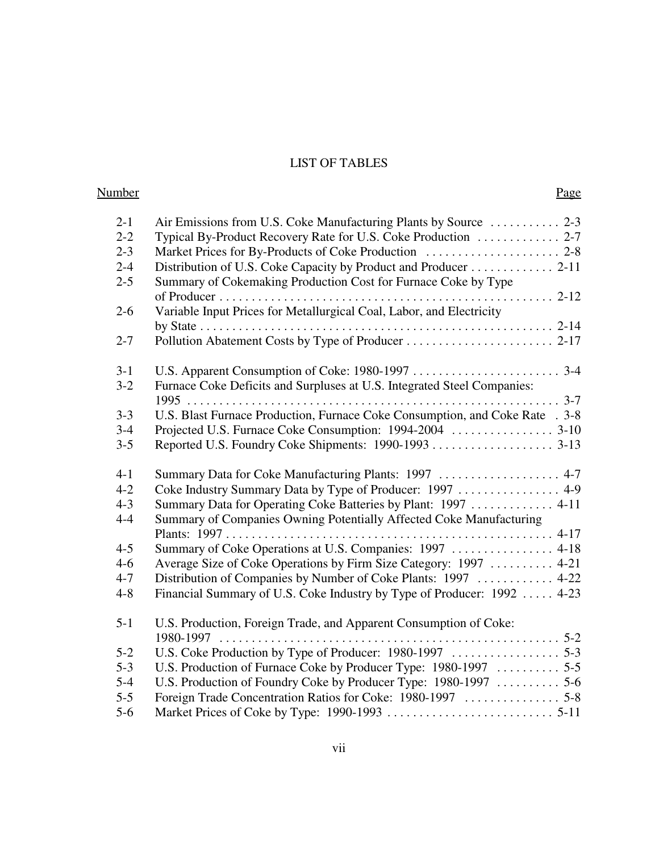# LIST OF TABLES

| <b>Number</b> | Page                                                                         |  |
|---------------|------------------------------------------------------------------------------|--|
| $2 - 1$       | Air Emissions from U.S. Coke Manufacturing Plants by Source  2-3             |  |
| $2 - 2$       | Typical By-Product Recovery Rate for U.S. Coke Production  2-7               |  |
| $2 - 3$       |                                                                              |  |
| $2 - 4$       | Distribution of U.S. Coke Capacity by Product and Producer 2-11              |  |
| $2 - 5$       | Summary of Cokemaking Production Cost for Furnace Coke by Type               |  |
|               |                                                                              |  |
| $2 - 6$       | Variable Input Prices for Metallurgical Coal, Labor, and Electricity         |  |
|               |                                                                              |  |
| $2 - 7$       |                                                                              |  |
| $3-1$         |                                                                              |  |
| $3-2$         | Furnace Coke Deficits and Surpluses at U.S. Integrated Steel Companies:      |  |
|               |                                                                              |  |
| $3 - 3$       | U.S. Blast Furnace Production, Furnace Coke Consumption, and Coke Rate . 3-8 |  |
| $3 - 4$       |                                                                              |  |
| $3 - 5$       |                                                                              |  |
| $4 - 1$       | Summary Data for Coke Manufacturing Plants: 1997  4-7                        |  |
| $4 - 2$       | Coke Industry Summary Data by Type of Producer: 1997  4-9                    |  |
| $4 - 3$       | Summary Data for Operating Coke Batteries by Plant: 1997  4-11               |  |
| $4 - 4$       | Summary of Companies Owning Potentially Affected Coke Manufacturing          |  |
|               |                                                                              |  |
| $4 - 5$       | Summary of Coke Operations at U.S. Companies: 1997  4-18                     |  |
| $4-6$         | Average Size of Coke Operations by Firm Size Category: 1997  4-21            |  |
| $4 - 7$       | Distribution of Companies by Number of Coke Plants: 1997  4-22               |  |
| $4 - 8$       | Financial Summary of U.S. Coke Industry by Type of Producer: 1992  4-23      |  |
| $5 - 1$       | U.S. Production, Foreign Trade, and Apparent Consumption of Coke:            |  |
|               | $1980 - 1997$                                                                |  |
| $5 - 2$       |                                                                              |  |
| $5 - 3$       |                                                                              |  |
| $5 - 4$       | U.S. Production of Foundry Coke by Producer Type: 1980-1997  5-6             |  |
| $5 - 5$       |                                                                              |  |
| $5-6$         |                                                                              |  |
|               |                                                                              |  |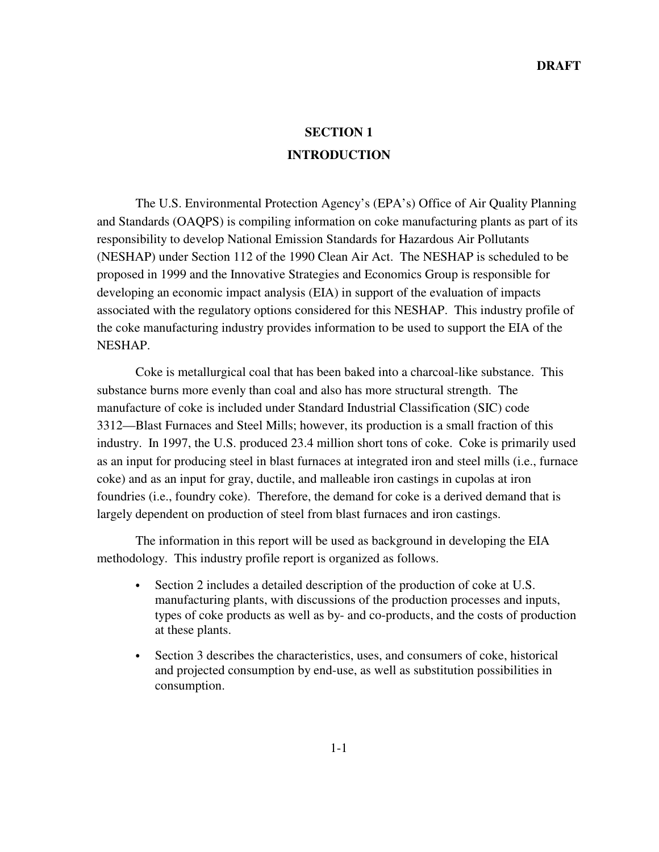# **SECTION 1 INTRODUCTION**

The U.S. Environmental Protection Agency's (EPA's) Office of Air Quality Planning and Standards (OAQPS) is compiling information on coke manufacturing plants as part of its responsibility to develop National Emission Standards for Hazardous Air Pollutants (NESHAP) under Section 112 of the 1990 Clean Air Act. The NESHAP is scheduled to be proposed in 1999 and the Innovative Strategies and Economics Group is responsible for developing an economic impact analysis (EIA) in support of the evaluation of impacts associated with the regulatory options considered for this NESHAP. This industry profile of the coke manufacturing industry provides information to be used to support the EIA of the NESHAP.

Coke is metallurgical coal that has been baked into a charcoal-like substance. This substance burns more evenly than coal and also has more structural strength. The manufacture of coke is included under Standard Industrial Classification (SIC) code 3312—Blast Furnaces and Steel Mills; however, its production is a small fraction of this industry. In 1997, the U.S. produced 23.4 million short tons of coke. Coke is primarily used as an input for producing steel in blast furnaces at integrated iron and steel mills (i.e., furnace coke) and as an input for gray, ductile, and malleable iron castings in cupolas at iron foundries (i.e., foundry coke). Therefore, the demand for coke is a derived demand that is largely dependent on production of steel from blast furnaces and iron castings.

The information in this report will be used as background in developing the EIA methodology. This industry profile report is organized as follows.

- Section 2 includes a detailed description of the production of coke at U.S. manufacturing plants, with discussions of the production processes and inputs, types of coke products as well as by- and co-products, and the costs of production at these plants.
- Section 3 describes the characteristics, uses, and consumers of coke, historical and projected consumption by end-use, as well as substitution possibilities in consumption.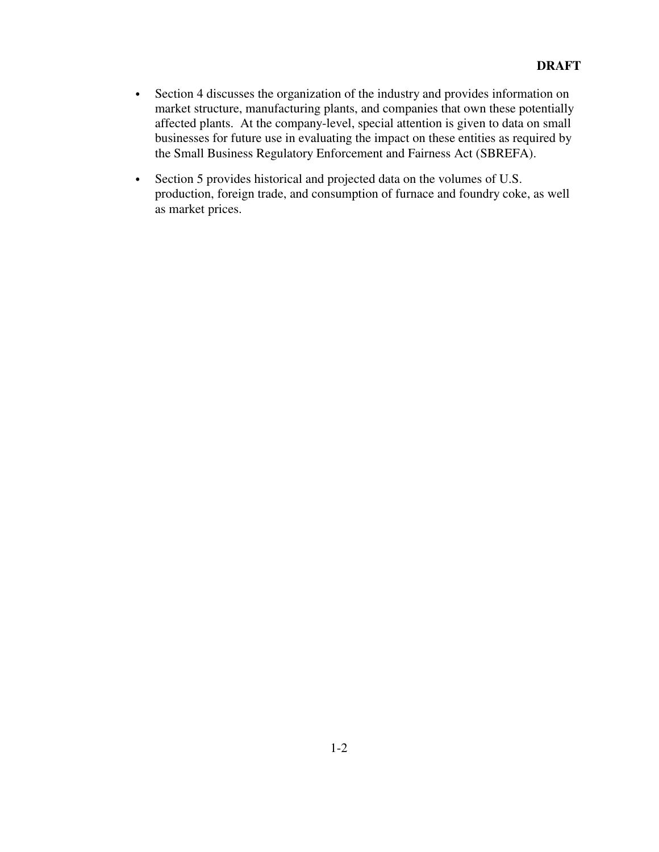- Section 4 discusses the organization of the industry and provides information on market structure, manufacturing plants, and companies that own these potentially affected plants. At the company-level, special attention is given to data on small businesses for future use in evaluating the impact on these entities as required by the Small Business Regulatory Enforcement and Fairness Act (SBREFA).
- Section 5 provides historical and projected data on the volumes of U.S. production, foreign trade, and consumption of furnace and foundry coke, as well as market prices.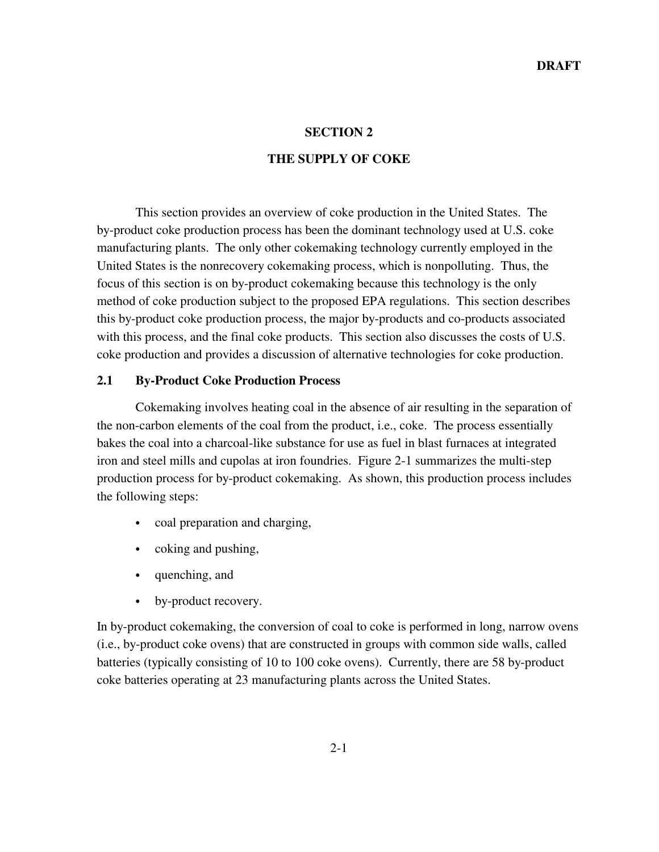#### **SECTION 2**

#### **THE SUPPLY OF COKE**

This section provides an overview of coke production in the United States. The by-product coke production process has been the dominant technology used at U.S. coke manufacturing plants. The only other cokemaking technology currently employed in the United States is the nonrecovery cokemaking process, which is nonpolluting. Thus, the focus of this section is on by-product cokemaking because this technology is the only method of coke production subject to the proposed EPA regulations. This section describes this by-product coke production process, the major by-products and co-products associated with this process, and the final coke products. This section also discusses the costs of U.S. coke production and provides a discussion of alternative technologies for coke production.

#### **2.1 By-Product Coke Production Process**

Cokemaking involves heating coal in the absence of air resulting in the separation of the non-carbon elements of the coal from the product, i.e., coke. The process essentially bakes the coal into a charcoal-like substance for use as fuel in blast furnaces at integrated iron and steel mills and cupolas at iron foundries. Figure 2-1 summarizes the multi-step production process for by-product cokemaking. As shown, this production process includes the following steps:

- coal preparation and charging,
- coking and pushing,
- quenching, and
- by-product recovery.

In by-product cokemaking, the conversion of coal to coke is performed in long, narrow ovens (i.e., by-product coke ovens) that are constructed in groups with common side walls, called batteries (typically consisting of 10 to 100 coke ovens). Currently, there are 58 by-product coke batteries operating at 23 manufacturing plants across the United States.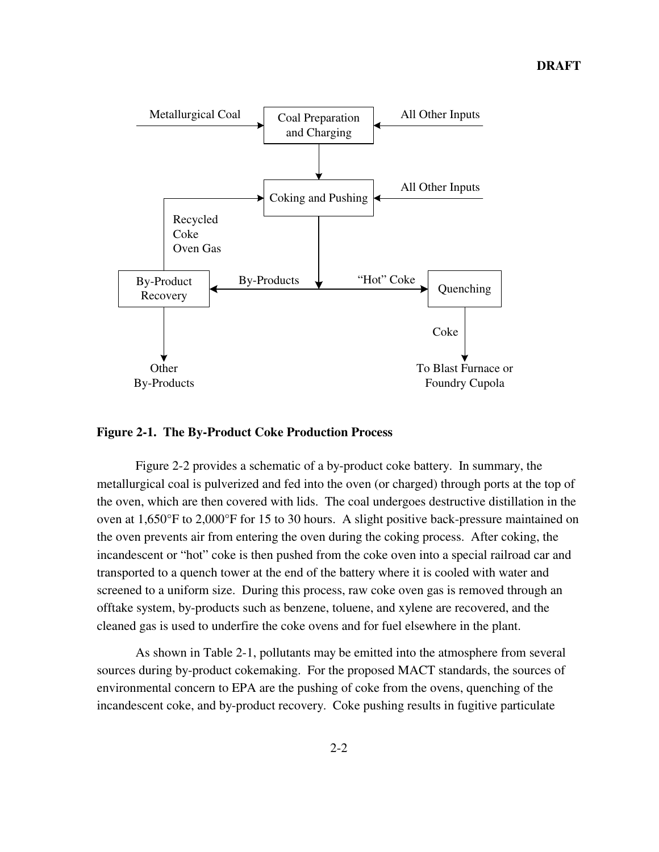

**Figure 2-1. The By-Product Coke Production Process**

Figure 2-2 provides a schematic of a by-product coke battery. In summary, the metallurgical coal is pulverized and fed into the oven (or charged) through ports at the top of the oven, which are then covered with lids. The coal undergoes destructive distillation in the oven at 1,650°F to 2,000°F for 15 to 30 hours. A slight positive back-pressure maintained on the oven prevents air from entering the oven during the coking process. After coking, the incandescent or "hot" coke is then pushed from the coke oven into a special railroad car and transported to a quench tower at the end of the battery where it is cooled with water and screened to a uniform size. During this process, raw coke oven gas is removed through an offtake system, by-products such as benzene, toluene, and xylene are recovered, and the cleaned gas is used to underfire the coke ovens and for fuel elsewhere in the plant.

As shown in Table 2-1, pollutants may be emitted into the atmosphere from several sources during by-product cokemaking. For the proposed MACT standards, the sources of environmental concern to EPA are the pushing of coke from the ovens, quenching of the incandescent coke, and by-product recovery. Coke pushing results in fugitive particulate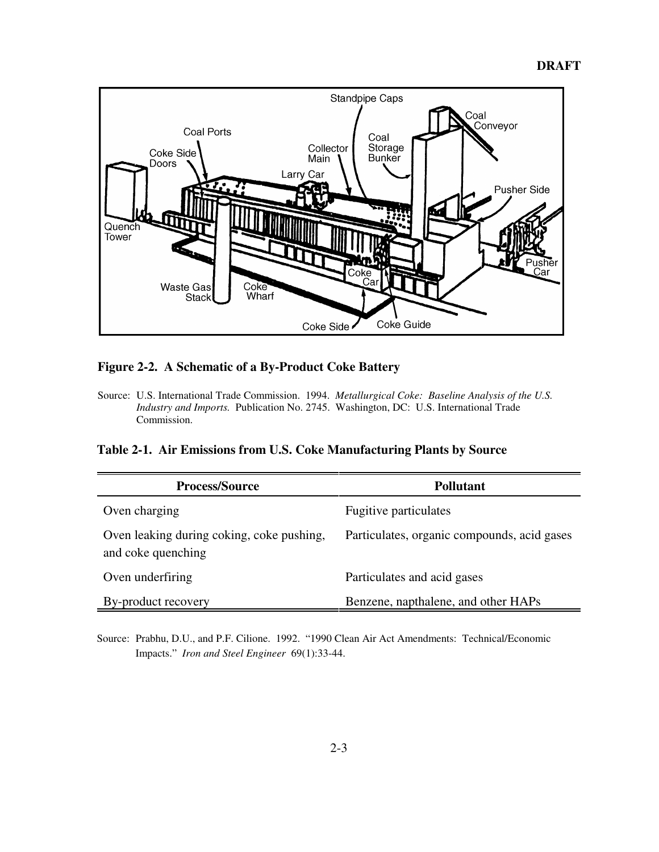

#### **Figure 2-2. A Schematic of a By-Product Coke Battery**

Source: U.S. International Trade Commission. 1994. *Metallurgical Coke: Baseline Analysis of the U.S. Industry and Imports.* Publication No. 2745. Washington, DC: U.S. International Trade Commission.

**Table 2-1. Air Emissions from U.S. Coke Manufacturing Plants by Source**

| <b>Process/Source</b>                                           | Pollutant                                   |
|-----------------------------------------------------------------|---------------------------------------------|
| Oven charging                                                   | <b>Fugitive particulates</b>                |
| Oven leaking during coking, coke pushing,<br>and coke quenching | Particulates, organic compounds, acid gases |
| Oven underfiring                                                | Particulates and acid gases                 |
| By-product recovery                                             | Benzene, napthalene, and other HAPs         |

Source: Prabhu, D.U., and P.F. Cilione. 1992. "1990 Clean Air Act Amendments: Technical/Economic Impacts." *Iron and Steel Engineer* 69(1):33-44.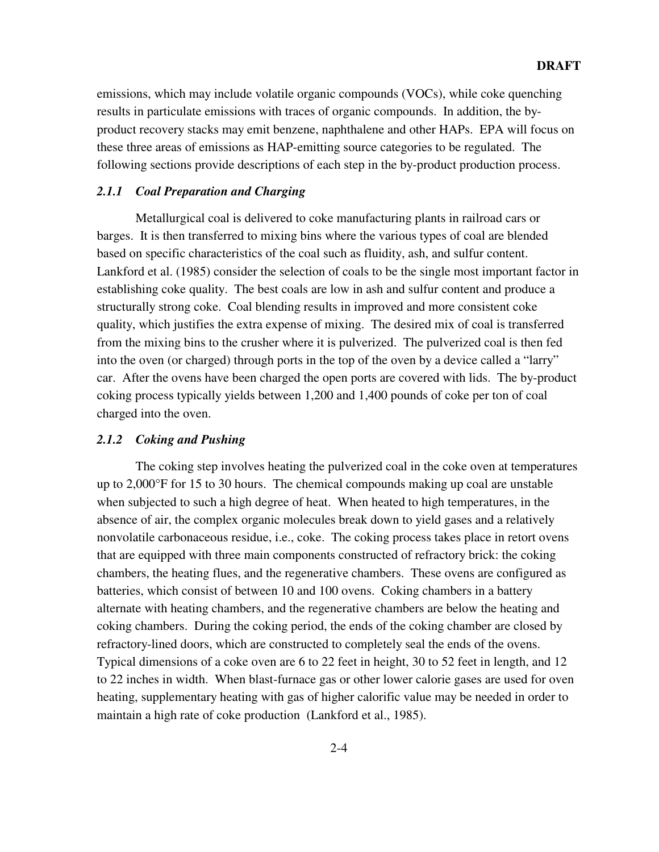emissions, which may include volatile organic compounds (VOCs), while coke quenching results in particulate emissions with traces of organic compounds. In addition, the byproduct recovery stacks may emit benzene, naphthalene and other HAPs. EPA will focus on these three areas of emissions as HAP-emitting source categories to be regulated. The following sections provide descriptions of each step in the by-product production process.

#### *2.1.1 Coal Preparation and Charging*

Metallurgical coal is delivered to coke manufacturing plants in railroad cars or barges. It is then transferred to mixing bins where the various types of coal are blended based on specific characteristics of the coal such as fluidity, ash, and sulfur content. Lankford et al. (1985) consider the selection of coals to be the single most important factor in establishing coke quality. The best coals are low in ash and sulfur content and produce a structurally strong coke. Coal blending results in improved and more consistent coke quality, which justifies the extra expense of mixing. The desired mix of coal is transferred from the mixing bins to the crusher where it is pulverized. The pulverized coal is then fed into the oven (or charged) through ports in the top of the oven by a device called a "larry" car. After the ovens have been charged the open ports are covered with lids. The by-product coking process typically yields between 1,200 and 1,400 pounds of coke per ton of coal charged into the oven.

#### *2.1.2 Coking and Pushing*

The coking step involves heating the pulverized coal in the coke oven at temperatures up to 2,000°F for 15 to 30 hours. The chemical compounds making up coal are unstable when subjected to such a high degree of heat. When heated to high temperatures, in the absence of air, the complex organic molecules break down to yield gases and a relatively nonvolatile carbonaceous residue, i.e., coke. The coking process takes place in retort ovens that are equipped with three main components constructed of refractory brick: the coking chambers, the heating flues, and the regenerative chambers. These ovens are configured as batteries, which consist of between 10 and 100 ovens. Coking chambers in a battery alternate with heating chambers, and the regenerative chambers are below the heating and coking chambers. During the coking period, the ends of the coking chamber are closed by refractory-lined doors, which are constructed to completely seal the ends of the ovens. Typical dimensions of a coke oven are 6 to 22 feet in height, 30 to 52 feet in length, and 12 to 22 inches in width. When blast-furnace gas or other lower calorie gases are used for oven heating, supplementary heating with gas of higher calorific value may be needed in order to maintain a high rate of coke production (Lankford et al., 1985).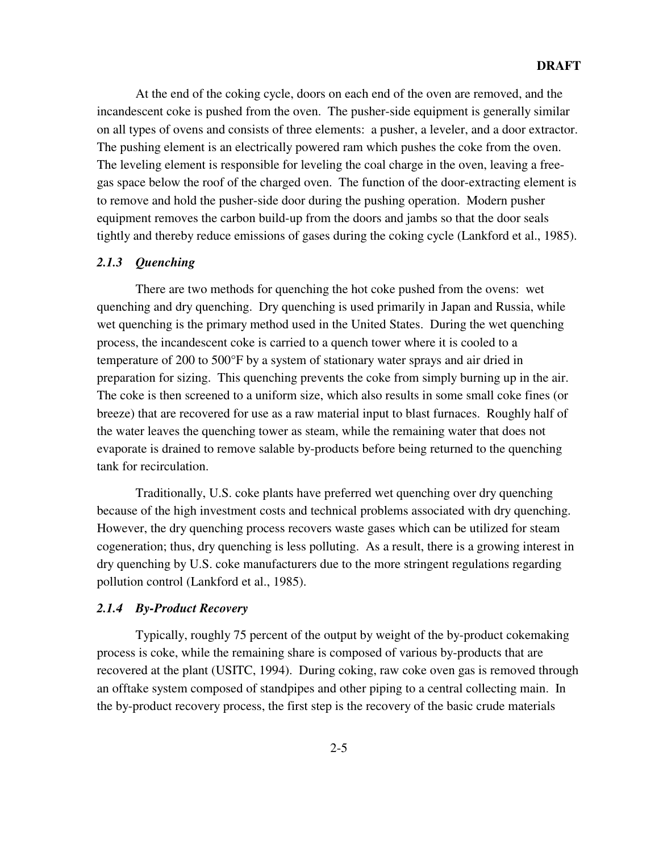At the end of the coking cycle, doors on each end of the oven are removed, and the incandescent coke is pushed from the oven. The pusher-side equipment is generally similar on all types of ovens and consists of three elements: a pusher, a leveler, and a door extractor. The pushing element is an electrically powered ram which pushes the coke from the oven. The leveling element is responsible for leveling the coal charge in the oven, leaving a freegas space below the roof of the charged oven. The function of the door-extracting element is to remove and hold the pusher-side door during the pushing operation. Modern pusher equipment removes the carbon build-up from the doors and jambs so that the door seals tightly and thereby reduce emissions of gases during the coking cycle (Lankford et al., 1985).

#### *2.1.3 Quenching*

There are two methods for quenching the hot coke pushed from the ovens: wet quenching and dry quenching. Dry quenching is used primarily in Japan and Russia, while wet quenching is the primary method used in the United States. During the wet quenching process, the incandescent coke is carried to a quench tower where it is cooled to a temperature of 200 to 500°F by a system of stationary water sprays and air dried in preparation for sizing. This quenching prevents the coke from simply burning up in the air. The coke is then screened to a uniform size, which also results in some small coke fines (or breeze) that are recovered for use as a raw material input to blast furnaces. Roughly half of the water leaves the quenching tower as steam, while the remaining water that does not evaporate is drained to remove salable by-products before being returned to the quenching tank for recirculation.

Traditionally, U.S. coke plants have preferred wet quenching over dry quenching because of the high investment costs and technical problems associated with dry quenching. However, the dry quenching process recovers waste gases which can be utilized for steam cogeneration; thus, dry quenching is less polluting. As a result, there is a growing interest in dry quenching by U.S. coke manufacturers due to the more stringent regulations regarding pollution control (Lankford et al., 1985).

#### *2.1.4 By-Product Recovery*

Typically, roughly 75 percent of the output by weight of the by-product cokemaking process is coke, while the remaining share is composed of various by-products that are recovered at the plant (USITC, 1994). During coking, raw coke oven gas is removed through an offtake system composed of standpipes and other piping to a central collecting main. In the by-product recovery process, the first step is the recovery of the basic crude materials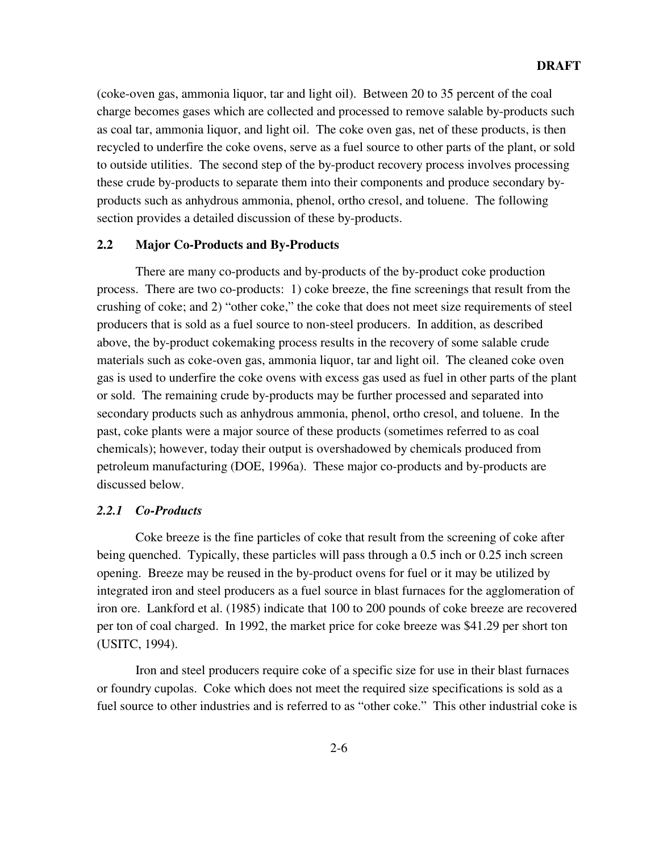(coke-oven gas, ammonia liquor, tar and light oil). Between 20 to 35 percent of the coal charge becomes gases which are collected and processed to remove salable by-products such as coal tar, ammonia liquor, and light oil. The coke oven gas, net of these products, is then recycled to underfire the coke ovens, serve as a fuel source to other parts of the plant, or sold to outside utilities. The second step of the by-product recovery process involves processing these crude by-products to separate them into their components and produce secondary byproducts such as anhydrous ammonia, phenol, ortho cresol, and toluene. The following section provides a detailed discussion of these by-products.

#### **2.2 Major Co-Products and By-Products**

There are many co-products and by-products of the by-product coke production process. There are two co-products: 1) coke breeze, the fine screenings that result from the crushing of coke; and 2) "other coke," the coke that does not meet size requirements of steel producers that is sold as a fuel source to non-steel producers. In addition, as described above, the by-product cokemaking process results in the recovery of some salable crude materials such as coke-oven gas, ammonia liquor, tar and light oil. The cleaned coke oven gas is used to underfire the coke ovens with excess gas used as fuel in other parts of the plant or sold. The remaining crude by-products may be further processed and separated into secondary products such as anhydrous ammonia, phenol, ortho cresol, and toluene. In the past, coke plants were a major source of these products (sometimes referred to as coal chemicals); however, today their output is overshadowed by chemicals produced from petroleum manufacturing (DOE, 1996a). These major co-products and by-products are discussed below.

#### *2.2.1 Co-Products*

Coke breeze is the fine particles of coke that result from the screening of coke after being quenched. Typically, these particles will pass through a 0.5 inch or 0.25 inch screen opening. Breeze may be reused in the by-product ovens for fuel or it may be utilized by integrated iron and steel producers as a fuel source in blast furnaces for the agglomeration of iron ore. Lankford et al. (1985) indicate that 100 to 200 pounds of coke breeze are recovered per ton of coal charged. In 1992, the market price for coke breeze was \$41.29 per short ton (USITC, 1994).

Iron and steel producers require coke of a specific size for use in their blast furnaces or foundry cupolas. Coke which does not meet the required size specifications is sold as a fuel source to other industries and is referred to as "other coke." This other industrial coke is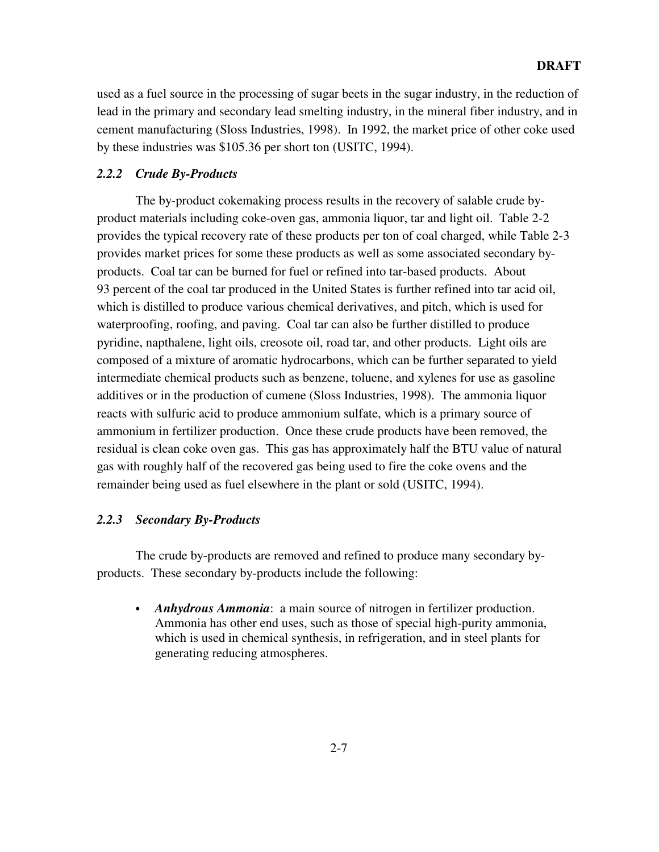#### **DRAFT**

used as a fuel source in the processing of sugar beets in the sugar industry, in the reduction of lead in the primary and secondary lead smelting industry, in the mineral fiber industry, and in cement manufacturing (Sloss Industries, 1998). In 1992, the market price of other coke used by these industries was \$105.36 per short ton (USITC, 1994).

#### *2.2.2 Crude By-Products*

The by-product cokemaking process results in the recovery of salable crude byproduct materials including coke-oven gas, ammonia liquor, tar and light oil. Table 2-2 provides the typical recovery rate of these products per ton of coal charged, while Table 2-3 provides market prices for some these products as well as some associated secondary byproducts. Coal tar can be burned for fuel or refined into tar-based products. About 93 percent of the coal tar produced in the United States is further refined into tar acid oil, which is distilled to produce various chemical derivatives, and pitch, which is used for waterproofing, roofing, and paving. Coal tar can also be further distilled to produce pyridine, napthalene, light oils, creosote oil, road tar, and other products. Light oils are composed of a mixture of aromatic hydrocarbons, which can be further separated to yield intermediate chemical products such as benzene, toluene, and xylenes for use as gasoline additives or in the production of cumene (Sloss Industries, 1998). The ammonia liquor reacts with sulfuric acid to produce ammonium sulfate, which is a primary source of ammonium in fertilizer production. Once these crude products have been removed, the residual is clean coke oven gas. This gas has approximately half the BTU value of natural gas with roughly half of the recovered gas being used to fire the coke ovens and the remainder being used as fuel elsewhere in the plant or sold (USITC, 1994).

#### *2.2.3 Secondary By-Products*

The crude by-products are removed and refined to produce many secondary byproducts. These secondary by-products include the following:

 *Anhydrous Ammonia*: a main source of nitrogen in fertilizer production. Ammonia has other end uses, such as those of special high-purity ammonia, which is used in chemical synthesis, in refrigeration, and in steel plants for generating reducing atmospheres.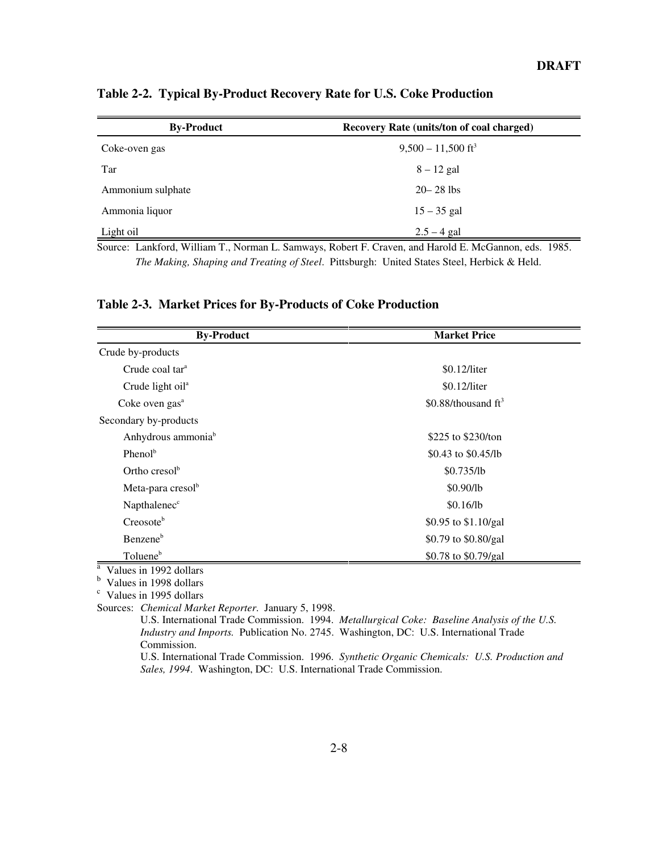| <b>By-Product</b> | Recovery Rate (units/ton of coal charged)                                                                            |
|-------------------|----------------------------------------------------------------------------------------------------------------------|
| Coke-oven gas     | $9,500 - 11,500$ ft <sup>3</sup>                                                                                     |
| Tar               | $8 - 12$ gal                                                                                                         |
| Ammonium sulphate | $20 - 28$ lbs                                                                                                        |
| Ammonia liquor    | $15 - 35$ gal                                                                                                        |
| Light oil         | $2.5 - 4$ gal                                                                                                        |
|                   | $\Omega_{\text{outcat}}$ Lankford William T. Norman L. Samways, Dobert E. Crayen, and Harold E. McCannon, eds., 1085 |

**Table 2-2. Typical By-Product Recovery Rate for U.S. Coke Production**

Source: Lankford, William T., Norman L. Samways, Robert F. Craven, and Harold E. McGannon, eds. 1985. *The Making, Shaping and Treating of Steel*. Pittsburgh: United States Steel, Herbick & Held.

**Table 2-3. Market Prices for By-Products of Coke Production**

| <b>By-Product</b>              | <b>Market Price</b>    |  |
|--------------------------------|------------------------|--|
| Crude by-products              |                        |  |
| Crude coal tar <sup>a</sup>    | \$0.12/liter           |  |
| Crude light oil <sup>a</sup>   | \$0.12/liter           |  |
| Coke oven gas <sup>a</sup>     | \$0.88/thousand $ft^3$ |  |
| Secondary by-products          |                        |  |
| Anhydrous ammonia <sup>b</sup> | \$225 to \$230/ton     |  |
| Pheno $l^b$                    | \$0.43 to $$0.45$ /lb  |  |
| Ortho cresol <sup>b</sup>      | \$0.735/lb             |  |
| Meta-para cresol <sup>b</sup>  | \$0.90/lb              |  |
| Napthalenec <sup>c</sup>       | \$0.16/lb              |  |
| Creosote <sup>b</sup>          | \$0.95 to \$1.10/gal   |  |
| Benzene <sup>b</sup>           | \$0.79 to \$0.80/gal   |  |
| Toluene <sup>b</sup>           | \$0.78 to \$0.79/gal   |  |

<sup>a</sup> Values in 1992 dollars

 $\frac{b}{c}$  Values in 1998 dollars<br>c Values in 1995 dollars

Sources: *Chemical Market Reporter*. January 5, 1998.

U.S. International Trade Commission. 1994. *Metallurgical Coke: Baseline Analysis of the U.S. Industry and Imports.* Publication No. 2745. Washington, DC: U.S. International Trade Commission.

U.S. International Trade Commission. 1996. *Synthetic Organic Chemicals: U.S. Production and Sales, 1994*. Washington, DC: U.S. International Trade Commission.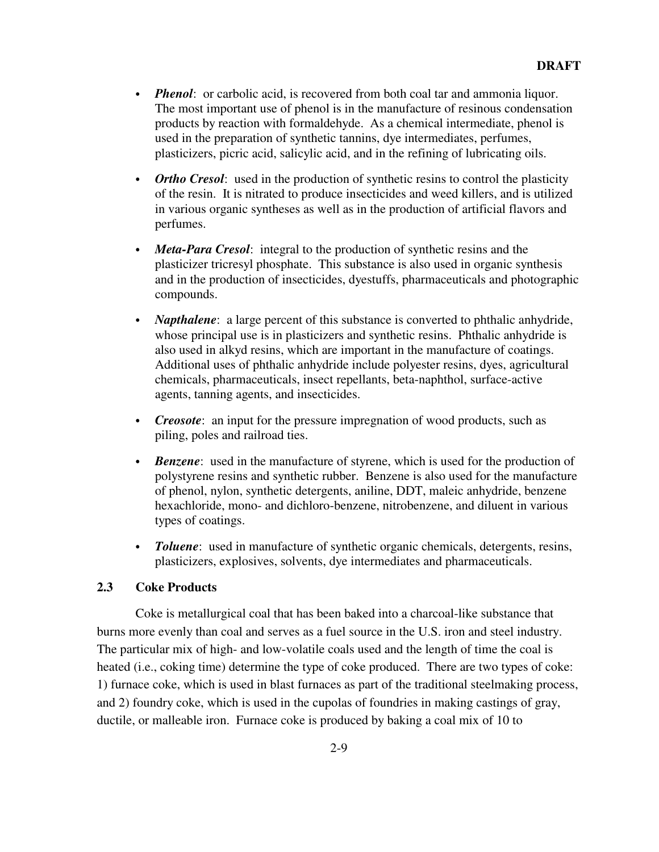- *Phenol*: or carbolic acid, is recovered from both coal tar and ammonia liquor. The most important use of phenol is in the manufacture of resinous condensation products by reaction with formaldehyde. As a chemical intermediate, phenol is used in the preparation of synthetic tannins, dye intermediates, perfumes, plasticizers, picric acid, salicylic acid, and in the refining of lubricating oils.
- *Ortho Cresol*: used in the production of synthetic resins to control the plasticity of the resin. It is nitrated to produce insecticides and weed killers, and is utilized in various organic syntheses as well as in the production of artificial flavors and perfumes.
- *Meta-Para Cresol*: integral to the production of synthetic resins and the plasticizer tricresyl phosphate. This substance is also used in organic synthesis and in the production of insecticides, dyestuffs, pharmaceuticals and photographic compounds.
- *Napthalene*: a large percent of this substance is converted to phthalic anhydride, whose principal use is in plasticizers and synthetic resins. Phthalic anhydride is also used in alkyd resins, which are important in the manufacture of coatings. Additional uses of phthalic anhydride include polyester resins, dyes, agricultural chemicals, pharmaceuticals, insect repellants, beta-naphthol, surface-active agents, tanning agents, and insecticides.
- *Creosote*: an input for the pressure impregnation of wood products, such as piling, poles and railroad ties.
- *Benzene*: used in the manufacture of styrene, which is used for the production of polystyrene resins and synthetic rubber. Benzene is also used for the manufacture of phenol, nylon, synthetic detergents, aniline, DDT, maleic anhydride, benzene hexachloride, mono- and dichloro-benzene, nitrobenzene, and diluent in various types of coatings.
- *Toluene*: used in manufacture of synthetic organic chemicals, detergents, resins, plasticizers, explosives, solvents, dye intermediates and pharmaceuticals.

#### **2.3 Coke Products**

Coke is metallurgical coal that has been baked into a charcoal-like substance that burns more evenly than coal and serves as a fuel source in the U.S. iron and steel industry. The particular mix of high- and low-volatile coals used and the length of time the coal is heated (i.e., coking time) determine the type of coke produced. There are two types of coke: 1) furnace coke, which is used in blast furnaces as part of the traditional steelmaking process, and 2) foundry coke, which is used in the cupolas of foundries in making castings of gray, ductile, or malleable iron. Furnace coke is produced by baking a coal mix of 10 to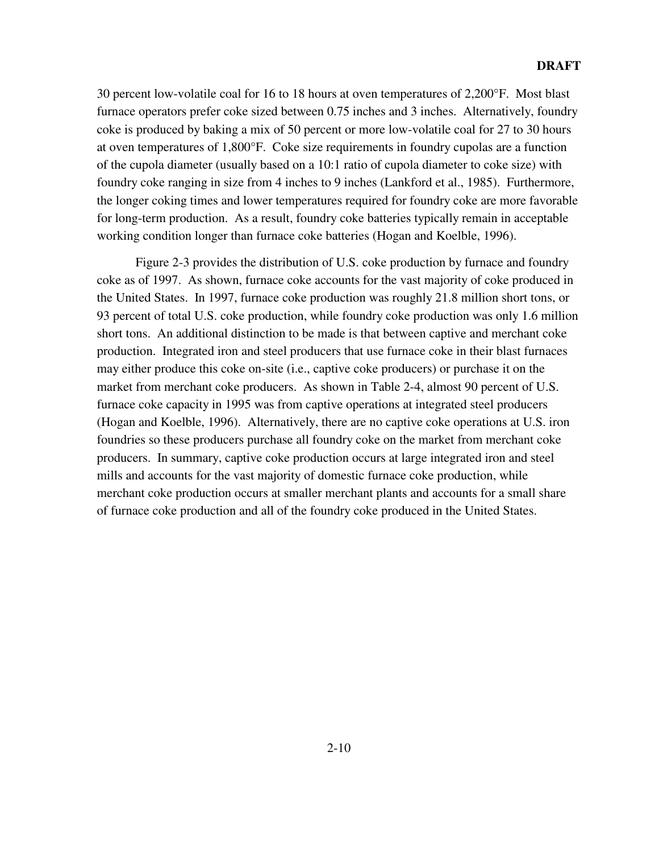30 percent low-volatile coal for 16 to 18 hours at oven temperatures of 2,200°F. Most blast furnace operators prefer coke sized between 0.75 inches and 3 inches. Alternatively, foundry coke is produced by baking a mix of 50 percent or more low-volatile coal for 27 to 30 hours at oven temperatures of 1,800°F. Coke size requirements in foundry cupolas are a function of the cupola diameter (usually based on a 10:1 ratio of cupola diameter to coke size) with foundry coke ranging in size from 4 inches to 9 inches (Lankford et al., 1985). Furthermore, the longer coking times and lower temperatures required for foundry coke are more favorable for long-term production. As a result, foundry coke batteries typically remain in acceptable working condition longer than furnace coke batteries (Hogan and Koelble, 1996).

Figure 2-3 provides the distribution of U.S. coke production by furnace and foundry coke as of 1997. As shown, furnace coke accounts for the vast majority of coke produced in the United States. In 1997, furnace coke production was roughly 21.8 million short tons, or 93 percent of total U.S. coke production, while foundry coke production was only 1.6 million short tons. An additional distinction to be made is that between captive and merchant coke production. Integrated iron and steel producers that use furnace coke in their blast furnaces may either produce this coke on-site (i.e., captive coke producers) or purchase it on the market from merchant coke producers. As shown in Table 2-4, almost 90 percent of U.S. furnace coke capacity in 1995 was from captive operations at integrated steel producers (Hogan and Koelble, 1996). Alternatively, there are no captive coke operations at U.S. iron foundries so these producers purchase all foundry coke on the market from merchant coke producers. In summary, captive coke production occurs at large integrated iron and steel mills and accounts for the vast majority of domestic furnace coke production, while merchant coke production occurs at smaller merchant plants and accounts for a small share of furnace coke production and all of the foundry coke produced in the United States.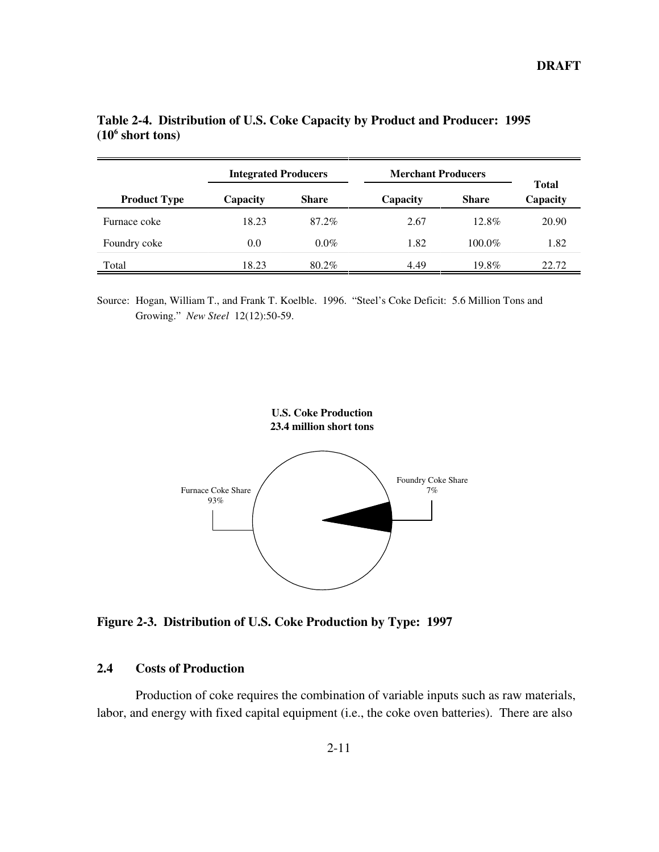|                     | <b>Integrated Producers</b> |              | <b>Merchant Producers</b> |              |                   |
|---------------------|-----------------------------|--------------|---------------------------|--------------|-------------------|
| <b>Product Type</b> | Capacity                    | <b>Share</b> | Capacity                  | <b>Share</b> | Total<br>Capacity |
| Furnace coke        | 18.23                       | 87.2%        | 2.67                      | $12.8\%$     | 20.90             |
| Foundry coke        | 0.0                         | $0.0\%$      | 1.82                      | $100.0\%$    | 1.82              |
| Total               | 18.23                       | 80.2%        | 4.49                      | 19.8%        | 22.72             |

**Table 2-4. Distribution of U.S. Coke Capacity by Product and Producer: 1995 (106 short tons)**

Source: Hogan, William T., and Frank T. Koelble. 1996. "Steel's Coke Deficit: 5.6 Million Tons and Growing." *New Steel* 12(12):50-59.



**Figure 2-3. Distribution of U.S. Coke Production by Type: 1997**

#### **2.4 Costs of Production**

Production of coke requires the combination of variable inputs such as raw materials, labor, and energy with fixed capital equipment (i.e., the coke oven batteries). There are also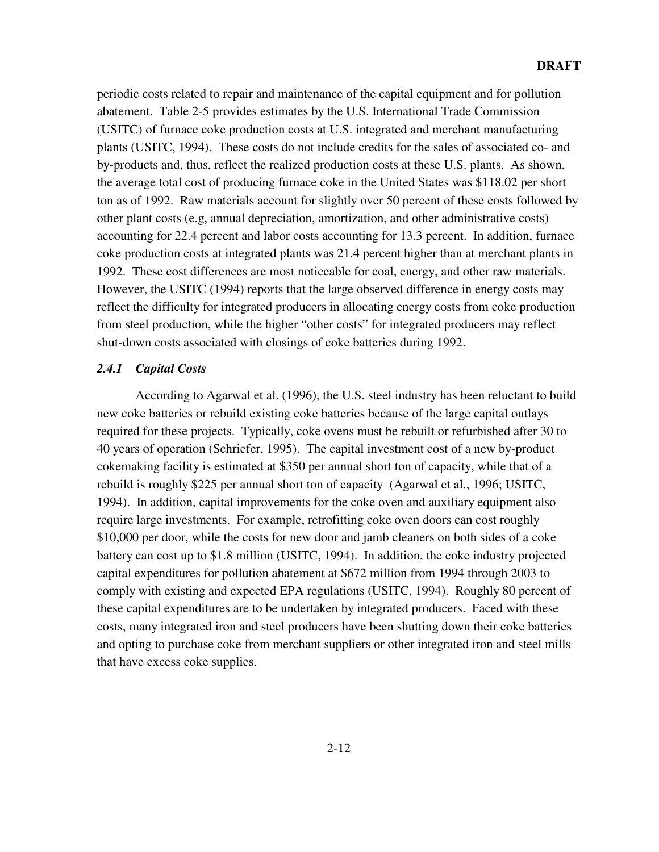periodic costs related to repair and maintenance of the capital equipment and for pollution abatement. Table 2-5 provides estimates by the U.S. International Trade Commission (USITC) of furnace coke production costs at U.S. integrated and merchant manufacturing plants (USITC, 1994). These costs do not include credits for the sales of associated co- and by-products and, thus, reflect the realized production costs at these U.S. plants. As shown, the average total cost of producing furnace coke in the United States was \$118.02 per short ton as of 1992. Raw materials account for slightly over 50 percent of these costs followed by other plant costs (e.g, annual depreciation, amortization, and other administrative costs) accounting for 22.4 percent and labor costs accounting for 13.3 percent. In addition, furnace coke production costs at integrated plants was 21.4 percent higher than at merchant plants in 1992. These cost differences are most noticeable for coal, energy, and other raw materials. However, the USITC (1994) reports that the large observed difference in energy costs may reflect the difficulty for integrated producers in allocating energy costs from coke production from steel production, while the higher "other costs" for integrated producers may reflect shut-down costs associated with closings of coke batteries during 1992.

#### *2.4.1 Capital Costs*

According to Agarwal et al. (1996), the U.S. steel industry has been reluctant to build new coke batteries or rebuild existing coke batteries because of the large capital outlays required for these projects. Typically, coke ovens must be rebuilt or refurbished after 30 to 40 years of operation (Schriefer, 1995). The capital investment cost of a new by-product cokemaking facility is estimated at \$350 per annual short ton of capacity, while that of a rebuild is roughly \$225 per annual short ton of capacity (Agarwal et al., 1996; USITC, 1994). In addition, capital improvements for the coke oven and auxiliary equipment also require large investments. For example, retrofitting coke oven doors can cost roughly \$10,000 per door, while the costs for new door and jamb cleaners on both sides of a coke battery can cost up to \$1.8 million (USITC, 1994). In addition, the coke industry projected capital expenditures for pollution abatement at \$672 million from 1994 through 2003 to comply with existing and expected EPA regulations (USITC, 1994). Roughly 80 percent of these capital expenditures are to be undertaken by integrated producers. Faced with these costs, many integrated iron and steel producers have been shutting down their coke batteries and opting to purchase coke from merchant suppliers or other integrated iron and steel mills that have excess coke supplies.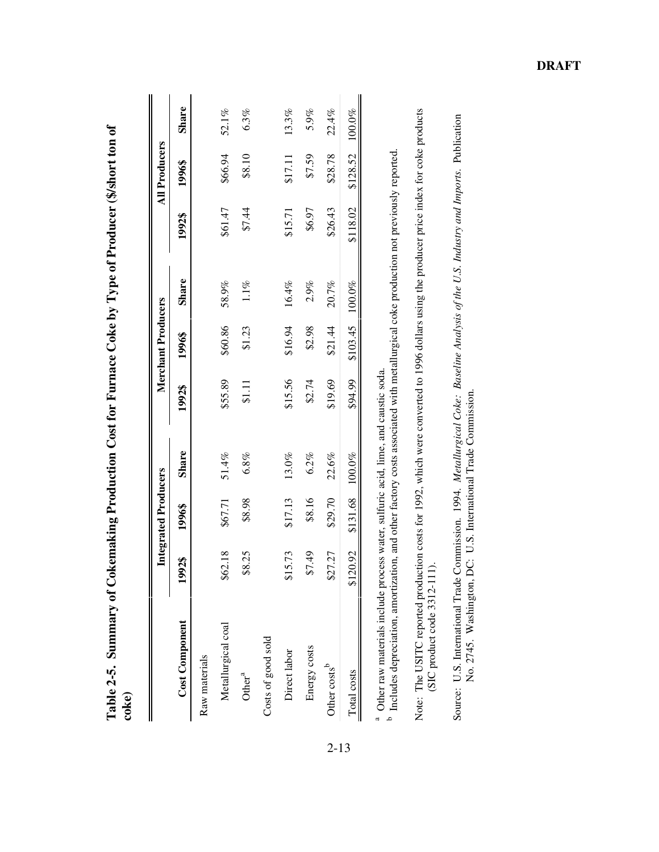| <b>Cost Component</b><br>Raw materials |          |                             |              |         |                     |         |          |                      |              |
|----------------------------------------|----------|-----------------------------|--------------|---------|---------------------|---------|----------|----------------------|--------------|
|                                        |          | <b>Integrated Producers</b> |              |         | Merchant Producers  |         |          | <b>All Producers</b> |              |
|                                        | 1992\$   | 1996\$                      | <b>Share</b> | 1992\$  | 1996\$              | Share   | 1992\$   | 1996\$               | <b>Share</b> |
|                                        |          |                             |              |         |                     |         |          |                      |              |
| ↮<br>Metallurgical coal                | 62.18    | \$67.71                     | 51.4%        | \$55.89 | \$60.86             | 58.9%   | \$61.47  | \$66.94              | 52.1%        |
| Other <sup>a</sup>                     | \$8.25   | \$8.98                      | 6.8%         | \$1.11  | \$1.23              | $1.1\%$ | \$7.44   | \$8.10               | 6.3%         |
| Costs of good sold                     |          |                             |              |         |                     |         |          |                      |              |
| မြ<br>Direct labor                     | 15.73    | \$17.13                     | $13.0\%$     | \$15.56 | \$16.94             | 16.4%   | \$15.71  | \$17.11              | 13.3%        |
| Energy costs                           | \$7.49   | \$8.16                      | 6.2%         | \$2.74  | \$2.98              | 2.9%    | \$6.97   | \$7.59               | 5.9%         |
| Other costs <sup>b</sup>               | \$27.27  | \$29.70                     | 22.6%        | \$19.69 | \$21.44             | 20.7%   | \$26.43  | \$28.78              | 22.4%        |
| Total costs                            | \$120.92 | \$131.68 100.0%             |              | \$94.99 | $$103.45$ $100.0\%$ |         | \$118.02 | \$128.52             | 100.0%       |

Table 2-5. Summary of Cokemaking Production Cost for Furnace Coke by Type of Producer (\$/short ton of **Table 2-5. Summary of Cokemaking Production Cost for Furnace Coke by Type of Producer (\$/short ton of coke)**

<sup>a</sup> Other raw materials include process water, sulfuric acid, lime, and caustic soda. Other raw materials include process water, sulfuric acid, lime, and caustic soda.

b Lincludes depreciation, amortization, and other factory costs associated with metallurgical coke production not previously reported.<br>Includes depreciation, amortization, and other factory costs associated with metallurgi Includes depreciation, amortization, and other factory costs associated with metallurgical coke production not previously reported.

Note: The USITC reported production costs for 1992, which were converted to 1996 dollars using the producer price index for coke products Note: The USITC reported production costs for 1992, which were converted to 1996 dollars using the producer price index for coke products  $(SIC$  product code  $3312-111$ ). (SIC product code 3312-111).

Source: U.S. International Trade Commission. 1994. Metallurgical Coke: Baseline Analysis of the U.S. Industry and Imports. Publication<br>No. 2745. Washington, DC: U.S. International Trade Commission. Source: U.S. International Trade Commission. 1994. *Metallurgical Coke: Baseline Analysis of the U.S. Industry and Imports.* Publication No. 2745. Washington, DC: U.S. International Trade Commission.

2-13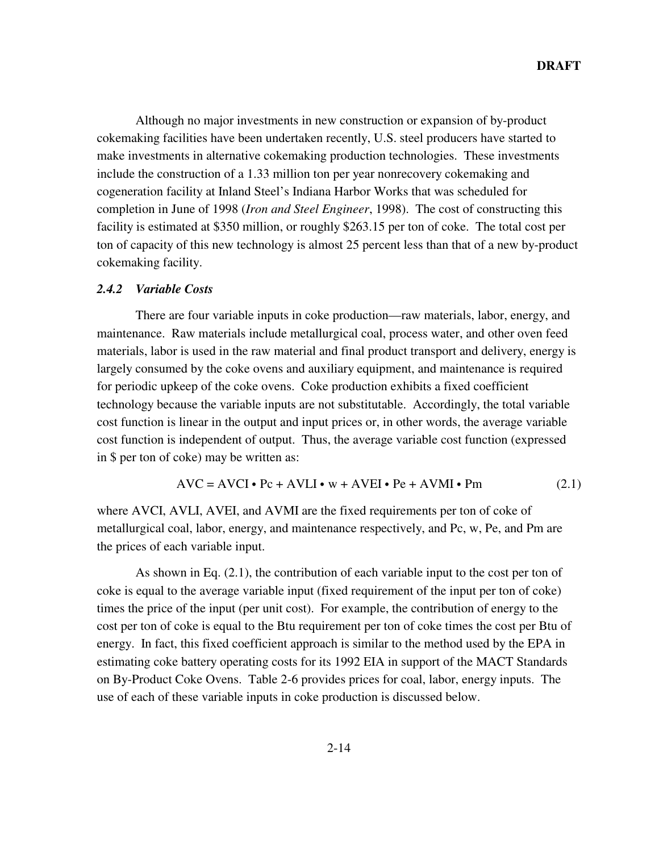Although no major investments in new construction or expansion of by-product cokemaking facilities have been undertaken recently, U.S. steel producers have started to make investments in alternative cokemaking production technologies. These investments include the construction of a 1.33 million ton per year nonrecovery cokemaking and cogeneration facility at Inland Steel's Indiana Harbor Works that was scheduled for completion in June of 1998 (*Iron and Steel Engineer*, 1998). The cost of constructing this facility is estimated at \$350 million, or roughly \$263.15 per ton of coke. The total cost per ton of capacity of this new technology is almost 25 percent less than that of a new by-product cokemaking facility.

#### *2.4.2 Variable Costs*

There are four variable inputs in coke production—raw materials, labor, energy, and maintenance. Raw materials include metallurgical coal, process water, and other oven feed materials, labor is used in the raw material and final product transport and delivery, energy is largely consumed by the coke ovens and auxiliary equipment, and maintenance is required for periodic upkeep of the coke ovens. Coke production exhibits a fixed coefficient technology because the variable inputs are not substitutable. Accordingly, the total variable cost function is linear in the output and input prices or, in other words, the average variable cost function is independent of output. Thus, the average variable cost function (expressed in \$ per ton of coke) may be written as:

$$
AVC = AVCI \cdot Pc + AVLI \cdot w + AVEI \cdot Pe + AVMI \cdot Pm
$$
 (2.1)

where AVCI, AVLI, AVEI, and AVMI are the fixed requirements per ton of coke of metallurgical coal, labor, energy, and maintenance respectively, and Pc, w, Pe, and Pm are the prices of each variable input.

As shown in Eq. (2.1), the contribution of each variable input to the cost per ton of coke is equal to the average variable input (fixed requirement of the input per ton of coke) times the price of the input (per unit cost). For example, the contribution of energy to the cost per ton of coke is equal to the Btu requirement per ton of coke times the cost per Btu of energy. In fact, this fixed coefficient approach is similar to the method used by the EPA in estimating coke battery operating costs for its 1992 EIA in support of the MACT Standards on By-Product Coke Ovens. Table 2-6 provides prices for coal, labor, energy inputs. The use of each of these variable inputs in coke production is discussed below.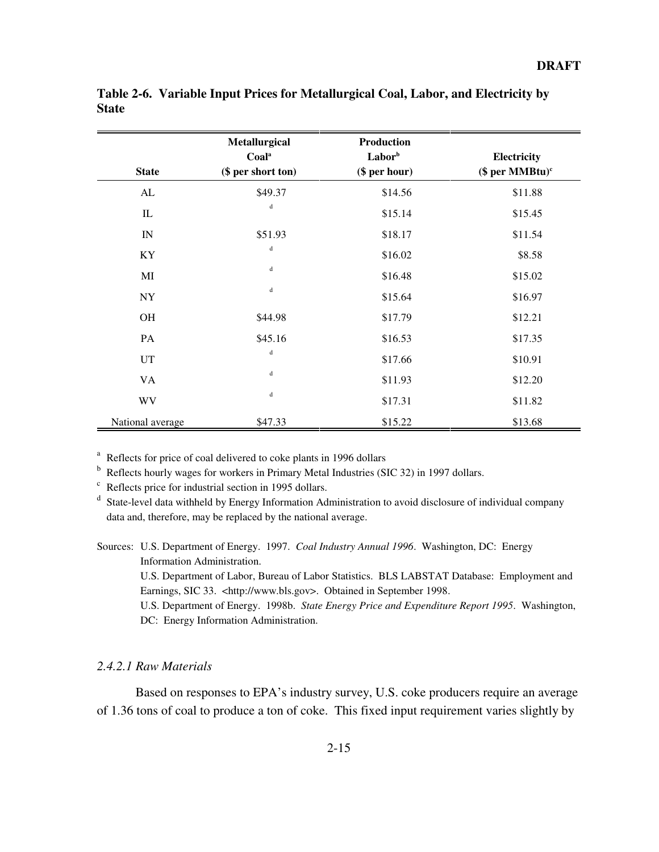| <b>State</b>     | Metallurgical<br>Coala<br>(\$ per short ton) | <b>Production</b><br>Laborb<br>(\$ per hour) | Electricity<br>(\$ per $MMBtu$ <sup>c</sup> |
|------------------|----------------------------------------------|----------------------------------------------|---------------------------------------------|
|                  |                                              |                                              |                                             |
| ${\rm AL}$       | \$49.37                                      | \$14.56                                      | \$11.88                                     |
| $\mathbf{I}$     | ${\bf d}$                                    | \$15.14                                      | \$15.45                                     |
| IN               | \$51.93                                      | \$18.17                                      | \$11.54                                     |
| KY               | $\mathbf d$                                  | \$16.02                                      | \$8.58                                      |
| MI               | $\mathsf d$                                  | \$16.48                                      | \$15.02                                     |
| ${\rm NY}$       | $\mathbf d$                                  | \$15.64                                      | \$16.97                                     |
| OH               | \$44.98                                      | \$17.79                                      | \$12.21                                     |
| PA               | \$45.16                                      | \$16.53                                      | \$17.35                                     |
| <b>UT</b>        | $\mathbf d$                                  | \$17.66                                      | \$10.91                                     |
| VA               | $\mathbf d$                                  | \$11.93                                      | \$12.20                                     |
| <b>WV</b>        | $\mathbf d$                                  | \$17.31                                      | \$11.82                                     |
| National average | \$47.33                                      | \$15.22                                      | \$13.68                                     |

**Table 2-6. Variable Input Prices for Metallurgical Coal, Labor, and Electricity by State**

<sup>a</sup> Reflects for price of coal delivered to coke plants in 1996 dollars

<sup>b</sup> Reflects hourly wages for workers in Primary Metal Industries (SIC 32) in 1997 dollars.

 $\degree$  Reflects price for industrial section in 1995 dollars.

<sup>d</sup> State-level data withheld by Energy Information Administration to avoid disclosure of individual company data and, therefore, may be replaced by the national average.

Sources: U.S. Department of Energy. 1997. *Coal Industry Annual 1996*. Washington, DC: Energy Information Administration.

U.S. Department of Labor, Bureau of Labor Statistics. BLS LABSTAT Database: Employment and Earnings, SIC 33. <http://www.bls.gov>. Obtained in September 1998.

U.S. Department of Energy. 1998b. *State Energy Price and Expenditure Report 1995*. Washington, DC: Energy Information Administration.

#### *2.4.2.1 Raw Materials*

Based on responses to EPA's industry survey, U.S. coke producers require an average of 1.36 tons of coal to produce a ton of coke. This fixed input requirement varies slightly by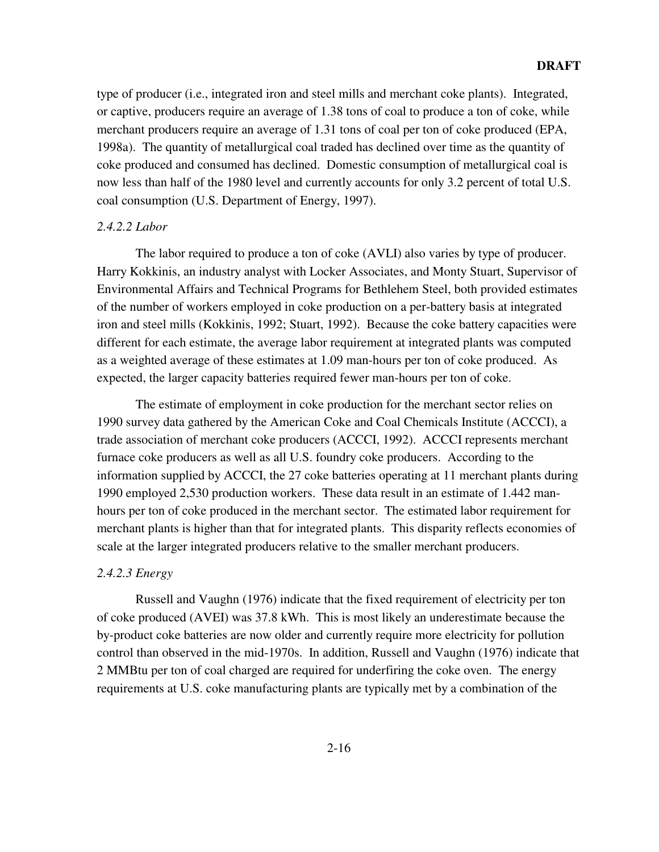type of producer (i.e., integrated iron and steel mills and merchant coke plants). Integrated, or captive, producers require an average of 1.38 tons of coal to produce a ton of coke, while merchant producers require an average of 1.31 tons of coal per ton of coke produced (EPA, 1998a). The quantity of metallurgical coal traded has declined over time as the quantity of coke produced and consumed has declined. Domestic consumption of metallurgical coal is now less than half of the 1980 level and currently accounts for only 3.2 percent of total U.S. coal consumption (U.S. Department of Energy, 1997).

#### *2.4.2.2 Labor*

The labor required to produce a ton of coke (AVLI) also varies by type of producer. Harry Kokkinis, an industry analyst with Locker Associates, and Monty Stuart, Supervisor of Environmental Affairs and Technical Programs for Bethlehem Steel, both provided estimates of the number of workers employed in coke production on a per-battery basis at integrated iron and steel mills (Kokkinis, 1992; Stuart, 1992). Because the coke battery capacities were different for each estimate, the average labor requirement at integrated plants was computed as a weighted average of these estimates at 1.09 man-hours per ton of coke produced. As expected, the larger capacity batteries required fewer man-hours per ton of coke.

The estimate of employment in coke production for the merchant sector relies on 1990 survey data gathered by the American Coke and Coal Chemicals Institute (ACCCI), a trade association of merchant coke producers (ACCCI, 1992). ACCCI represents merchant furnace coke producers as well as all U.S. foundry coke producers. According to the information supplied by ACCCI, the 27 coke batteries operating at 11 merchant plants during 1990 employed 2,530 production workers. These data result in an estimate of 1.442 manhours per ton of coke produced in the merchant sector. The estimated labor requirement for merchant plants is higher than that for integrated plants. This disparity reflects economies of scale at the larger integrated producers relative to the smaller merchant producers.

#### *2.4.2.3 Energy*

Russell and Vaughn (1976) indicate that the fixed requirement of electricity per ton of coke produced (AVEI) was 37.8 kWh. This is most likely an underestimate because the by-product coke batteries are now older and currently require more electricity for pollution control than observed in the mid-1970s. In addition, Russell and Vaughn (1976) indicate that 2 MMBtu per ton of coal charged are required for underfiring the coke oven. The energy requirements at U.S. coke manufacturing plants are typically met by a combination of the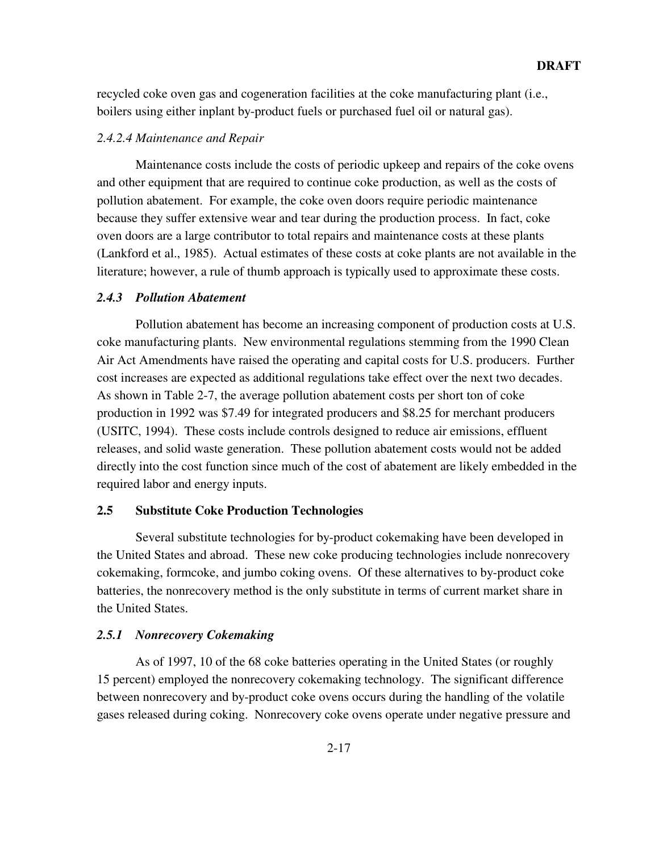recycled coke oven gas and cogeneration facilities at the coke manufacturing plant (i.e., boilers using either inplant by-product fuels or purchased fuel oil or natural gas).

#### *2.4.2.4 Maintenance and Repair*

Maintenance costs include the costs of periodic upkeep and repairs of the coke ovens and other equipment that are required to continue coke production, as well as the costs of pollution abatement. For example, the coke oven doors require periodic maintenance because they suffer extensive wear and tear during the production process. In fact, coke oven doors are a large contributor to total repairs and maintenance costs at these plants (Lankford et al., 1985). Actual estimates of these costs at coke plants are not available in the literature; however, a rule of thumb approach is typically used to approximate these costs.

#### *2.4.3 Pollution Abatement*

Pollution abatement has become an increasing component of production costs at U.S. coke manufacturing plants. New environmental regulations stemming from the 1990 Clean Air Act Amendments have raised the operating and capital costs for U.S. producers. Further cost increases are expected as additional regulations take effect over the next two decades. As shown in Table 2-7, the average pollution abatement costs per short ton of coke production in 1992 was \$7.49 for integrated producers and \$8.25 for merchant producers (USITC, 1994). These costs include controls designed to reduce air emissions, effluent releases, and solid waste generation. These pollution abatement costs would not be added directly into the cost function since much of the cost of abatement are likely embedded in the required labor and energy inputs.

#### **2.5 Substitute Coke Production Technologies**

Several substitute technologies for by-product cokemaking have been developed in the United States and abroad. These new coke producing technologies include nonrecovery cokemaking, formcoke, and jumbo coking ovens. Of these alternatives to by-product coke batteries, the nonrecovery method is the only substitute in terms of current market share in the United States.

#### *2.5.1 Nonrecovery Cokemaking*

As of 1997, 10 of the 68 coke batteries operating in the United States (or roughly 15 percent) employed the nonrecovery cokemaking technology. The significant difference between nonrecovery and by-product coke ovens occurs during the handling of the volatile gases released during coking. Nonrecovery coke ovens operate under negative pressure and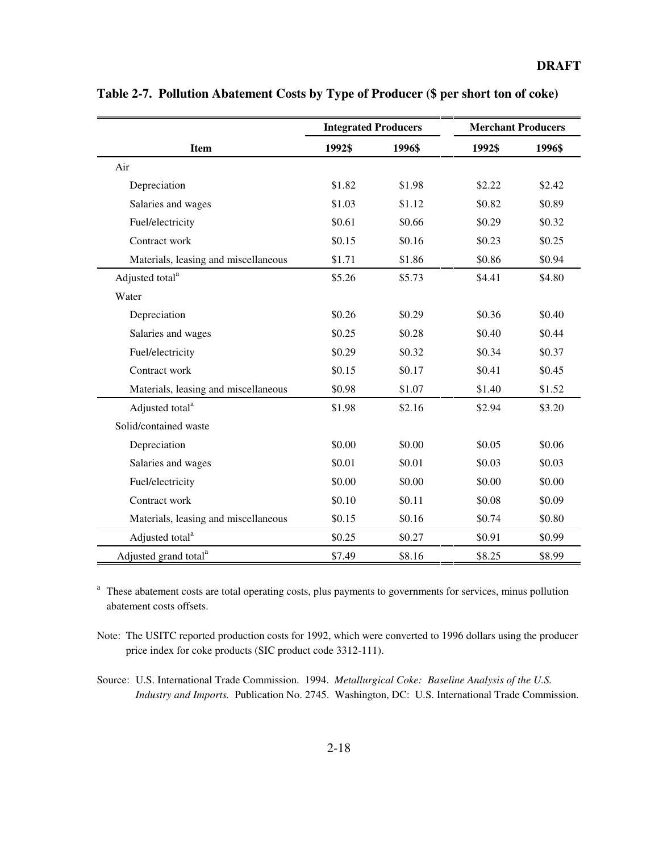|                                      | <b>Integrated Producers</b> |        | <b>Merchant Producers</b> |        |
|--------------------------------------|-----------------------------|--------|---------------------------|--------|
| <b>Item</b>                          | 1992\$                      | 1996\$ | 1992\$                    | 1996\$ |
| Air                                  |                             |        |                           |        |
| Depreciation                         | \$1.82                      | \$1.98 | \$2.22                    | \$2.42 |
| Salaries and wages                   | \$1.03                      | \$1.12 | \$0.82                    | \$0.89 |
| Fuel/electricity                     | \$0.61                      | \$0.66 | \$0.29                    | \$0.32 |
| Contract work                        | \$0.15                      | \$0.16 | \$0.23                    | \$0.25 |
| Materials, leasing and miscellaneous | \$1.71                      | \$1.86 | \$0.86                    | \$0.94 |
| Adjusted total <sup>a</sup>          | \$5.26                      | \$5.73 | \$4.41                    | \$4.80 |
| Water                                |                             |        |                           |        |
| Depreciation                         | \$0.26                      | \$0.29 | \$0.36                    | \$0.40 |
| Salaries and wages                   | \$0.25                      | \$0.28 | \$0.40                    | \$0.44 |
| Fuel/electricity                     | \$0.29                      | \$0.32 | \$0.34                    | \$0.37 |
| Contract work                        | \$0.15                      | \$0.17 | \$0.41                    | \$0.45 |
| Materials, leasing and miscellaneous | \$0.98                      | \$1.07 | \$1.40                    | \$1.52 |
| Adjusted total <sup>a</sup>          | \$1.98                      | \$2.16 | \$2.94                    | \$3.20 |
| Solid/contained waste                |                             |        |                           |        |
| Depreciation                         | \$0.00                      | \$0.00 | \$0.05                    | \$0.06 |
| Salaries and wages                   | \$0.01                      | \$0.01 | \$0.03                    | \$0.03 |
| Fuel/electricity                     | \$0.00                      | \$0.00 | \$0.00                    | \$0.00 |
| Contract work                        | \$0.10                      | \$0.11 | \$0.08                    | \$0.09 |
| Materials, leasing and miscellaneous | \$0.15                      | \$0.16 | \$0.74                    | \$0.80 |
| Adjusted total <sup>a</sup>          | \$0.25                      | \$0.27 | \$0.91                    | \$0.99 |
| Adjusted grand total <sup>a</sup>    | \$7.49                      | \$8.16 | \$8.25                    | \$8.99 |

**Table 2-7. Pollution Abatement Costs by Type of Producer (\$ per short ton of coke)**

<sup>a</sup> These abatement costs are total operating costs, plus payments to governments for services, minus pollution abatement costs offsets.

Note: The USITC reported production costs for 1992, which were converted to 1996 dollars using the producer price index for coke products (SIC product code 3312-111).

Source: U.S. International Trade Commission. 1994. *Metallurgical Coke: Baseline Analysis of the U.S. Industry and Imports.* Publication No. 2745. Washington, DC: U.S. International Trade Commission.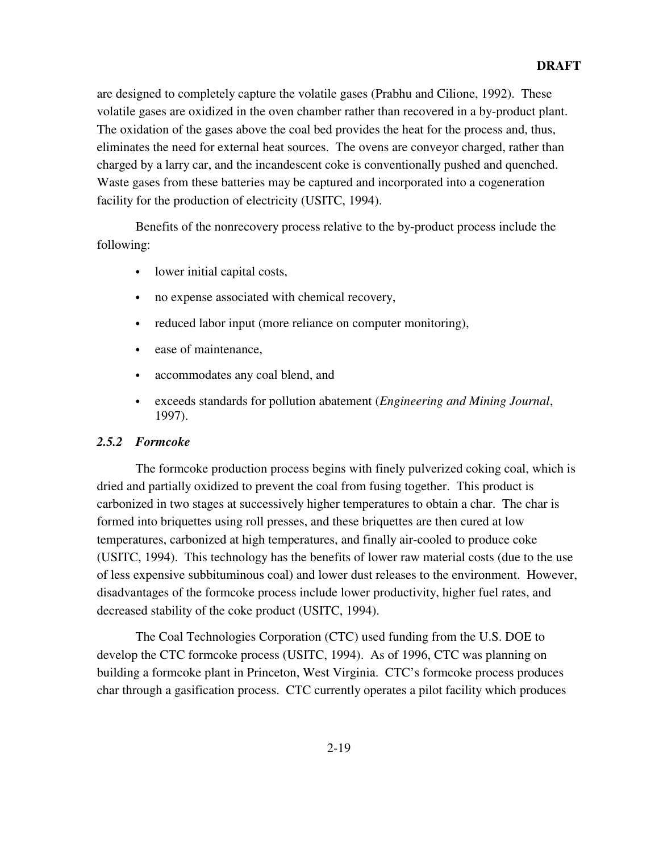are designed to completely capture the volatile gases (Prabhu and Cilione, 1992). These volatile gases are oxidized in the oven chamber rather than recovered in a by-product plant. The oxidation of the gases above the coal bed provides the heat for the process and, thus, eliminates the need for external heat sources. The ovens are conveyor charged, rather than charged by a larry car, and the incandescent coke is conventionally pushed and quenched. Waste gases from these batteries may be captured and incorporated into a cogeneration facility for the production of electricity (USITC, 1994).

Benefits of the nonrecovery process relative to the by-product process include the following:

- lower initial capital costs,
- no expense associated with chemical recovery,
- reduced labor input (more reliance on computer monitoring),
- ease of maintenance,
- accommodates any coal blend, and
- exceeds standards for pollution abatement (*Engineering and Mining Journal*, 1997).

#### *2.5.2 Formcoke*

The formcoke production process begins with finely pulverized coking coal, which is dried and partially oxidized to prevent the coal from fusing together. This product is carbonized in two stages at successively higher temperatures to obtain a char. The char is formed into briquettes using roll presses, and these briquettes are then cured at low temperatures, carbonized at high temperatures, and finally air-cooled to produce coke (USITC, 1994). This technology has the benefits of lower raw material costs (due to the use of less expensive subbituminous coal) and lower dust releases to the environment. However, disadvantages of the formcoke process include lower productivity, higher fuel rates, and decreased stability of the coke product (USITC, 1994).

The Coal Technologies Corporation (CTC) used funding from the U.S. DOE to develop the CTC formcoke process (USITC, 1994). As of 1996, CTC was planning on building a formcoke plant in Princeton, West Virginia. CTC's formcoke process produces char through a gasification process. CTC currently operates a pilot facility which produces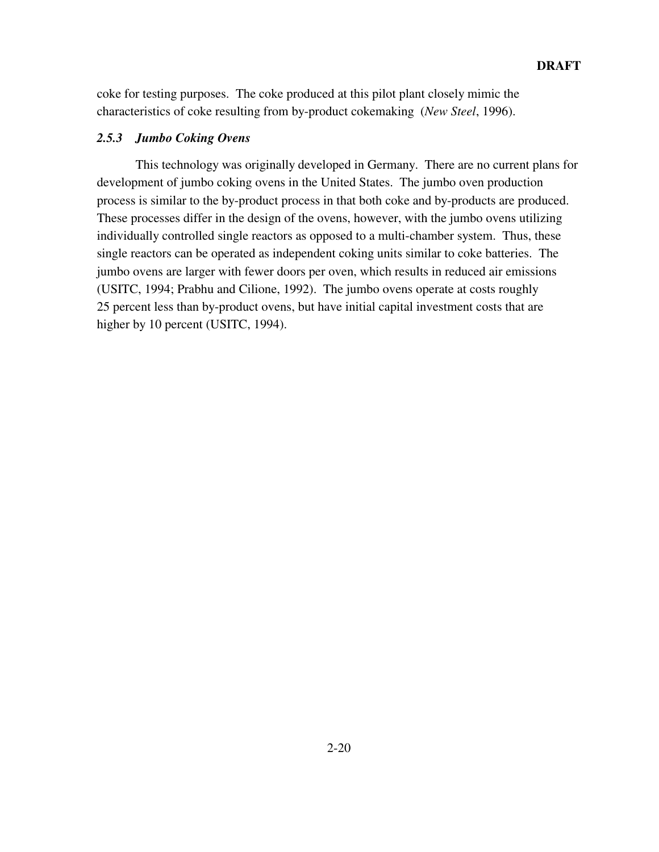coke for testing purposes. The coke produced at this pilot plant closely mimic the characteristics of coke resulting from by-product cokemaking (*New Steel*, 1996).

#### *2.5.3 Jumbo Coking Ovens*

This technology was originally developed in Germany. There are no current plans for development of jumbo coking ovens in the United States. The jumbo oven production process is similar to the by-product process in that both coke and by-products are produced. These processes differ in the design of the ovens, however, with the jumbo ovens utilizing individually controlled single reactors as opposed to a multi-chamber system. Thus, these single reactors can be operated as independent coking units similar to coke batteries. The jumbo ovens are larger with fewer doors per oven, which results in reduced air emissions (USITC, 1994; Prabhu and Cilione, 1992). The jumbo ovens operate at costs roughly 25 percent less than by-product ovens, but have initial capital investment costs that are higher by 10 percent (USITC, 1994).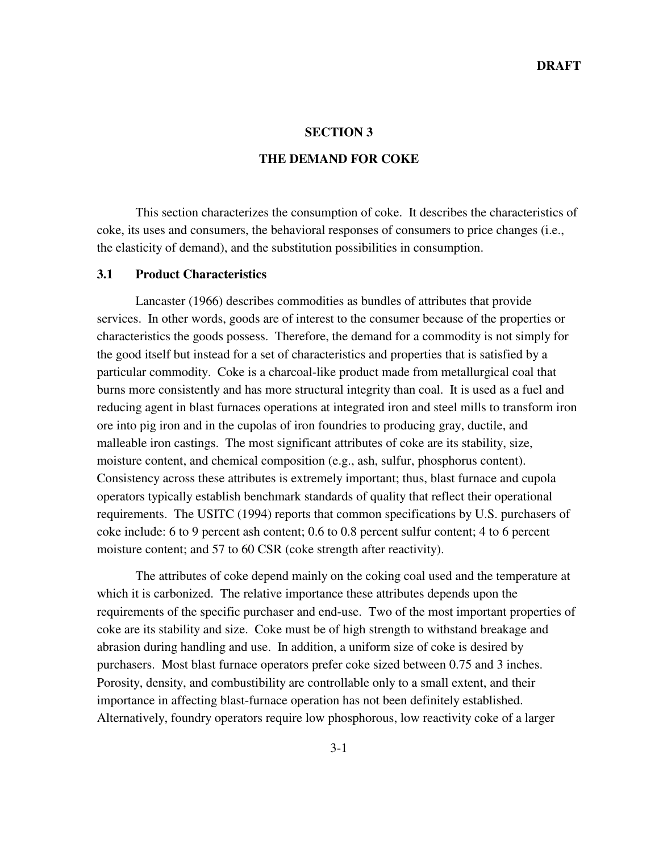#### **SECTION 3**

#### **THE DEMAND FOR COKE**

This section characterizes the consumption of coke. It describes the characteristics of coke, its uses and consumers, the behavioral responses of consumers to price changes (i.e., the elasticity of demand), and the substitution possibilities in consumption.

#### **3.1 Product Characteristics**

Lancaster (1966) describes commodities as bundles of attributes that provide services. In other words, goods are of interest to the consumer because of the properties or characteristics the goods possess. Therefore, the demand for a commodity is not simply for the good itself but instead for a set of characteristics and properties that is satisfied by a particular commodity. Coke is a charcoal-like product made from metallurgical coal that burns more consistently and has more structural integrity than coal. It is used as a fuel and reducing agent in blast furnaces operations at integrated iron and steel mills to transform iron ore into pig iron and in the cupolas of iron foundries to producing gray, ductile, and malleable iron castings. The most significant attributes of coke are its stability, size, moisture content, and chemical composition (e.g., ash, sulfur, phosphorus content). Consistency across these attributes is extremely important; thus, blast furnace and cupola operators typically establish benchmark standards of quality that reflect their operational requirements. The USITC (1994) reports that common specifications by U.S. purchasers of coke include: 6 to 9 percent ash content; 0.6 to 0.8 percent sulfur content; 4 to 6 percent moisture content; and 57 to 60 CSR (coke strength after reactivity).

The attributes of coke depend mainly on the coking coal used and the temperature at which it is carbonized. The relative importance these attributes depends upon the requirements of the specific purchaser and end-use. Two of the most important properties of coke are its stability and size. Coke must be of high strength to withstand breakage and abrasion during handling and use. In addition, a uniform size of coke is desired by purchasers. Most blast furnace operators prefer coke sized between 0.75 and 3 inches. Porosity, density, and combustibility are controllable only to a small extent, and their importance in affecting blast-furnace operation has not been definitely established. Alternatively, foundry operators require low phosphorous, low reactivity coke of a larger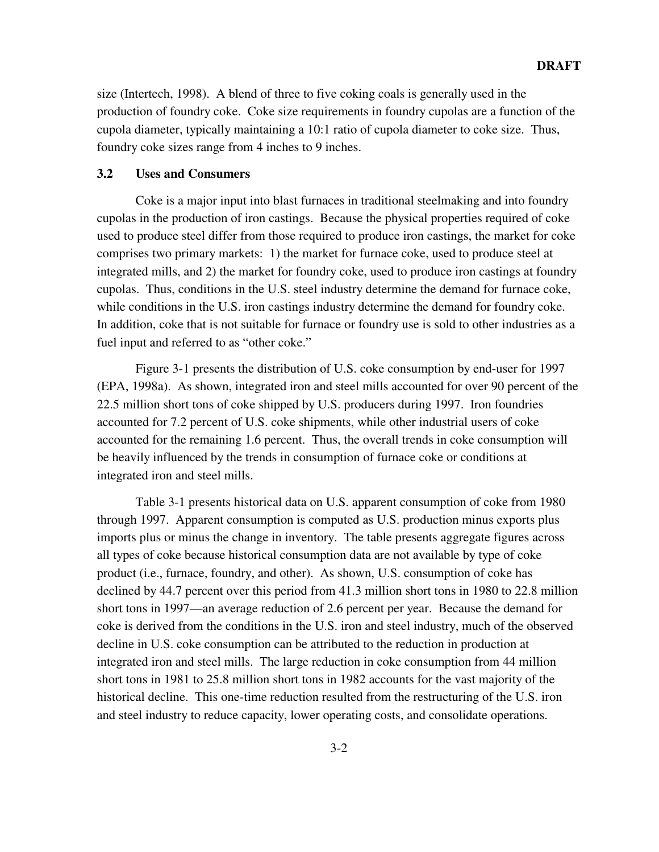size (Intertech, 1998). A blend of three to five coking coals is generally used in the production of foundry coke. Coke size requirements in foundry cupolas are a function of the cupola diameter, typically maintaining a 10:1 ratio of cupola diameter to coke size. Thus, foundry coke sizes range from 4 inches to 9 inches.

#### **3.2 Uses and Consumers**

Coke is a major input into blast furnaces in traditional steelmaking and into foundry cupolas in the production of iron castings. Because the physical properties required of coke used to produce steel differ from those required to produce iron castings, the market for coke comprises two primary markets: 1) the market for furnace coke, used to produce steel at integrated mills, and 2) the market for foundry coke, used to produce iron castings at foundry cupolas. Thus, conditions in the U.S. steel industry determine the demand for furnace coke, while conditions in the U.S. iron castings industry determine the demand for foundry coke. In addition, coke that is not suitable for furnace or foundry use is sold to other industries as a fuel input and referred to as "other coke."

Figure 3-1 presents the distribution of U.S. coke consumption by end-user for 1997 (EPA, 1998a). As shown, integrated iron and steel mills accounted for over 90 percent of the 22.5 million short tons of coke shipped by U.S. producers during 1997. Iron foundries accounted for 7.2 percent of U.S. coke shipments, while other industrial users of coke accounted for the remaining 1.6 percent. Thus, the overall trends in coke consumption will be heavily influenced by the trends in consumption of furnace coke or conditions at integrated iron and steel mills.

Table 3-1 presents historical data on U.S. apparent consumption of coke from 1980 through 1997. Apparent consumption is computed as U.S. production minus exports plus imports plus or minus the change in inventory. The table presents aggregate figures across all types of coke because historical consumption data are not available by type of coke product (i.e., furnace, foundry, and other). As shown, U.S. consumption of coke has declined by 44.7 percent over this period from 41.3 million short tons in 1980 to 22.8 million short tons in 1997—an average reduction of 2.6 percent per year. Because the demand for coke is derived from the conditions in the U.S. iron and steel industry, much of the observed decline in U.S. coke consumption can be attributed to the reduction in production at integrated iron and steel mills. The large reduction in coke consumption from 44 million short tons in 1981 to 25.8 million short tons in 1982 accounts for the vast majority of the historical decline. This one-time reduction resulted from the restructuring of the U.S. iron and steel industry to reduce capacity, lower operating costs, and consolidate operations.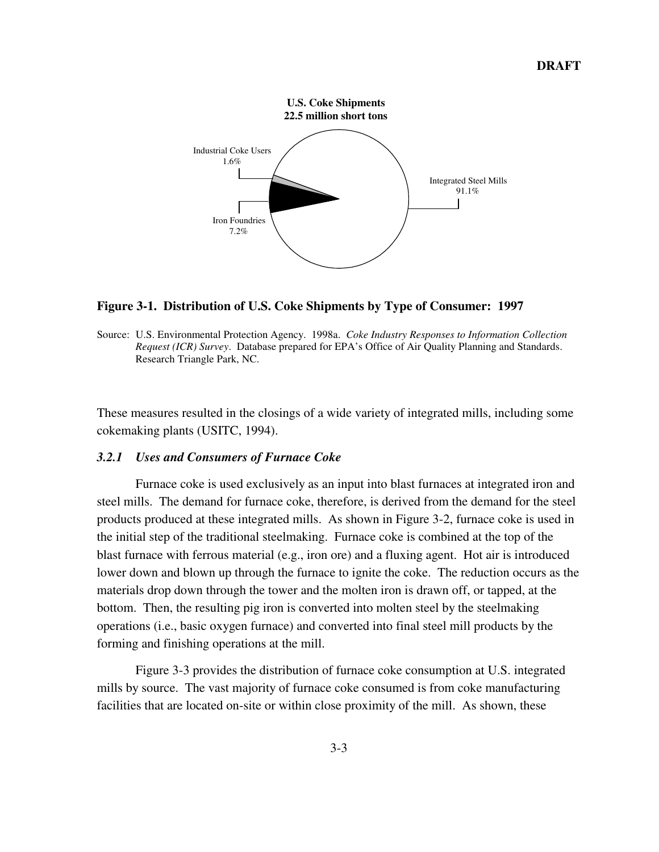

#### **Figure 3-1. Distribution of U.S. Coke Shipments by Type of Consumer: 1997**

These measures resulted in the closings of a wide variety of integrated mills, including some cokemaking plants (USITC, 1994).

#### *3.2.1 Uses and Consumers of Furnace Coke*

Furnace coke is used exclusively as an input into blast furnaces at integrated iron and steel mills. The demand for furnace coke, therefore, is derived from the demand for the steel products produced at these integrated mills. As shown in Figure 3-2, furnace coke is used in the initial step of the traditional steelmaking. Furnace coke is combined at the top of the blast furnace with ferrous material (e.g., iron ore) and a fluxing agent. Hot air is introduced lower down and blown up through the furnace to ignite the coke. The reduction occurs as the materials drop down through the tower and the molten iron is drawn off, or tapped, at the bottom. Then, the resulting pig iron is converted into molten steel by the steelmaking operations (i.e., basic oxygen furnace) and converted into final steel mill products by the forming and finishing operations at the mill.

Figure 3-3 provides the distribution of furnace coke consumption at U.S. integrated mills by source. The vast majority of furnace coke consumed is from coke manufacturing facilities that are located on-site or within close proximity of the mill. As shown, these

Source: U.S. Environmental Protection Agency. 1998a. *Coke Industry Responses to Information Collection Request (ICR) Survey*. Database prepared for EPA's Office of Air Quality Planning and Standards. Research Triangle Park, NC.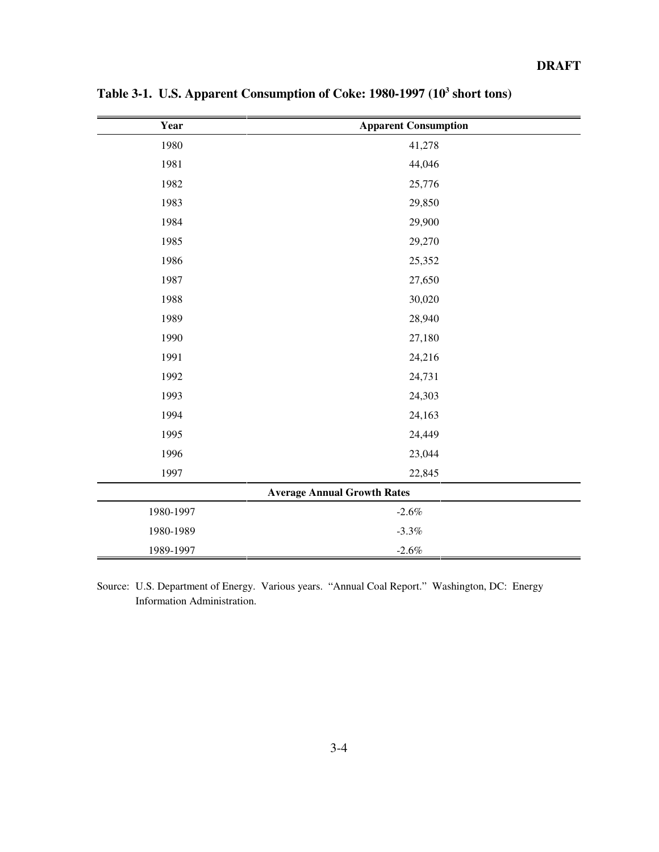| Year      | <b>Apparent Consumption</b>        |
|-----------|------------------------------------|
| 1980      | 41,278                             |
| 1981      | 44,046                             |
| 1982      | 25,776                             |
| 1983      | 29,850                             |
| 1984      | 29,900                             |
| 1985      | 29,270                             |
| 1986      | 25,352                             |
| 1987      | 27,650                             |
| 1988      | 30,020                             |
| 1989      | 28,940                             |
| 1990      | 27,180                             |
| 1991      | 24,216                             |
| 1992      | 24,731                             |
| 1993      | 24,303                             |
| 1994      | 24,163                             |
| 1995      | 24,449                             |
| 1996      | 23,044                             |
| 1997      | 22,845                             |
|           | <b>Average Annual Growth Rates</b> |
| 1980-1997 | $-2.6\%$                           |
| 1980-1989 | $-3.3\%$                           |
| 1989-1997 | $-2.6%$                            |

Table 3-1. U.S. Apparent Consumption of Coke: 1980-1997 (10<sup>3</sup> short tons)

Source: U.S. Department of Energy. Various years. "Annual Coal Report." Washington, DC: Energy Information Administration.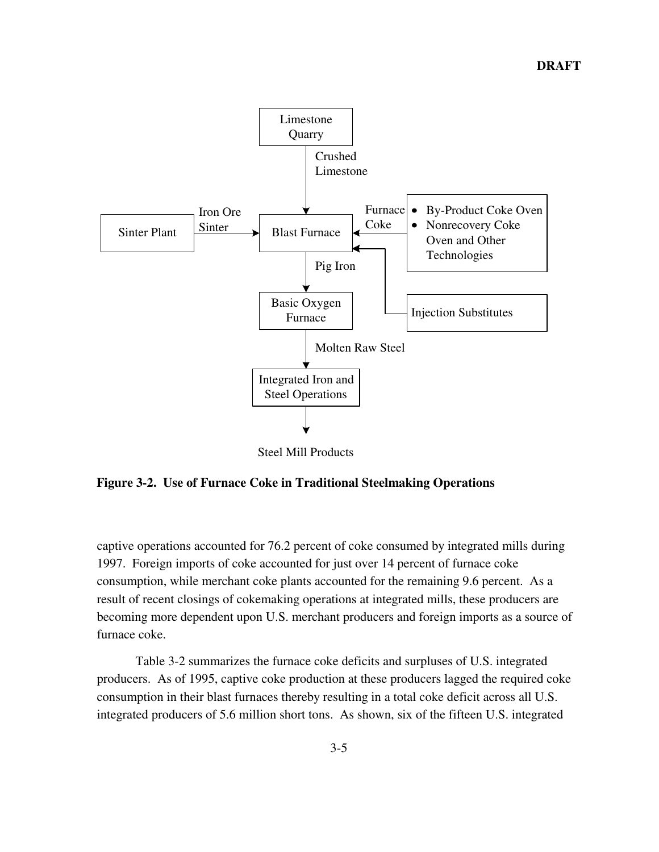

Steel Mill Products

**Figure 3-2. Use of Furnace Coke in Traditional Steelmaking Operations**

captive operations accounted for 76.2 percent of coke consumed by integrated mills during 1997. Foreign imports of coke accounted for just over 14 percent of furnace coke consumption, while merchant coke plants accounted for the remaining 9.6 percent. As a result of recent closings of cokemaking operations at integrated mills, these producers are becoming more dependent upon U.S. merchant producers and foreign imports as a source of furnace coke.

Table 3-2 summarizes the furnace coke deficits and surpluses of U.S. integrated producers. As of 1995, captive coke production at these producers lagged the required coke consumption in their blast furnaces thereby resulting in a total coke deficit across all U.S. integrated producers of 5.6 million short tons. As shown, six of the fifteen U.S. integrated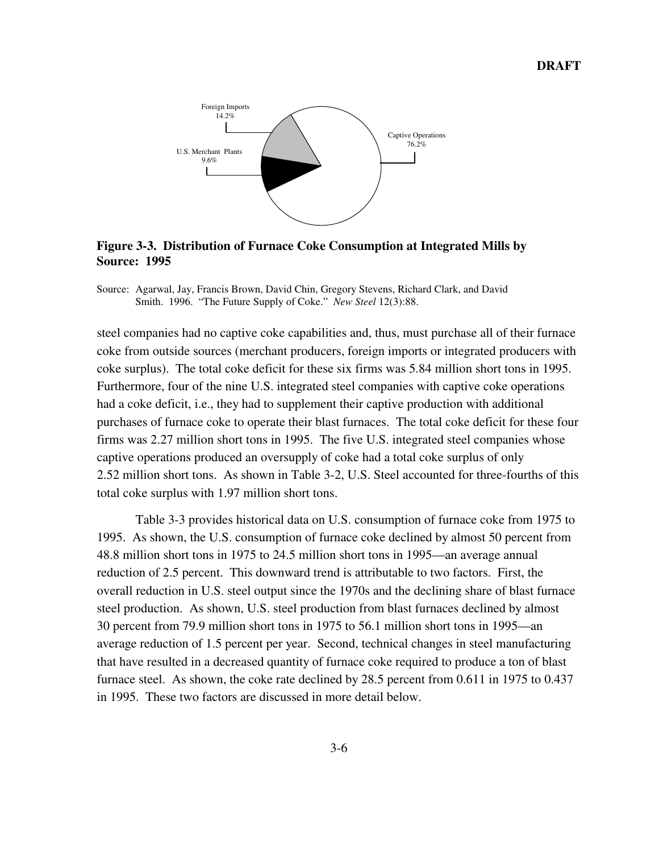

**Figure 3-3. Distribution of Furnace Coke Consumption at Integrated Mills by Source: 1995**

Source: Agarwal, Jay, Francis Brown, David Chin, Gregory Stevens, Richard Clark, and David Smith. 1996. "The Future Supply of Coke." *New Steel* 12(3):88.

steel companies had no captive coke capabilities and, thus, must purchase all of their furnace coke from outside sources (merchant producers, foreign imports or integrated producers with coke surplus). The total coke deficit for these six firms was 5.84 million short tons in 1995. Furthermore, four of the nine U.S. integrated steel companies with captive coke operations had a coke deficit, i.e., they had to supplement their captive production with additional purchases of furnace coke to operate their blast furnaces. The total coke deficit for these four firms was 2.27 million short tons in 1995. The five U.S. integrated steel companies whose captive operations produced an oversupply of coke had a total coke surplus of only 2.52 million short tons. As shown in Table 3-2, U.S. Steel accounted for three-fourths of this total coke surplus with 1.97 million short tons.

Table 3-3 provides historical data on U.S. consumption of furnace coke from 1975 to 1995. As shown, the U.S. consumption of furnace coke declined by almost 50 percent from 48.8 million short tons in 1975 to 24.5 million short tons in 1995—an average annual reduction of 2.5 percent. This downward trend is attributable to two factors. First, the overall reduction in U.S. steel output since the 1970s and the declining share of blast furnace steel production. As shown, U.S. steel production from blast furnaces declined by almost 30 percent from 79.9 million short tons in 1975 to 56.1 million short tons in 1995—an average reduction of 1.5 percent per year. Second, technical changes in steel manufacturing that have resulted in a decreased quantity of furnace coke required to produce a ton of blast furnace steel. As shown, the coke rate declined by 28.5 percent from 0.611 in 1975 to 0.437 in 1995. These two factors are discussed in more detail below.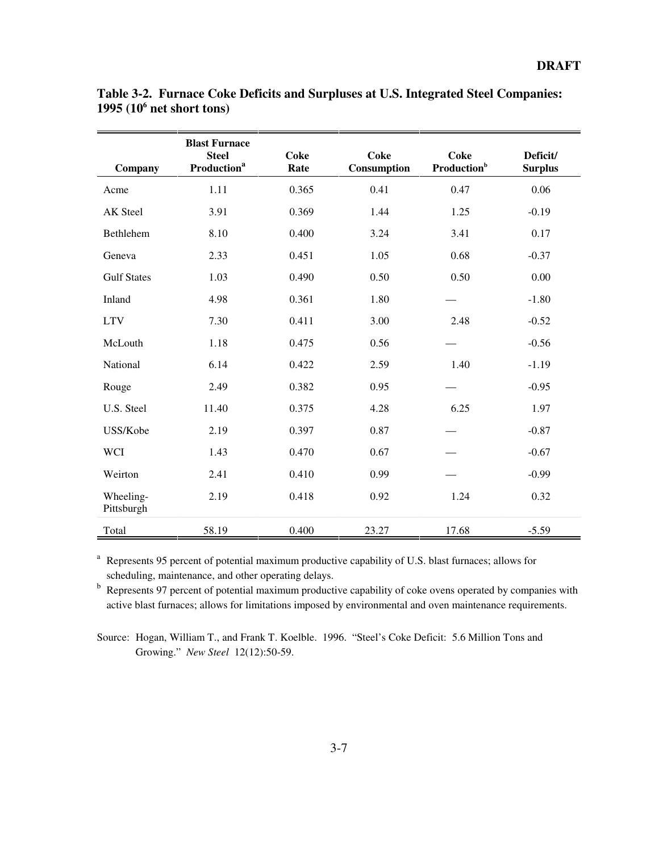| Company                 | <b>Blast Furnace</b><br><b>Steel</b><br><b>Production</b> <sup>a</sup> | <b>Coke</b><br>Rate | <b>Coke</b><br>Consumption | <b>Coke</b><br><b>Production</b> <sup>b</sup> | Deficit/<br><b>Surplus</b> |
|-------------------------|------------------------------------------------------------------------|---------------------|----------------------------|-----------------------------------------------|----------------------------|
| Acme                    | 1.11                                                                   | 0.365               | 0.41                       | 0.47                                          | 0.06                       |
| AK Steel                | 3.91                                                                   | 0.369               | 1.44                       | 1.25                                          | $-0.19$                    |
| Bethlehem               | 8.10                                                                   | 0.400               | 3.24                       | 3.41                                          | 0.17                       |
| Geneva                  | 2.33                                                                   | 0.451               | 1.05                       | 0.68                                          | $-0.37$                    |
| <b>Gulf States</b>      | 1.03                                                                   | 0.490               | 0.50                       | 0.50                                          | 0.00                       |
| Inland                  | 4.98                                                                   | 0.361               | 1.80                       |                                               | $-1.80$                    |
| <b>LTV</b>              | 7.30                                                                   | 0.411               | 3.00                       | 2.48                                          | $-0.52$                    |
| McLouth                 | 1.18                                                                   | 0.475               | 0.56                       |                                               | $-0.56$                    |
| National                | 6.14                                                                   | 0.422               | 2.59                       | 1.40                                          | $-1.19$                    |
| Rouge                   | 2.49                                                                   | 0.382               | 0.95                       |                                               | $-0.95$                    |
| U.S. Steel              | 11.40                                                                  | 0.375               | 4.28                       | 6.25                                          | 1.97                       |
| USS/Kobe                | 2.19                                                                   | 0.397               | 0.87                       |                                               | $-0.87$                    |
| <b>WCI</b>              | 1.43                                                                   | 0.470               | 0.67                       |                                               | $-0.67$                    |
| Weirton                 | 2.41                                                                   | 0.410               | 0.99                       |                                               | $-0.99$                    |
| Wheeling-<br>Pittsburgh | 2.19                                                                   | 0.418               | 0.92                       | 1.24                                          | 0.32                       |
| Total                   | 58.19                                                                  | 0.400               | 23.27                      | 17.68                                         | $-5.59$                    |

**Table 3-2. Furnace Coke Deficits and Surpluses at U.S. Integrated Steel Companies: 1995 (106 net short tons)**

<sup>a</sup> Represents 95 percent of potential maximum productive capability of U.S. blast furnaces; allows for scheduling, maintenance, and other operating delays.

<sup>b</sup> Represents 97 percent of potential maximum productive capability of coke ovens operated by companies with active blast furnaces; allows for limitations imposed by environmental and oven maintenance requirements.

Source: Hogan, William T., and Frank T. Koelble. 1996. "Steel's Coke Deficit: 5.6 Million Tons and Growing." *New Steel* 12(12):50-59.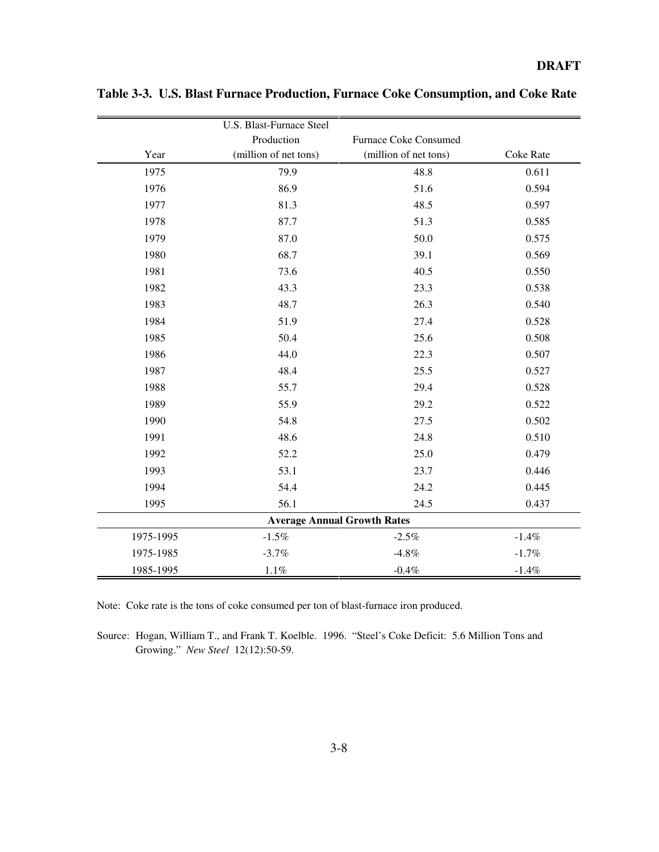# **DRAFT**

|           | U.S. Blast-Furnace Steel |                                    |                  |
|-----------|--------------------------|------------------------------------|------------------|
|           | Production               | Furnace Coke Consumed              |                  |
| Year      | (million of net tons)    | (million of net tons)              | <b>Coke Rate</b> |
| 1975      | 79.9                     | 48.8                               | 0.611            |
| 1976      | 86.9                     | 51.6                               | 0.594            |
| 1977      | 81.3                     | 48.5                               | 0.597            |
| 1978      | 87.7                     | 51.3                               | 0.585            |
| 1979      | 87.0                     | 50.0                               | 0.575            |
| 1980      | 68.7                     | 39.1                               | 0.569            |
| 1981      | 73.6                     | 40.5                               | 0.550            |
| 1982      | 43.3                     | 23.3                               | 0.538            |
| 1983      | 48.7                     | 26.3                               | 0.540            |
| 1984      | 51.9                     | 27.4                               | 0.528            |
| 1985      | 50.4                     | 25.6                               | 0.508            |
| 1986      | 44.0                     | 22.3                               | 0.507            |
| 1987      | 48.4                     | 25.5                               | 0.527            |
| 1988      | 55.7                     | 29.4                               | 0.528            |
| 1989      | 55.9                     | 29.2                               | 0.522            |
| 1990      | 54.8                     | 27.5                               | 0.502            |
| 1991      | 48.6                     | 24.8                               | 0.510            |
| 1992      | 52.2                     | 25.0                               | 0.479            |
| 1993      | 53.1                     | 23.7                               | 0.446            |
| 1994      | 54.4                     | 24.2                               | 0.445            |
| 1995      | 56.1                     | 24.5                               | 0.437            |
|           |                          | <b>Average Annual Growth Rates</b> |                  |
| 1975-1995 | $-1.5%$                  | $-2.5%$                            | $-1.4%$          |
| 1975-1985 | $-3.7%$                  | $-4.8%$                            | $-1.7%$          |
| 1985-1995 | 1.1%                     | $-0.4%$                            | $-1.4%$          |

**Table 3-3. U.S. Blast Furnace Production, Furnace Coke Consumption, and Coke Rate**

Note: Coke rate is the tons of coke consumed per ton of blast-furnace iron produced.

Source: Hogan, William T., and Frank T. Koelble. 1996. "Steel's Coke Deficit: 5.6 Million Tons and Growing." *New Steel* 12(12):50-59.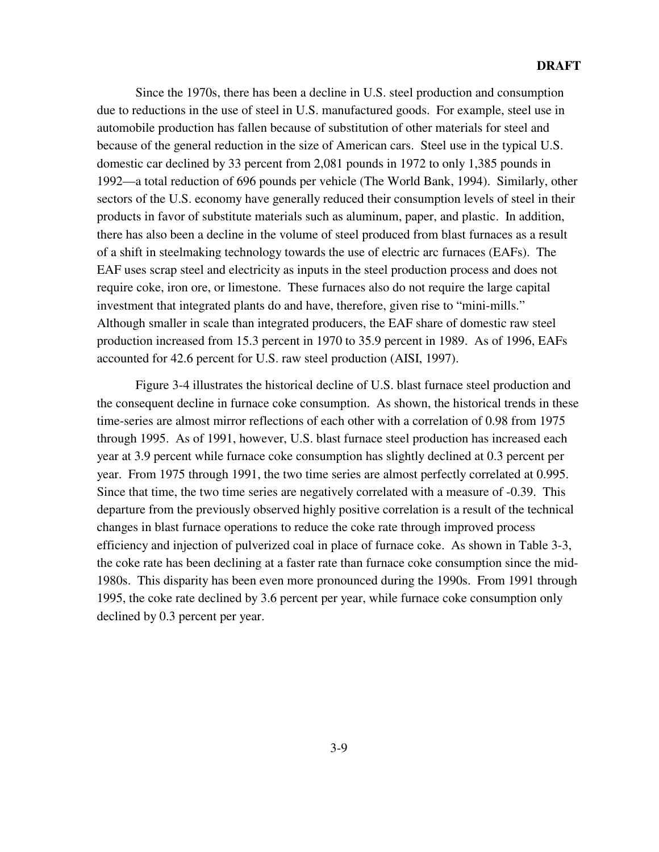Since the 1970s, there has been a decline in U.S. steel production and consumption due to reductions in the use of steel in U.S. manufactured goods. For example, steel use in automobile production has fallen because of substitution of other materials for steel and because of the general reduction in the size of American cars. Steel use in the typical U.S. domestic car declined by 33 percent from 2,081 pounds in 1972 to only 1,385 pounds in 1992—a total reduction of 696 pounds per vehicle (The World Bank, 1994). Similarly, other sectors of the U.S. economy have generally reduced their consumption levels of steel in their products in favor of substitute materials such as aluminum, paper, and plastic. In addition, there has also been a decline in the volume of steel produced from blast furnaces as a result of a shift in steelmaking technology towards the use of electric arc furnaces (EAFs). The EAF uses scrap steel and electricity as inputs in the steel production process and does not require coke, iron ore, or limestone. These furnaces also do not require the large capital investment that integrated plants do and have, therefore, given rise to "mini-mills." Although smaller in scale than integrated producers, the EAF share of domestic raw steel production increased from 15.3 percent in 1970 to 35.9 percent in 1989. As of 1996, EAFs accounted for 42.6 percent for U.S. raw steel production (AISI, 1997).

Figure 3-4 illustrates the historical decline of U.S. blast furnace steel production and the consequent decline in furnace coke consumption. As shown, the historical trends in these time-series are almost mirror reflections of each other with a correlation of 0.98 from 1975 through 1995. As of 1991, however, U.S. blast furnace steel production has increased each year at 3.9 percent while furnace coke consumption has slightly declined at 0.3 percent per year. From 1975 through 1991, the two time series are almost perfectly correlated at 0.995. Since that time, the two time series are negatively correlated with a measure of -0.39. This departure from the previously observed highly positive correlation is a result of the technical changes in blast furnace operations to reduce the coke rate through improved process efficiency and injection of pulverized coal in place of furnace coke. As shown in Table 3-3, the coke rate has been declining at a faster rate than furnace coke consumption since the mid-1980s. This disparity has been even more pronounced during the 1990s. From 1991 through 1995, the coke rate declined by 3.6 percent per year, while furnace coke consumption only declined by 0.3 percent per year.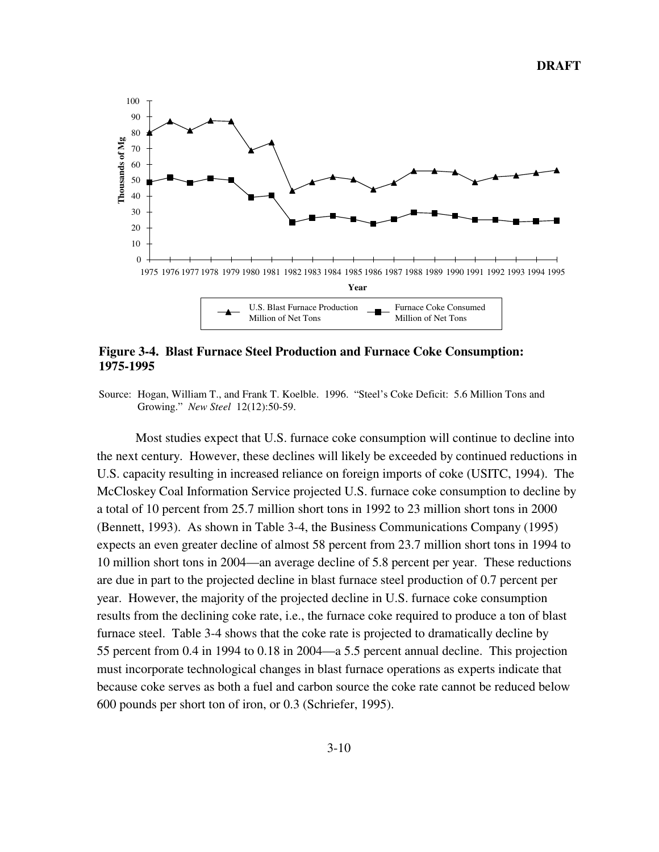

## **Figure 3-4. Blast Furnace Steel Production and Furnace Coke Consumption: 1975-1995**

Source: Hogan, William T., and Frank T. Koelble. 1996. "Steel's Coke Deficit: 5.6 Million Tons and Growing." *New Steel* 12(12):50-59.

Most studies expect that U.S. furnace coke consumption will continue to decline into the next century. However, these declines will likely be exceeded by continued reductions in U.S. capacity resulting in increased reliance on foreign imports of coke (USITC, 1994). The McCloskey Coal Information Service projected U.S. furnace coke consumption to decline by a total of 10 percent from 25.7 million short tons in 1992 to 23 million short tons in 2000 (Bennett, 1993). As shown in Table 3-4, the Business Communications Company (1995) expects an even greater decline of almost 58 percent from 23.7 million short tons in 1994 to 10 million short tons in 2004—an average decline of 5.8 percent per year. These reductions are due in part to the projected decline in blast furnace steel production of 0.7 percent per year. However, the majority of the projected decline in U.S. furnace coke consumption results from the declining coke rate, i.e., the furnace coke required to produce a ton of blast furnace steel. Table 3-4 shows that the coke rate is projected to dramatically decline by 55 percent from 0.4 in 1994 to 0.18 in 2004—a 5.5 percent annual decline. This projection must incorporate technological changes in blast furnace operations as experts indicate that because coke serves as both a fuel and carbon source the coke rate cannot be reduced below 600 pounds per short ton of iron, or 0.3 (Schriefer, 1995).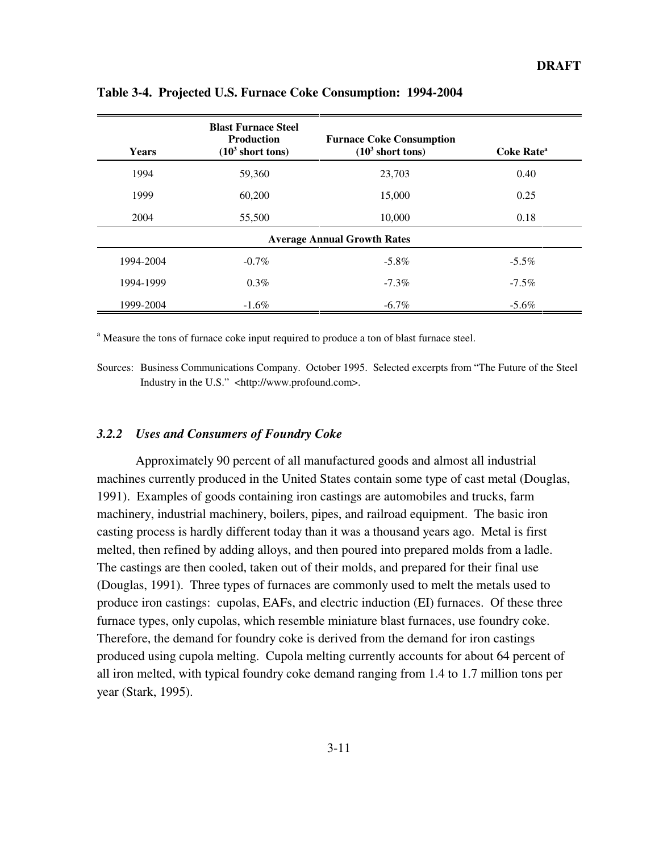| <b>Years</b> | <b>Blast Furnace Steel</b><br><b>Production</b><br>(10 <sup>3</sup> short tons) | <b>Furnace Coke Consumption</b><br>(10 <sup>3</sup> short tons) | Coke Rate <sup>a</sup> |
|--------------|---------------------------------------------------------------------------------|-----------------------------------------------------------------|------------------------|
| 1994         | 59,360                                                                          | 23,703                                                          | 0.40                   |
| 1999         | 60,200                                                                          | 15,000                                                          | 0.25                   |
| 2004         | 55,500                                                                          | 10,000                                                          | 0.18                   |
|              |                                                                                 | <b>Average Annual Growth Rates</b>                              |                        |
| 1994-2004    | $-0.7\%$                                                                        | $-5.8\%$                                                        | $-5.5\%$               |
| 1994-1999    | $0.3\%$                                                                         | $-7.3\%$                                                        | $-7.5\%$               |
| 1999-2004    | $-1.6\%$                                                                        | $-6.7\%$                                                        | $-5.6\%$               |

**Table 3-4. Projected U.S. Furnace Coke Consumption: 1994-2004**

<sup>a</sup> Measure the tons of furnace coke input required to produce a ton of blast furnace steel.

Sources: Business Communications Company. October 1995. Selected excerpts from "The Future of the Steel Industry in the U.S." <http://www.profound.com>.

## *3.2.2 Uses and Consumers of Foundry Coke*

Approximately 90 percent of all manufactured goods and almost all industrial machines currently produced in the United States contain some type of cast metal (Douglas, 1991). Examples of goods containing iron castings are automobiles and trucks, farm machinery, industrial machinery, boilers, pipes, and railroad equipment. The basic iron casting process is hardly different today than it was a thousand years ago. Metal is first melted, then refined by adding alloys, and then poured into prepared molds from a ladle. The castings are then cooled, taken out of their molds, and prepared for their final use (Douglas, 1991). Three types of furnaces are commonly used to melt the metals used to produce iron castings: cupolas, EAFs, and electric induction (EI) furnaces. Of these three furnace types, only cupolas, which resemble miniature blast furnaces, use foundry coke. Therefore, the demand for foundry coke is derived from the demand for iron castings produced using cupola melting. Cupola melting currently accounts for about 64 percent of all iron melted, with typical foundry coke demand ranging from 1.4 to 1.7 million tons per year (Stark, 1995).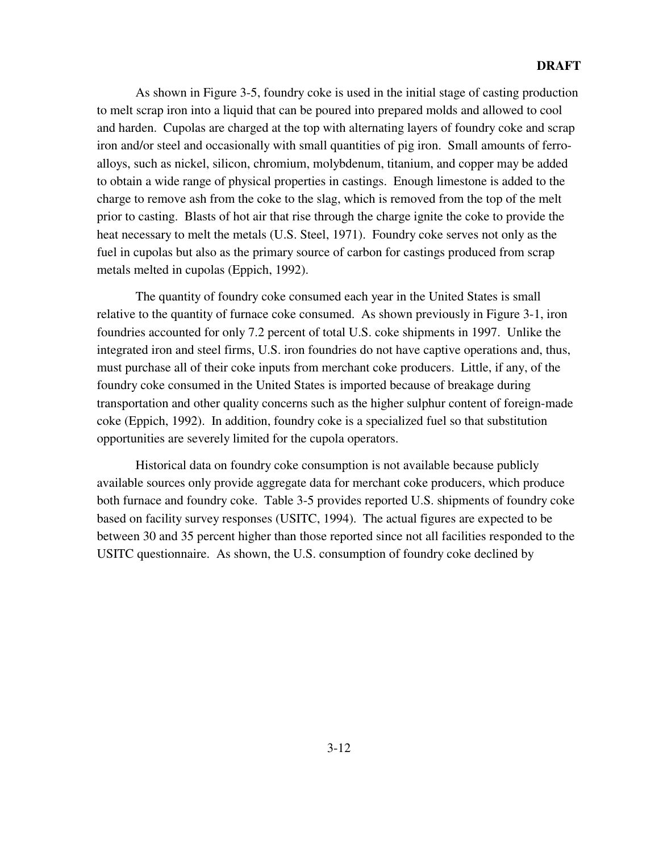As shown in Figure 3-5, foundry coke is used in the initial stage of casting production to melt scrap iron into a liquid that can be poured into prepared molds and allowed to cool and harden. Cupolas are charged at the top with alternating layers of foundry coke and scrap iron and/or steel and occasionally with small quantities of pig iron. Small amounts of ferroalloys, such as nickel, silicon, chromium, molybdenum, titanium, and copper may be added to obtain a wide range of physical properties in castings. Enough limestone is added to the charge to remove ash from the coke to the slag, which is removed from the top of the melt prior to casting. Blasts of hot air that rise through the charge ignite the coke to provide the heat necessary to melt the metals (U.S. Steel, 1971). Foundry coke serves not only as the fuel in cupolas but also as the primary source of carbon for castings produced from scrap metals melted in cupolas (Eppich, 1992).

The quantity of foundry coke consumed each year in the United States is small relative to the quantity of furnace coke consumed. As shown previously in Figure 3-1, iron foundries accounted for only 7.2 percent of total U.S. coke shipments in 1997. Unlike the integrated iron and steel firms, U.S. iron foundries do not have captive operations and, thus, must purchase all of their coke inputs from merchant coke producers. Little, if any, of the foundry coke consumed in the United States is imported because of breakage during transportation and other quality concerns such as the higher sulphur content of foreign-made coke (Eppich, 1992). In addition, foundry coke is a specialized fuel so that substitution opportunities are severely limited for the cupola operators.

Historical data on foundry coke consumption is not available because publicly available sources only provide aggregate data for merchant coke producers, which produce both furnace and foundry coke. Table 3-5 provides reported U.S. shipments of foundry coke based on facility survey responses (USITC, 1994). The actual figures are expected to be between 30 and 35 percent higher than those reported since not all facilities responded to the USITC questionnaire. As shown, the U.S. consumption of foundry coke declined by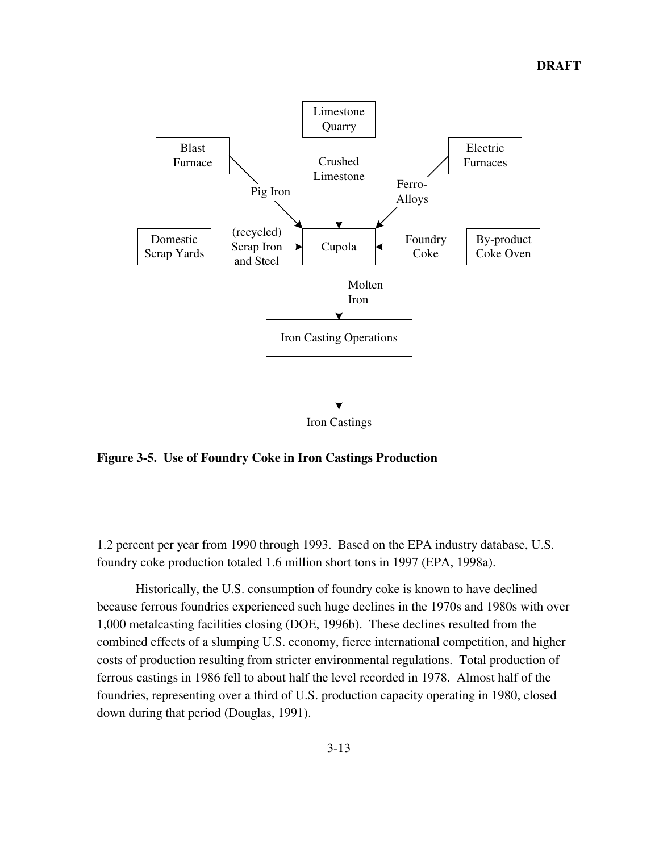

**Figure 3-5. Use of Foundry Coke in Iron Castings Production**

1.2 percent per year from 1990 through 1993. Based on the EPA industry database, U.S. foundry coke production totaled 1.6 million short tons in 1997 (EPA, 1998a).

Historically, the U.S. consumption of foundry coke is known to have declined because ferrous foundries experienced such huge declines in the 1970s and 1980s with over 1,000 metalcasting facilities closing (DOE, 1996b). These declines resulted from the combined effects of a slumping U.S. economy, fierce international competition, and higher costs of production resulting from stricter environmental regulations. Total production of ferrous castings in 1986 fell to about half the level recorded in 1978. Almost half of the foundries, representing over a third of U.S. production capacity operating in 1980, closed down during that period (Douglas, 1991).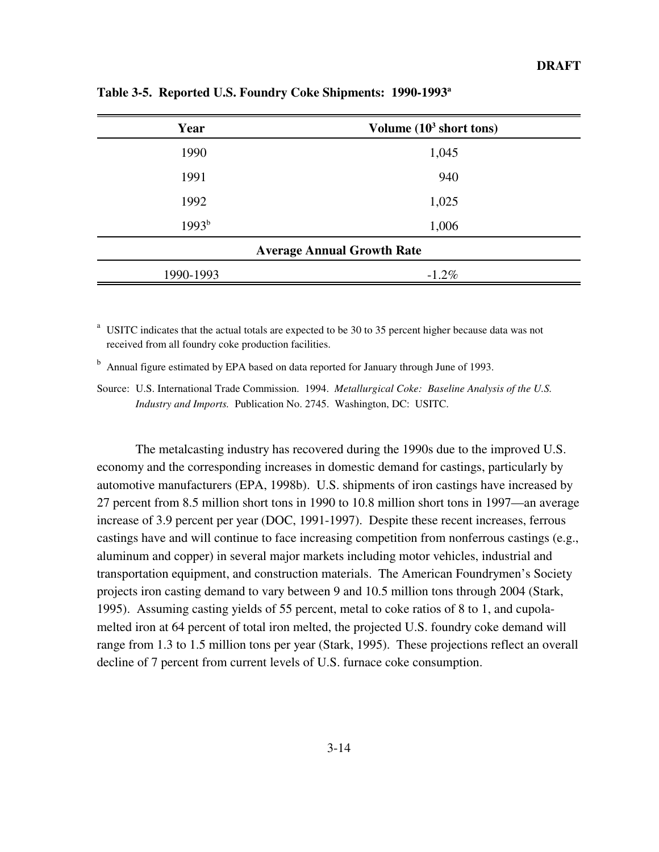| Year      | Volume $(10^3 \text{ short tons})$ |
|-----------|------------------------------------|
| 1990      | 1,045                              |
| 1991      | 940                                |
| 1992      | 1,025                              |
| $1993^b$  | 1,006                              |
|           | <b>Average Annual Growth Rate</b>  |
| 1990-1993 | $-1.2\%$                           |

**Table 3-5. Reported U.S. Foundry Coke Shipments: 1990-1993a**

 $a<sup>a</sup>$  USITC indicates that the actual totals are expected to be 30 to 35 percent higher because data was not received from all foundry coke production facilities.

<sup>b</sup> Annual figure estimated by EPA based on data reported for January through June of 1993.

Source: U.S. International Trade Commission. 1994. *Metallurgical Coke: Baseline Analysis of the U.S. Industry and Imports.* Publication No. 2745. Washington, DC: USITC.

The metalcasting industry has recovered during the 1990s due to the improved U.S. economy and the corresponding increases in domestic demand for castings, particularly by automotive manufacturers (EPA, 1998b). U.S. shipments of iron castings have increased by 27 percent from 8.5 million short tons in 1990 to 10.8 million short tons in 1997—an average increase of 3.9 percent per year (DOC, 1991-1997). Despite these recent increases, ferrous castings have and will continue to face increasing competition from nonferrous castings (e.g., aluminum and copper) in several major markets including motor vehicles, industrial and transportation equipment, and construction materials. The American Foundrymen's Society projects iron casting demand to vary between 9 and 10.5 million tons through 2004 (Stark, 1995). Assuming casting yields of 55 percent, metal to coke ratios of 8 to 1, and cupolamelted iron at 64 percent of total iron melted, the projected U.S. foundry coke demand will range from 1.3 to 1.5 million tons per year (Stark, 1995). These projections reflect an overall decline of 7 percent from current levels of U.S. furnace coke consumption.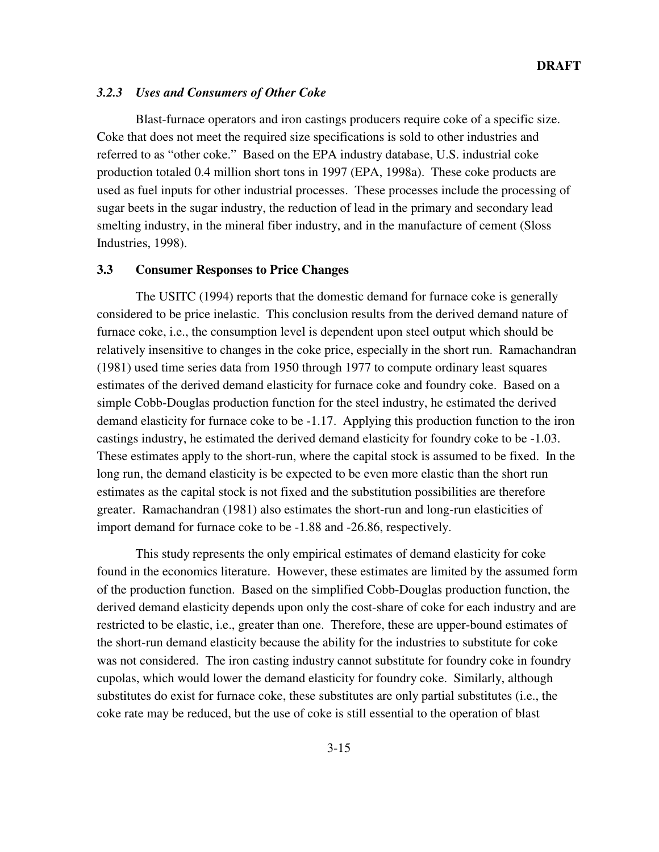## *3.2.3 Uses and Consumers of Other Coke*

Blast-furnace operators and iron castings producers require coke of a specific size. Coke that does not meet the required size specifications is sold to other industries and referred to as "other coke." Based on the EPA industry database, U.S. industrial coke production totaled 0.4 million short tons in 1997 (EPA, 1998a). These coke products are used as fuel inputs for other industrial processes. These processes include the processing of sugar beets in the sugar industry, the reduction of lead in the primary and secondary lead smelting industry, in the mineral fiber industry, and in the manufacture of cement (Sloss Industries, 1998).

## **3.3 Consumer Responses to Price Changes**

The USITC (1994) reports that the domestic demand for furnace coke is generally considered to be price inelastic. This conclusion results from the derived demand nature of furnace coke, i.e., the consumption level is dependent upon steel output which should be relatively insensitive to changes in the coke price, especially in the short run. Ramachandran (1981) used time series data from 1950 through 1977 to compute ordinary least squares estimates of the derived demand elasticity for furnace coke and foundry coke. Based on a simple Cobb-Douglas production function for the steel industry, he estimated the derived demand elasticity for furnace coke to be -1.17. Applying this production function to the iron castings industry, he estimated the derived demand elasticity for foundry coke to be -1.03. These estimates apply to the short-run, where the capital stock is assumed to be fixed. In the long run, the demand elasticity is be expected to be even more elastic than the short run estimates as the capital stock is not fixed and the substitution possibilities are therefore greater. Ramachandran (1981) also estimates the short-run and long-run elasticities of import demand for furnace coke to be -1.88 and -26.86, respectively.

This study represents the only empirical estimates of demand elasticity for coke found in the economics literature. However, these estimates are limited by the assumed form of the production function. Based on the simplified Cobb-Douglas production function, the derived demand elasticity depends upon only the cost-share of coke for each industry and are restricted to be elastic, i.e., greater than one. Therefore, these are upper-bound estimates of the short-run demand elasticity because the ability for the industries to substitute for coke was not considered. The iron casting industry cannot substitute for foundry coke in foundry cupolas, which would lower the demand elasticity for foundry coke. Similarly, although substitutes do exist for furnace coke, these substitutes are only partial substitutes (i.e., the coke rate may be reduced, but the use of coke is still essential to the operation of blast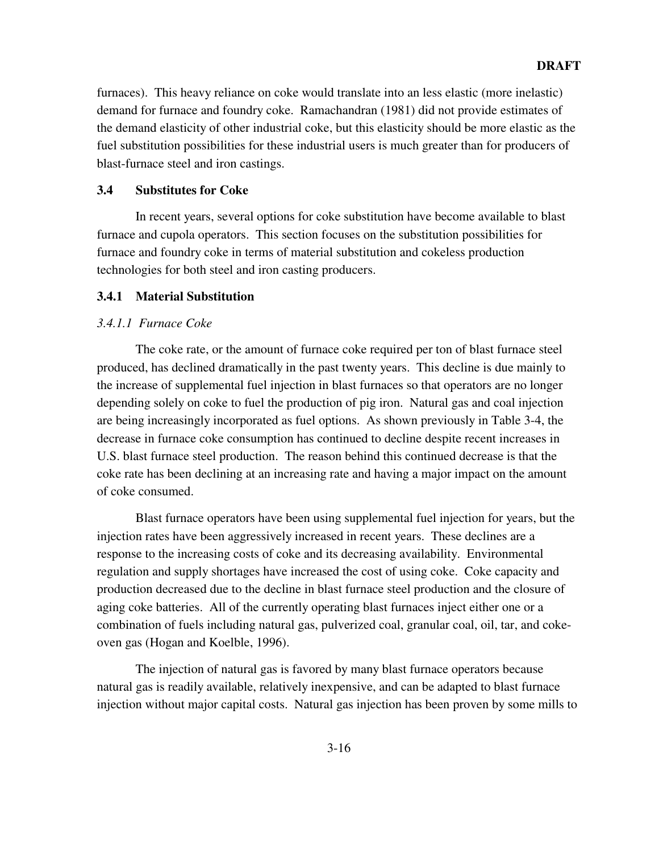furnaces). This heavy reliance on coke would translate into an less elastic (more inelastic) demand for furnace and foundry coke. Ramachandran (1981) did not provide estimates of the demand elasticity of other industrial coke, but this elasticity should be more elastic as the fuel substitution possibilities for these industrial users is much greater than for producers of blast-furnace steel and iron castings.

## **3.4 Substitutes for Coke**

In recent years, several options for coke substitution have become available to blast furnace and cupola operators. This section focuses on the substitution possibilities for furnace and foundry coke in terms of material substitution and cokeless production technologies for both steel and iron casting producers.

## **3.4.1 Material Substitution**

## *3.4.1.1 Furnace Coke*

The coke rate, or the amount of furnace coke required per ton of blast furnace steel produced, has declined dramatically in the past twenty years. This decline is due mainly to the increase of supplemental fuel injection in blast furnaces so that operators are no longer depending solely on coke to fuel the production of pig iron. Natural gas and coal injection are being increasingly incorporated as fuel options. As shown previously in Table 3-4, the decrease in furnace coke consumption has continued to decline despite recent increases in U.S. blast furnace steel production. The reason behind this continued decrease is that the coke rate has been declining at an increasing rate and having a major impact on the amount of coke consumed.

Blast furnace operators have been using supplemental fuel injection for years, but the injection rates have been aggressively increased in recent years. These declines are a response to the increasing costs of coke and its decreasing availability. Environmental regulation and supply shortages have increased the cost of using coke. Coke capacity and production decreased due to the decline in blast furnace steel production and the closure of aging coke batteries. All of the currently operating blast furnaces inject either one or a combination of fuels including natural gas, pulverized coal, granular coal, oil, tar, and cokeoven gas (Hogan and Koelble, 1996).

The injection of natural gas is favored by many blast furnace operators because natural gas is readily available, relatively inexpensive, and can be adapted to blast furnace injection without major capital costs. Natural gas injection has been proven by some mills to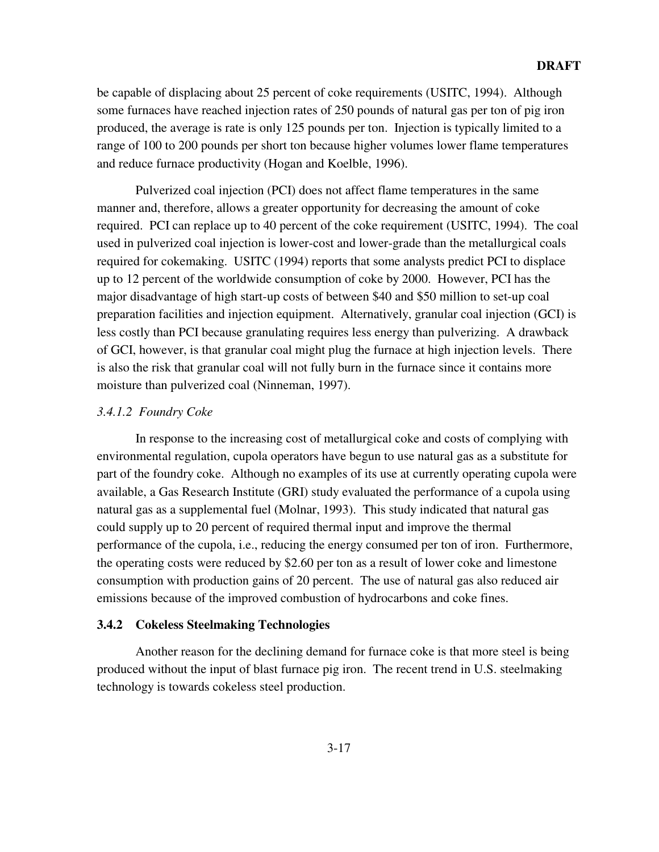be capable of displacing about 25 percent of coke requirements (USITC, 1994). Although some furnaces have reached injection rates of 250 pounds of natural gas per ton of pig iron produced, the average is rate is only 125 pounds per ton. Injection is typically limited to a range of 100 to 200 pounds per short ton because higher volumes lower flame temperatures and reduce furnace productivity (Hogan and Koelble, 1996).

Pulverized coal injection (PCI) does not affect flame temperatures in the same manner and, therefore, allows a greater opportunity for decreasing the amount of coke required. PCI can replace up to 40 percent of the coke requirement (USITC, 1994). The coal used in pulverized coal injection is lower-cost and lower-grade than the metallurgical coals required for cokemaking. USITC (1994) reports that some analysts predict PCI to displace up to 12 percent of the worldwide consumption of coke by 2000. However, PCI has the major disadvantage of high start-up costs of between \$40 and \$50 million to set-up coal preparation facilities and injection equipment. Alternatively, granular coal injection (GCI) is less costly than PCI because granulating requires less energy than pulverizing. A drawback of GCI, however, is that granular coal might plug the furnace at high injection levels. There is also the risk that granular coal will not fully burn in the furnace since it contains more moisture than pulverized coal (Ninneman, 1997).

## *3.4.1.2 Foundry Coke*

In response to the increasing cost of metallurgical coke and costs of complying with environmental regulation, cupola operators have begun to use natural gas as a substitute for part of the foundry coke. Although no examples of its use at currently operating cupola were available, a Gas Research Institute (GRI) study evaluated the performance of a cupola using natural gas as a supplemental fuel (Molnar, 1993). This study indicated that natural gas could supply up to 20 percent of required thermal input and improve the thermal performance of the cupola, i.e., reducing the energy consumed per ton of iron. Furthermore, the operating costs were reduced by \$2.60 per ton as a result of lower coke and limestone consumption with production gains of 20 percent. The use of natural gas also reduced air emissions because of the improved combustion of hydrocarbons and coke fines.

## **3.4.2 Cokeless Steelmaking Technologies**

Another reason for the declining demand for furnace coke is that more steel is being produced without the input of blast furnace pig iron. The recent trend in U.S. steelmaking technology is towards cokeless steel production.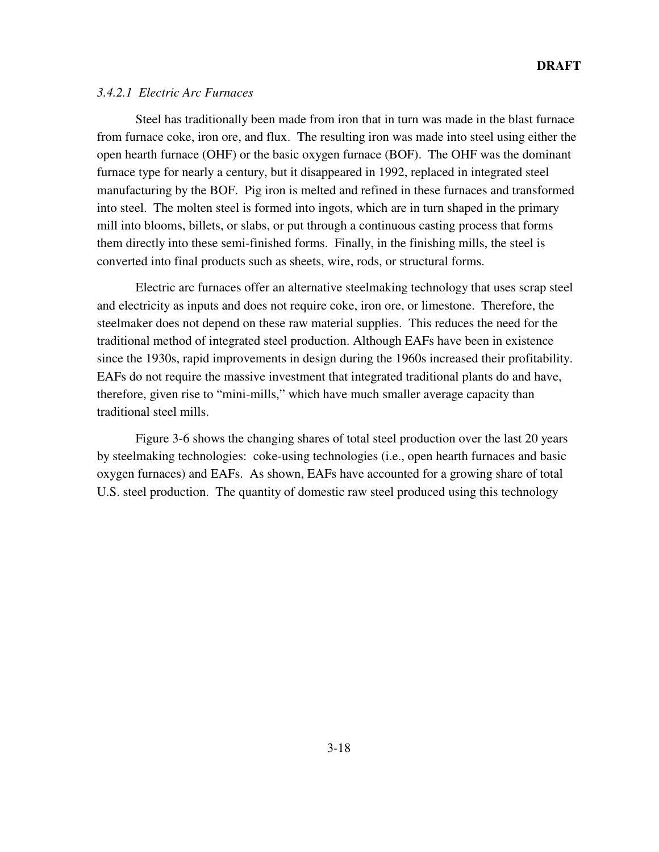## *3.4.2.1 Electric Arc Furnaces*

Steel has traditionally been made from iron that in turn was made in the blast furnace from furnace coke, iron ore, and flux. The resulting iron was made into steel using either the open hearth furnace (OHF) or the basic oxygen furnace (BOF). The OHF was the dominant furnace type for nearly a century, but it disappeared in 1992, replaced in integrated steel manufacturing by the BOF. Pig iron is melted and refined in these furnaces and transformed into steel. The molten steel is formed into ingots, which are in turn shaped in the primary mill into blooms, billets, or slabs, or put through a continuous casting process that forms them directly into these semi-finished forms. Finally, in the finishing mills, the steel is converted into final products such as sheets, wire, rods, or structural forms.

Electric arc furnaces offer an alternative steelmaking technology that uses scrap steel and electricity as inputs and does not require coke, iron ore, or limestone. Therefore, the steelmaker does not depend on these raw material supplies. This reduces the need for the traditional method of integrated steel production. Although EAFs have been in existence since the 1930s, rapid improvements in design during the 1960s increased their profitability. EAFs do not require the massive investment that integrated traditional plants do and have, therefore, given rise to "mini-mills," which have much smaller average capacity than traditional steel mills.

Figure 3-6 shows the changing shares of total steel production over the last 20 years by steelmaking technologies: coke-using technologies (i.e., open hearth furnaces and basic oxygen furnaces) and EAFs. As shown, EAFs have accounted for a growing share of total U.S. steel production. The quantity of domestic raw steel produced using this technology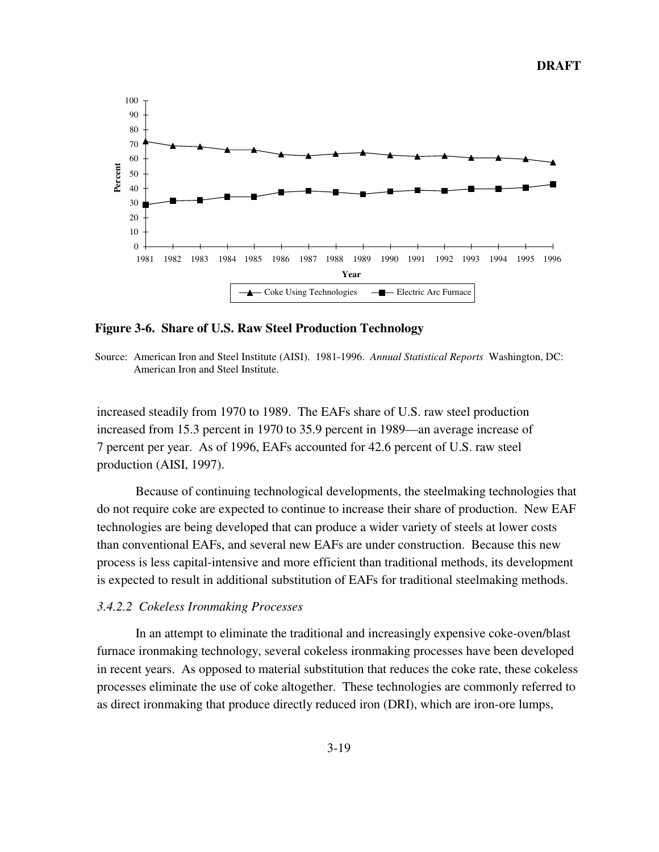

**Figure 3-6. Share of U.S. Raw Steel Production Technology**

Source: American Iron and Steel Institute (AISI). 1981-1996. *Annual Statistical Reports* Washington, DC: American Iron and Steel Institute.

increased steadily from 1970 to 1989. The EAFs share of U.S. raw steel production increased from 15.3 percent in 1970 to 35.9 percent in 1989—an average increase of 7 percent per year. As of 1996, EAFs accounted for 42.6 percent of U.S. raw steel production (AISI, 1997).

Because of continuing technological developments, the steelmaking technologies that do not require coke are expected to continue to increase their share of production. New EAF technologies are being developed that can produce a wider variety of steels at lower costs than conventional EAFs, and several new EAFs are under construction. Because this new process is less capital-intensive and more efficient than traditional methods, its development is expected to result in additional substitution of EAFs for traditional steelmaking methods.

## *3.4.2.2 Cokeless Ironmaking Processes*

In an attempt to eliminate the traditional and increasingly expensive coke-oven/blast furnace ironmaking technology, several cokeless ironmaking processes have been developed in recent years. As opposed to material substitution that reduces the coke rate, these cokeless processes eliminate the use of coke altogether. These technologies are commonly referred to as direct ironmaking that produce directly reduced iron (DRI), which are iron-ore lumps,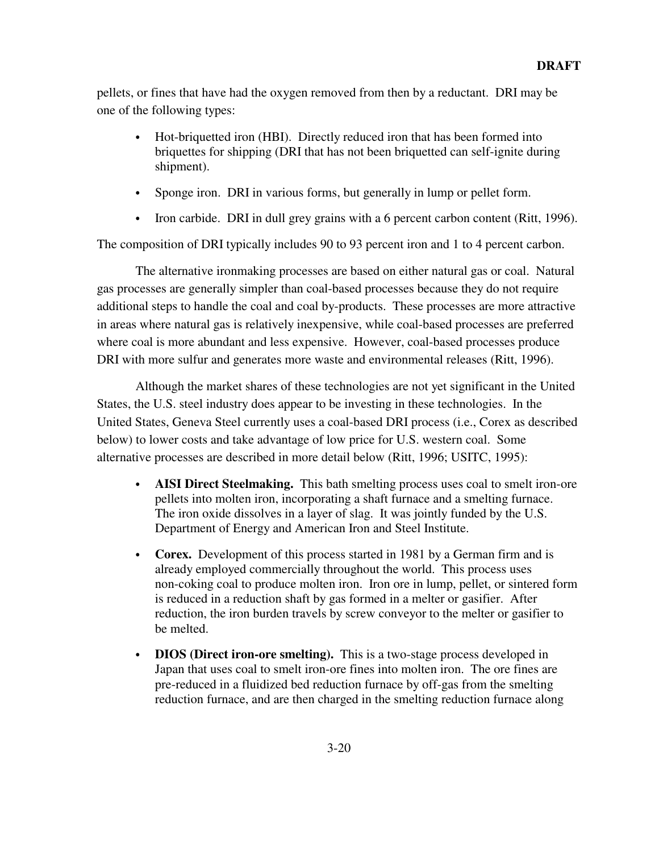pellets, or fines that have had the oxygen removed from then by a reductant. DRI may be one of the following types:

- Hot-briquetted iron (HBI). Directly reduced iron that has been formed into briquettes for shipping (DRI that has not been briquetted can self-ignite during shipment).
- Sponge iron. DRI in various forms, but generally in lump or pellet form.
- Iron carbide. DRI in dull grey grains with a 6 percent carbon content (Ritt, 1996).

The composition of DRI typically includes 90 to 93 percent iron and 1 to 4 percent carbon.

The alternative ironmaking processes are based on either natural gas or coal. Natural gas processes are generally simpler than coal-based processes because they do not require additional steps to handle the coal and coal by-products. These processes are more attractive in areas where natural gas is relatively inexpensive, while coal-based processes are preferred where coal is more abundant and less expensive. However, coal-based processes produce DRI with more sulfur and generates more waste and environmental releases (Ritt, 1996).

Although the market shares of these technologies are not yet significant in the United States, the U.S. steel industry does appear to be investing in these technologies. In the United States, Geneva Steel currently uses a coal-based DRI process (i.e., Corex as described below) to lower costs and take advantage of low price for U.S. western coal. Some alternative processes are described in more detail below (Ritt, 1996; USITC, 1995):

- **AISI Direct Steelmaking.** This bath smelting process uses coal to smelt iron-ore pellets into molten iron, incorporating a shaft furnace and a smelting furnace. The iron oxide dissolves in a layer of slag. It was jointly funded by the U.S. Department of Energy and American Iron and Steel Institute.
- **Corex.** Development of this process started in 1981 by a German firm and is already employed commercially throughout the world. This process uses non-coking coal to produce molten iron. Iron ore in lump, pellet, or sintered form is reduced in a reduction shaft by gas formed in a melter or gasifier. After reduction, the iron burden travels by screw conveyor to the melter or gasifier to be melted.
- **DIOS** (Direct iron-ore smelting). This is a two-stage process developed in Japan that uses coal to smelt iron-ore fines into molten iron. The ore fines are pre-reduced in a fluidized bed reduction furnace by off-gas from the smelting reduction furnace, and are then charged in the smelting reduction furnace along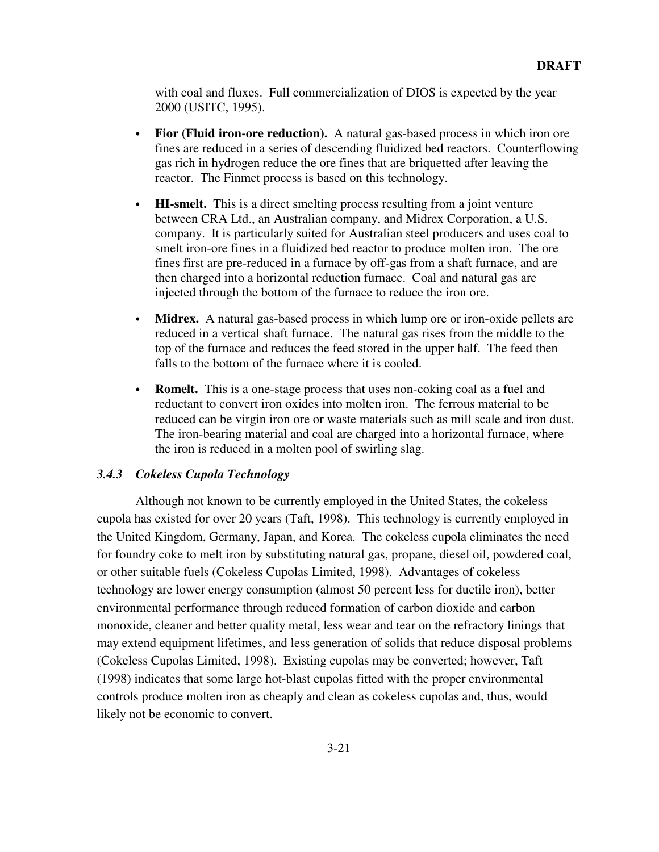with coal and fluxes. Full commercialization of DIOS is expected by the year 2000 (USITC, 1995).

- **Fior (Fluid iron-ore reduction).** A natural gas-based process in which iron ore fines are reduced in a series of descending fluidized bed reactors. Counterflowing gas rich in hydrogen reduce the ore fines that are briquetted after leaving the reactor. The Finmet process is based on this technology.
- **HI-smelt.** This is a direct smelting process resulting from a joint venture between CRA Ltd., an Australian company, and Midrex Corporation, a U.S. company. It is particularly suited for Australian steel producers and uses coal to smelt iron-ore fines in a fluidized bed reactor to produce molten iron. The ore fines first are pre-reduced in a furnace by off-gas from a shaft furnace, and are then charged into a horizontal reduction furnace. Coal and natural gas are injected through the bottom of the furnace to reduce the iron ore.
- **Midrex.** A natural gas-based process in which lump ore or iron-oxide pellets are reduced in a vertical shaft furnace. The natural gas rises from the middle to the top of the furnace and reduces the feed stored in the upper half. The feed then falls to the bottom of the furnace where it is cooled.
- **Romelt.** This is a one-stage process that uses non-coking coal as a fuel and reductant to convert iron oxides into molten iron. The ferrous material to be reduced can be virgin iron ore or waste materials such as mill scale and iron dust. The iron-bearing material and coal are charged into a horizontal furnace, where the iron is reduced in a molten pool of swirling slag.

## *3.4.3 Cokeless Cupola Technology*

Although not known to be currently employed in the United States, the cokeless cupola has existed for over 20 years (Taft, 1998). This technology is currently employed in the United Kingdom, Germany, Japan, and Korea. The cokeless cupola eliminates the need for foundry coke to melt iron by substituting natural gas, propane, diesel oil, powdered coal, or other suitable fuels (Cokeless Cupolas Limited, 1998). Advantages of cokeless technology are lower energy consumption (almost 50 percent less for ductile iron), better environmental performance through reduced formation of carbon dioxide and carbon monoxide, cleaner and better quality metal, less wear and tear on the refractory linings that may extend equipment lifetimes, and less generation of solids that reduce disposal problems (Cokeless Cupolas Limited, 1998). Existing cupolas may be converted; however, Taft (1998) indicates that some large hot-blast cupolas fitted with the proper environmental controls produce molten iron as cheaply and clean as cokeless cupolas and, thus, would likely not be economic to convert.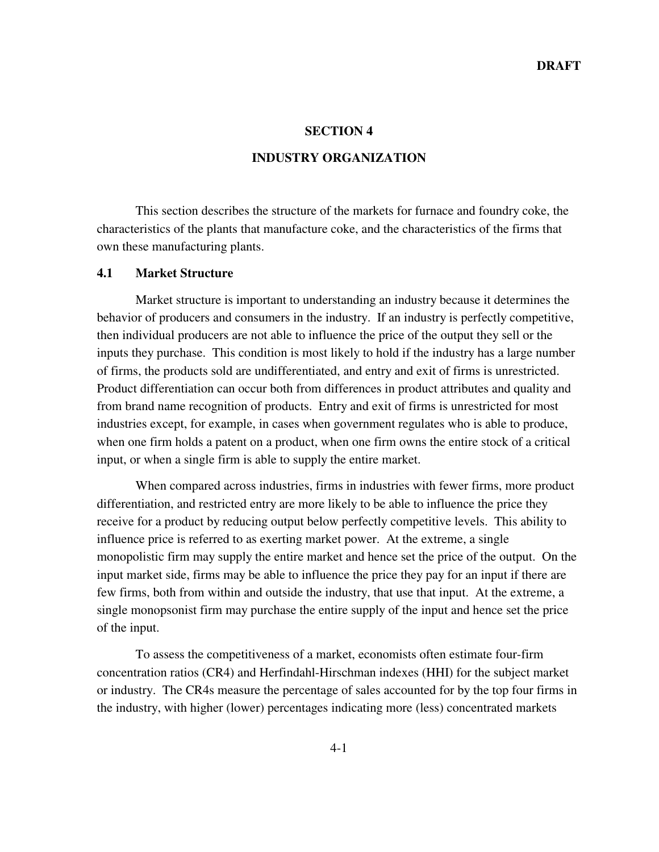#### **SECTION 4**

## **INDUSTRY ORGANIZATION**

This section describes the structure of the markets for furnace and foundry coke, the characteristics of the plants that manufacture coke, and the characteristics of the firms that own these manufacturing plants.

## **4.1 Market Structure**

Market structure is important to understanding an industry because it determines the behavior of producers and consumers in the industry. If an industry is perfectly competitive, then individual producers are not able to influence the price of the output they sell or the inputs they purchase. This condition is most likely to hold if the industry has a large number of firms, the products sold are undifferentiated, and entry and exit of firms is unrestricted. Product differentiation can occur both from differences in product attributes and quality and from brand name recognition of products. Entry and exit of firms is unrestricted for most industries except, for example, in cases when government regulates who is able to produce, when one firm holds a patent on a product, when one firm owns the entire stock of a critical input, or when a single firm is able to supply the entire market.

When compared across industries, firms in industries with fewer firms, more product differentiation, and restricted entry are more likely to be able to influence the price they receive for a product by reducing output below perfectly competitive levels. This ability to influence price is referred to as exerting market power. At the extreme, a single monopolistic firm may supply the entire market and hence set the price of the output. On the input market side, firms may be able to influence the price they pay for an input if there are few firms, both from within and outside the industry, that use that input. At the extreme, a single monopsonist firm may purchase the entire supply of the input and hence set the price of the input.

To assess the competitiveness of a market, economists often estimate four-firm concentration ratios (CR4) and Herfindahl-Hirschman indexes (HHI) for the subject market or industry. The CR4s measure the percentage of sales accounted for by the top four firms in the industry, with higher (lower) percentages indicating more (less) concentrated markets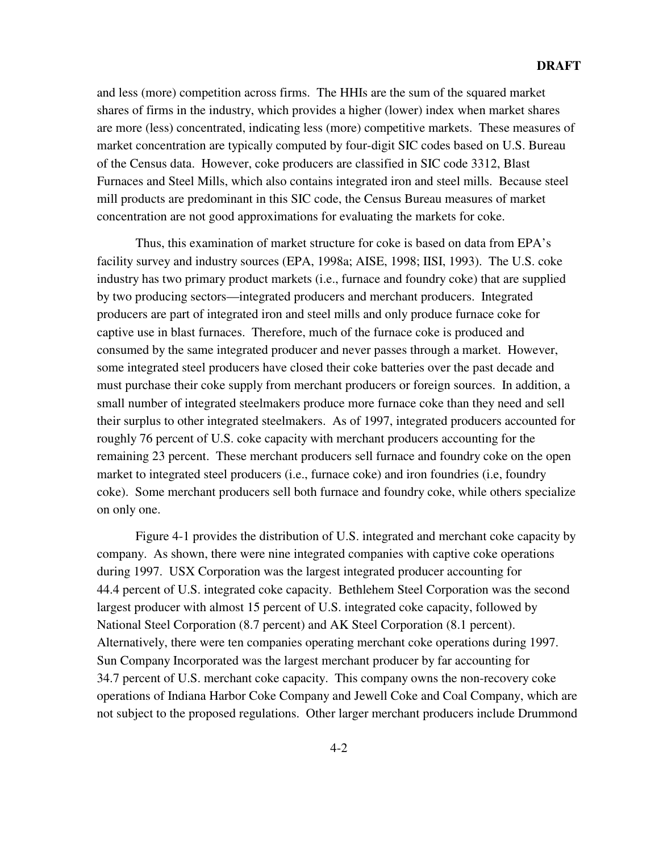and less (more) competition across firms. The HHIs are the sum of the squared market shares of firms in the industry, which provides a higher (lower) index when market shares are more (less) concentrated, indicating less (more) competitive markets. These measures of market concentration are typically computed by four-digit SIC codes based on U.S. Bureau of the Census data. However, coke producers are classified in SIC code 3312, Blast Furnaces and Steel Mills, which also contains integrated iron and steel mills. Because steel mill products are predominant in this SIC code, the Census Bureau measures of market concentration are not good approximations for evaluating the markets for coke.

Thus, this examination of market structure for coke is based on data from EPA's facility survey and industry sources (EPA, 1998a; AISE, 1998; IISI, 1993). The U.S. coke industry has two primary product markets (i.e., furnace and foundry coke) that are supplied by two producing sectors—integrated producers and merchant producers. Integrated producers are part of integrated iron and steel mills and only produce furnace coke for captive use in blast furnaces. Therefore, much of the furnace coke is produced and consumed by the same integrated producer and never passes through a market. However, some integrated steel producers have closed their coke batteries over the past decade and must purchase their coke supply from merchant producers or foreign sources. In addition, a small number of integrated steelmakers produce more furnace coke than they need and sell their surplus to other integrated steelmakers. As of 1997, integrated producers accounted for roughly 76 percent of U.S. coke capacity with merchant producers accounting for the remaining 23 percent. These merchant producers sell furnace and foundry coke on the open market to integrated steel producers (i.e., furnace coke) and iron foundries (i.e, foundry coke). Some merchant producers sell both furnace and foundry coke, while others specialize on only one.

Figure 4-1 provides the distribution of U.S. integrated and merchant coke capacity by company. As shown, there were nine integrated companies with captive coke operations during 1997. USX Corporation was the largest integrated producer accounting for 44.4 percent of U.S. integrated coke capacity. Bethlehem Steel Corporation was the second largest producer with almost 15 percent of U.S. integrated coke capacity, followed by National Steel Corporation (8.7 percent) and AK Steel Corporation (8.1 percent). Alternatively, there were ten companies operating merchant coke operations during 1997. Sun Company Incorporated was the largest merchant producer by far accounting for 34.7 percent of U.S. merchant coke capacity. This company owns the non-recovery coke operations of Indiana Harbor Coke Company and Jewell Coke and Coal Company, which are not subject to the proposed regulations. Other larger merchant producers include Drummond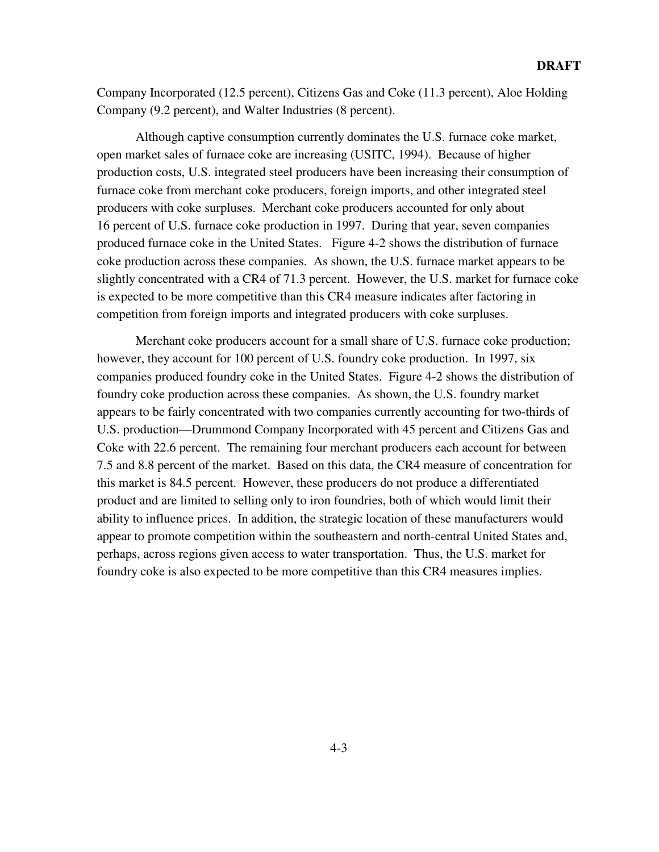Company Incorporated (12.5 percent), Citizens Gas and Coke (11.3 percent), Aloe Holding Company (9.2 percent), and Walter Industries (8 percent).

Although captive consumption currently dominates the U.S. furnace coke market, open market sales of furnace coke are increasing (USITC, 1994). Because of higher production costs, U.S. integrated steel producers have been increasing their consumption of furnace coke from merchant coke producers, foreign imports, and other integrated steel producers with coke surpluses. Merchant coke producers accounted for only about 16 percent of U.S. furnace coke production in 1997. During that year, seven companies produced furnace coke in the United States. Figure 4-2 shows the distribution of furnace coke production across these companies. As shown, the U.S. furnace market appears to be slightly concentrated with a CR4 of 71.3 percent. However, the U.S. market for furnace coke is expected to be more competitive than this CR4 measure indicates after factoring in competition from foreign imports and integrated producers with coke surpluses.

Merchant coke producers account for a small share of U.S. furnace coke production; however, they account for 100 percent of U.S. foundry coke production. In 1997, six companies produced foundry coke in the United States. Figure 4-2 shows the distribution of foundry coke production across these companies. As shown, the U.S. foundry market appears to be fairly concentrated with two companies currently accounting for two-thirds of U.S. production—Drummond Company Incorporated with 45 percent and Citizens Gas and Coke with 22.6 percent. The remaining four merchant producers each account for between 7.5 and 8.8 percent of the market. Based on this data, the CR4 measure of concentration for this market is 84.5 percent. However, these producers do not produce a differentiated product and are limited to selling only to iron foundries, both of which would limit their ability to influence prices. In addition, the strategic location of these manufacturers would appear to promote competition within the southeastern and north-central United States and, perhaps, across regions given access to water transportation. Thus, the U.S. market for foundry coke is also expected to be more competitive than this CR4 measures implies.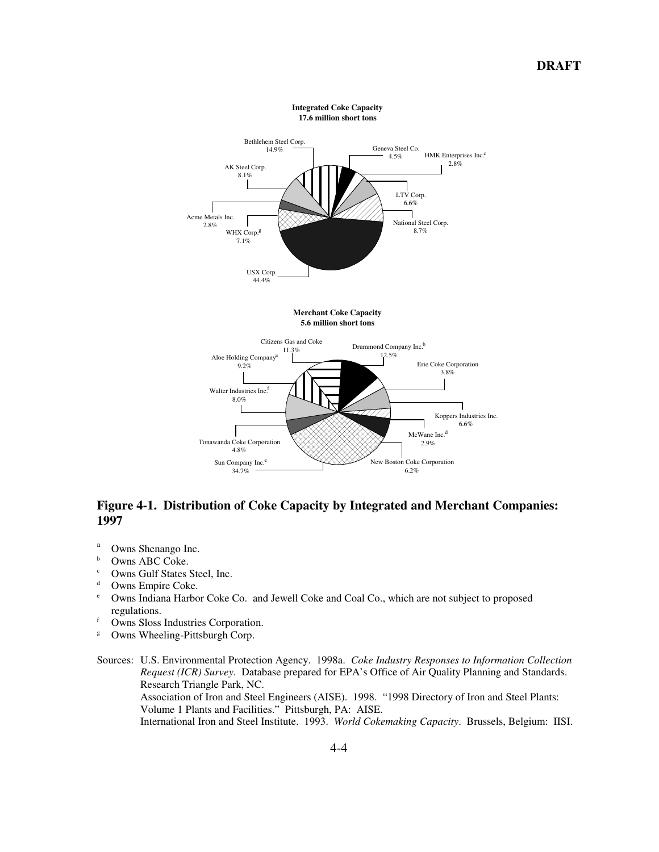

# **Figure 4-1. Distribution of Coke Capacity by Integrated and Merchant Companies: 1997**

- $\frac{a}{b}$  Owns Shenango Inc.
- $\frac{b}{c}$  Owns ABC Coke.
- $\frac{c}{d}$  Owns Gulf States Steel, Inc.
- <sup>d</sup> Owns Empire Coke.<br>  $\frac{e}{e}$  Owns Indiana Harbo
- <sup>e</sup> Owns Indiana Harbor Coke Co. and Jewell Coke and Coal Co., which are not subject to proposed regulations.
- <sup>f</sup> Owns Sloss Industries Corporation.
- <sup>g</sup> Owns Wheeling-Pittsburgh Corp.

#### Sources: U.S. Environmental Protection Agency. 1998a. *Coke Industry Responses to Information Collection Request (ICR) Survey*. Database prepared for EPA's Office of Air Quality Planning and Standards. Research Triangle Park, NC. Association of Iron and Steel Engineers (AISE). 1998. "1998 Directory of Iron and Steel Plants: Volume 1 Plants and Facilities." Pittsburgh, PA: AISE. International Iron and Steel Institute. 1993. *World Cokemaking Capacity*. Brussels, Belgium: IISI.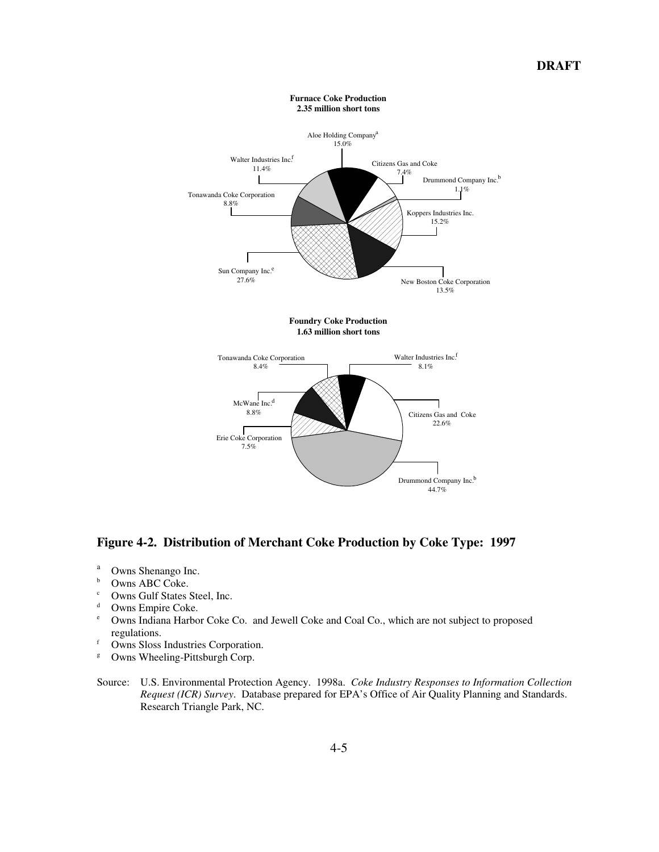

**Figure 4-2. Distribution of Merchant Coke Production by Coke Type: 1997**

- $\frac{a}{b}$  Owns Shenango Inc.
- $\frac{b}{c}$  Owns ABC Coke.
- <sup>c</sup> Owns Gulf States Steel, Inc.<br> $\frac{d}{dx}$  Owns Empire Coke
- <sup>d</sup> Owns Empire Coke.<br>  $\frac{e}{e}$  Owns Indiana Harbo
- <sup>e</sup> Owns Indiana Harbor Coke Co. and Jewell Coke and Coal Co., which are not subject to proposed regulations.
- <sup>f</sup> Owns Sloss Industries Corporation.<br>
<sup>g</sup> Owns Wheeling-Pittsburgh Corp.
- Owns Wheeling-Pittsburgh Corp.
- Source: U.S. Environmental Protection Agency. 1998a. *Coke Industry Responses to Information Collection Request (ICR) Survey*. Database prepared for EPA's Office of Air Quality Planning and Standards. Research Triangle Park, NC.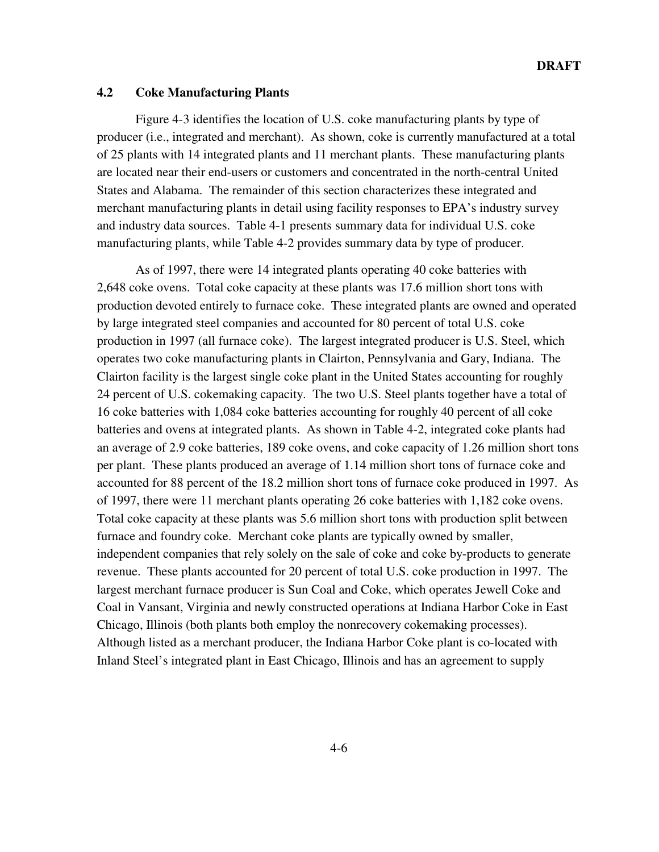## **4.2 Coke Manufacturing Plants**

Figure 4-3 identifies the location of U.S. coke manufacturing plants by type of producer (i.e., integrated and merchant). As shown, coke is currently manufactured at a total of 25 plants with 14 integrated plants and 11 merchant plants. These manufacturing plants are located near their end-users or customers and concentrated in the north-central United States and Alabama. The remainder of this section characterizes these integrated and merchant manufacturing plants in detail using facility responses to EPA's industry survey and industry data sources. Table 4-1 presents summary data for individual U.S. coke manufacturing plants, while Table 4-2 provides summary data by type of producer.

As of 1997, there were 14 integrated plants operating 40 coke batteries with 2,648 coke ovens. Total coke capacity at these plants was 17.6 million short tons with production devoted entirely to furnace coke. These integrated plants are owned and operated by large integrated steel companies and accounted for 80 percent of total U.S. coke production in 1997 (all furnace coke). The largest integrated producer is U.S. Steel, which operates two coke manufacturing plants in Clairton, Pennsylvania and Gary, Indiana. The Clairton facility is the largest single coke plant in the United States accounting for roughly 24 percent of U.S. cokemaking capacity. The two U.S. Steel plants together have a total of 16 coke batteries with 1,084 coke batteries accounting for roughly 40 percent of all coke batteries and ovens at integrated plants. As shown in Table 4-2, integrated coke plants had an average of 2.9 coke batteries, 189 coke ovens, and coke capacity of 1.26 million short tons per plant. These plants produced an average of 1.14 million short tons of furnace coke and accounted for 88 percent of the 18.2 million short tons of furnace coke produced in 1997. As of 1997, there were 11 merchant plants operating 26 coke batteries with 1,182 coke ovens. Total coke capacity at these plants was 5.6 million short tons with production split between furnace and foundry coke. Merchant coke plants are typically owned by smaller, independent companies that rely solely on the sale of coke and coke by-products to generate revenue. These plants accounted for 20 percent of total U.S. coke production in 1997. The largest merchant furnace producer is Sun Coal and Coke, which operates Jewell Coke and Coal in Vansant, Virginia and newly constructed operations at Indiana Harbor Coke in East Chicago, Illinois (both plants both employ the nonrecovery cokemaking processes). Although listed as a merchant producer, the Indiana Harbor Coke plant is co-located with Inland Steel's integrated plant in East Chicago, Illinois and has an agreement to supply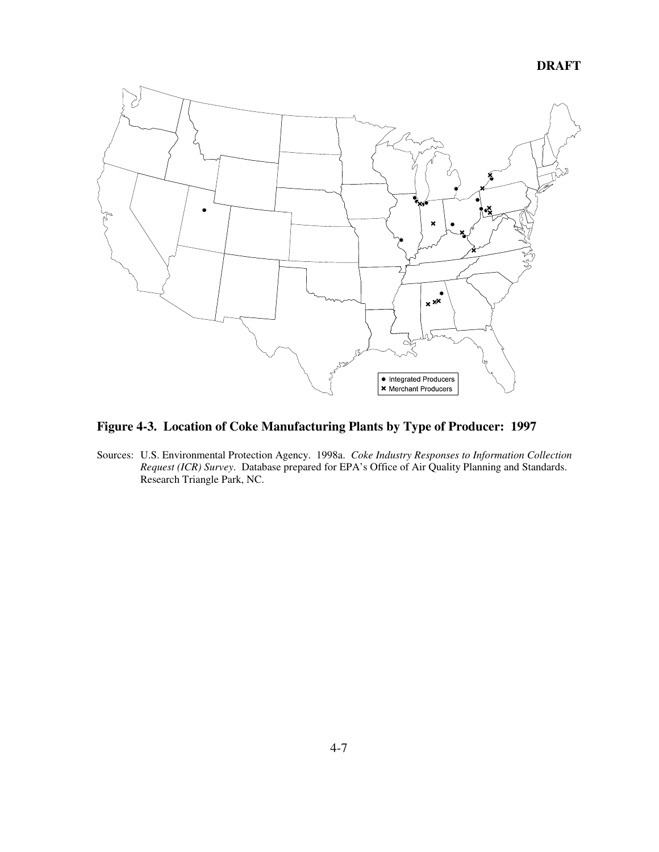**DRAFT**



# **Figure 4-3. Location of Coke Manufacturing Plants by Type of Producer: 1997**

Sources: U.S. Environmental Protection Agency. 1998a. *Coke Industry Responses to Information Collection Request (ICR) Survey*. Database prepared for EPA's Office of Air Quality Planning and Standards. Research Triangle Park, NC.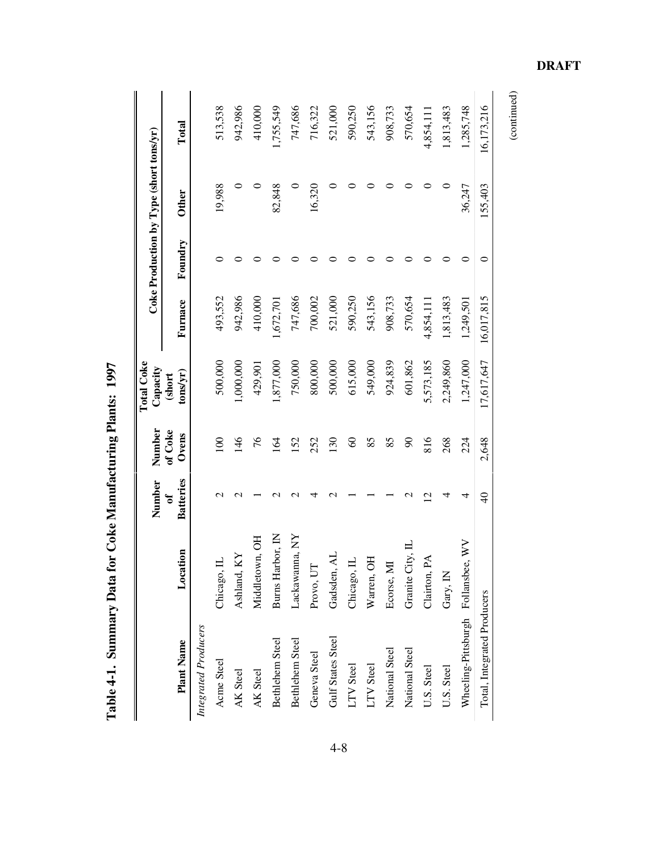|                                    |                  | Number                | Number           | <b>Total Coke</b><br>Capacity |            |         | Coke Production by Type (short tons/yr) |            |
|------------------------------------|------------------|-----------------------|------------------|-------------------------------|------------|---------|-----------------------------------------|------------|
| <b>Plant Name</b>                  | Location         | <b>Batteries</b><br>ð | of Coke<br>Ovens | $\frac{1}{2}$<br>(short       | Furnace    | Foundry | <b>Other</b>                            | Total      |
| Integrated Producers               |                  |                       |                  |                               |            |         |                                         |            |
| Acme Steel                         | Chicago, IL      | $\mathbf{\sim}$       | $\overline{0}$   | 500,000                       | 493,552    |         | 19,988                                  | 513,538    |
| AK Steel                           | Ashland, KY      | $\mathrel{\sim}$      | $\frac{46}{5}$   | 1,000,000                     | 942,986    |         |                                         | 942,986    |
| AK Steel                           | Middletown, OH   |                       | 76               | 429,901                       | 410,000    |         |                                         | 410,000    |
| Bethlehem Steel                    | Burns Harbor, IN | N                     | 64               | 1,877,000                     | 1,672,701  |         | 82,848                                  | 1,755,549  |
| Bethlehem Steel                    | Lackawanna, NY   | $\mathbf 2$           | <b>S2</b>        | 750,000                       | 747,686    |         |                                         | 747,686    |
| Geneva Steel                       | Provo, UT        | ₹                     | 252              | 800,000                       | 700,002    |         | 16,320                                  | 716,322    |
| Gulf States Steel                  | Gadsden, AL      | $\mathrel{\sim}$      | 130              | 500,000                       | 521,000    |         |                                         | 521,000    |
| LTV Steel                          | Chicago, IL      |                       | 8                | 615,000                       | 590,250    |         |                                         | 590,250    |
| LTV Steel                          | Warren, OH       |                       | 85               | 549,000                       | 543,156    |         |                                         | 543,156    |
| National Steel                     | Ecorse, MI       |                       | 85               | 924,839                       | 908,733    |         |                                         | 908,733    |
| National Steel                     | Granite City, II |                       | $\infty$         | 601,862                       | 570,654    |         |                                         | 570,654    |
| U.S. Steel                         | Clairton, PA     | U                     | 816              | 5,573,185                     | 4,854,111  |         |                                         | 4,854,111  |
| U.S. Steel                         | Gary, IN         | 4                     | 268              | 2,249,860                     | 1,813,483  |         | 0                                       | 1,813,483  |
| Wheeling-Pittsburgh Follansbee, WV |                  | 4                     | 224              | 1,247,000                     | 1,249,501  |         | 36,247                                  | 1,285,748  |
| Total, Integrated Producers        |                  | $\frac{1}{4}$         | 2,648            | 17,617,647                    | 16,017,815 | 0       | 155,403                                 | 16,173,216 |

Table 4-1. Summary Data for Coke Manufacturing Plants: 1997 **Table 4-1. Summary Data for Coke Manufacturing Plants: 1997**

4-8

**DRAFT**

 $(continued)$ (continued)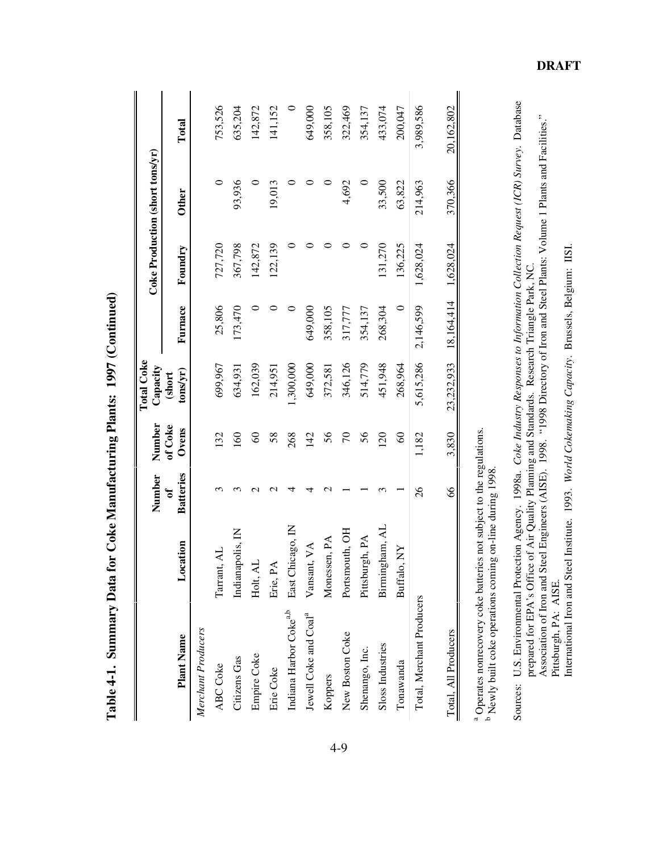|                                   |                           | Number                 | Number           | <b>Total Coke</b><br>Capacity |            |           | Coke Production (short tons/yr) |            |
|-----------------------------------|---------------------------|------------------------|------------------|-------------------------------|------------|-----------|---------------------------------|------------|
| <b>Plant Name</b>                 | Location                  | <b>Batteries</b><br>ზ. | of Coke<br>Ovens | tons/yr)<br>(short            | Furnace    | Foundry   | <b>Other</b>                    | Total      |
| Merchant Producers                |                           |                        |                  |                               |            |           |                                 |            |
| ABC Coke                          | Tarrant, AL               |                        | 32               | 699,967                       | 25,806     | 727,720   | 0                               | 753,526    |
| Citizens Gas                      | Indianapolis, IN          | ↶                      | 60               | 634,931                       | 173,470    | 367,798   | 93,936                          | 635,204    |
| Empire Coke                       | Holt, AL                  | $\sim$                 | $\infty$         | 162,039                       |            | 142,872   | 0                               | 142,872    |
| Erie Coke                         | Erie, PA                  |                        | 58               | 214,951                       |            | 122,139   | 19,013                          | 141,152    |
| Indiana Harbor Cokea,b            | East Chicago, IN          |                        | 268              | 1,300,000                     |            |           |                                 |            |
| Jewell Coke and Coal <sup>a</sup> | Vansant, VA               |                        | 142              | 649,000                       | 649,000    |           |                                 | 649,000    |
| Koppers                           | Monessen, PA              |                        | 56               | 372,581                       | 358,105    |           |                                 | 358,105    |
| New Boston Coke                   | Portsmouth, OH            |                        | $\sqrt{2}$       | 346,126                       | 317,777    |           | 4,692                           | 322,469    |
| Shenango, Inc.                    | Pittsburgh, PA            |                        | 56               | 514,779                       | 354,137    | 0         | 0                               | 354,137    |
| Sloss Industries                  | gham, AL<br><b>Birmin</b> |                        | 20               | 451,948                       | 268,304    | 131,270   | 33,500                          | 433,074    |
| Tonawanda                         | Buffalo, NY               |                        | $\infty$         | 268,964                       | $\circ$    | 136,225   | 63,822                          | 200,047    |
| Total, Merchant Producers         |                           | $\delta$               | 1,182            | 5,615,286                     | 2,146,599  | 1,628,024 | 214,963                         | 3,989,586  |
| Total, All Producers              |                           | 8                      | 3,830            | 23,232,933                    | 18,164,414 | 1,628,024 | 370,366                         | 20,162,802 |

Table 4-1. Summary Data for Coke Manufacturing Plants: 1997 (Continued) **Table 4-1. Summary Data for Coke Manufacturing Plants: 1997 (Continued)**

<sup>b</sup> Newly built coke operations coming on-line during 1998.

Sources: U.S. Environmental Protection Agency. 1998a. Coke Industry Responses to Information Collection Request (ICR) Survey. Database Sources: U.S. Environmental Protection Agency. 1998a. *Coke Industry Responses to Information Collection Request (ICR) Survey*. Database U.S. Environmental Protection Agency. 1998a. *Coke Industry Responses to Information Collection Request (ICR) Survey*. Databa prepared for EPA's Office of Air Quality Planning and Standards. Research Triangle Park, NC.<br>Ass Association of Iron and Steel Engineers (AISE). 1998. "1998 Directory of Iron and Steel Plants: Volume 1 Plants and Facilities." prepared for EPA's Office of Air Quality Planning and Standards. Research Triangle Park, NC.

International Iron and Steel Institute. 1993. World Cokemaking Capacity. Brussels, Belgium: IISI. International Iron and Steel Institute. 1993. *World Cokemaking Capacity*. Brussels, Belgium: IISI.Pittsburgh, PA: AISE.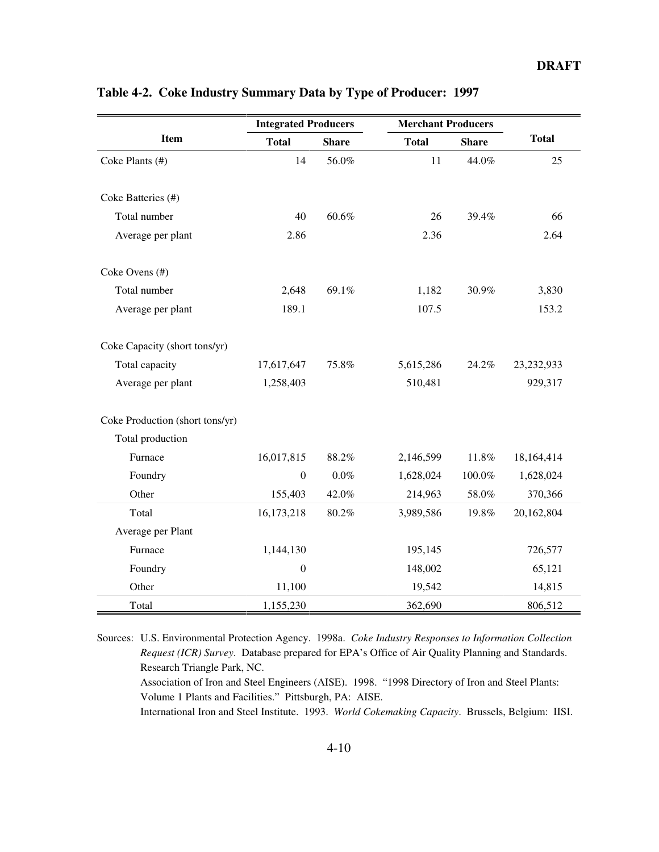|                                 | <b>Integrated Producers</b> |              | <b>Merchant Producers</b> |              |              |
|---------------------------------|-----------------------------|--------------|---------------------------|--------------|--------------|
| Item                            | <b>Total</b>                | <b>Share</b> | <b>Total</b>              | <b>Share</b> | <b>Total</b> |
| Coke Plants (#)                 | 14                          | 56.0%        | 11                        | 44.0%        | 25           |
|                                 |                             |              |                           |              |              |
| Coke Batteries (#)              |                             |              |                           |              |              |
| Total number                    | 40                          | 60.6%        | 26                        | 39.4%        | 66           |
| Average per plant               | 2.86                        |              | 2.36                      |              | 2.64         |
|                                 |                             |              |                           |              |              |
| Coke Ovens (#)                  |                             |              |                           |              |              |
| Total number                    | 2,648                       | 69.1%        | 1,182                     | 30.9%        | 3,830        |
| Average per plant               | 189.1                       |              | 107.5                     |              | 153.2        |
|                                 |                             |              |                           |              |              |
| Coke Capacity (short tons/yr)   |                             |              |                           |              |              |
| Total capacity                  | 17,617,647                  | 75.8%        | 5,615,286                 | 24.2%        | 23, 232, 933 |
| Average per plant               | 1,258,403                   |              | 510,481                   |              | 929,317      |
|                                 |                             |              |                           |              |              |
| Coke Production (short tons/yr) |                             |              |                           |              |              |
| Total production                |                             |              |                           |              |              |
| Furnace                         | 16,017,815                  | 88.2%        | 2,146,599                 | 11.8%        | 18,164,414   |
| Foundry                         | $\boldsymbol{0}$            | $0.0\%$      | 1,628,024                 | $100.0\%$    | 1,628,024    |
| Other                           | 155,403                     | 42.0%        | 214,963                   | 58.0%        | 370,366      |
| Total                           | 16,173,218                  | 80.2%        | 3,989,586                 | 19.8%        | 20,162,804   |
| Average per Plant               |                             |              |                           |              |              |
| Furnace                         | 1,144,130                   |              | 195,145                   |              | 726,577      |
| Foundry                         | $\mathbf{0}$                |              | 148,002                   |              | 65,121       |
| Other                           | 11,100                      |              | 19,542                    |              | 14,815       |
| Total                           | 1,155,230                   |              | 362,690                   |              | 806,512      |

# **Table 4-2. Coke Industry Summary Data by Type of Producer: 1997**

Sources: U.S. Environmental Protection Agency. 1998a. *Coke Industry Responses to Information Collection Request (ICR) Survey*. Database prepared for EPA's Office of Air Quality Planning and Standards. Research Triangle Park, NC. Association of Iron and Steel Engineers (AISE). 1998. "1998 Directory of Iron and Steel Plants:

International Iron and Steel Institute. 1993. *World Cokemaking Capacity*. Brussels, Belgium: IISI.

Volume 1 Plants and Facilities." Pittsburgh, PA: AISE.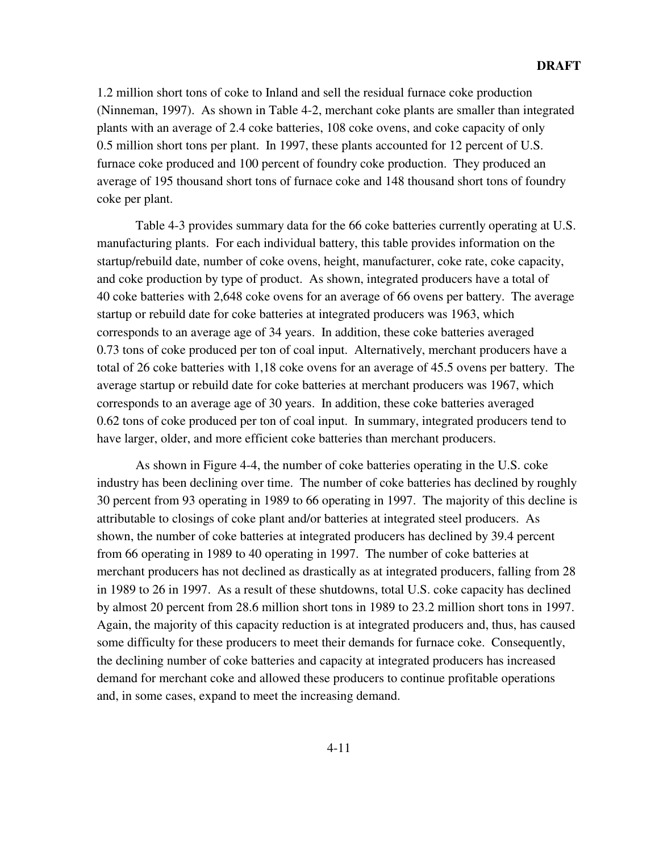1.2 million short tons of coke to Inland and sell the residual furnace coke production (Ninneman, 1997). As shown in Table 4-2, merchant coke plants are smaller than integrated plants with an average of 2.4 coke batteries, 108 coke ovens, and coke capacity of only 0.5 million short tons per plant. In 1997, these plants accounted for 12 percent of U.S. furnace coke produced and 100 percent of foundry coke production. They produced an average of 195 thousand short tons of furnace coke and 148 thousand short tons of foundry coke per plant.

Table 4-3 provides summary data for the 66 coke batteries currently operating at U.S. manufacturing plants. For each individual battery, this table provides information on the startup/rebuild date, number of coke ovens, height, manufacturer, coke rate, coke capacity, and coke production by type of product. As shown, integrated producers have a total of 40 coke batteries with 2,648 coke ovens for an average of 66 ovens per battery. The average startup or rebuild date for coke batteries at integrated producers was 1963, which corresponds to an average age of 34 years. In addition, these coke batteries averaged 0.73 tons of coke produced per ton of coal input. Alternatively, merchant producers have a total of 26 coke batteries with 1,18 coke ovens for an average of 45.5 ovens per battery. The average startup or rebuild date for coke batteries at merchant producers was 1967, which corresponds to an average age of 30 years. In addition, these coke batteries averaged 0.62 tons of coke produced per ton of coal input. In summary, integrated producers tend to have larger, older, and more efficient coke batteries than merchant producers.

As shown in Figure 4-4, the number of coke batteries operating in the U.S. coke industry has been declining over time. The number of coke batteries has declined by roughly 30 percent from 93 operating in 1989 to 66 operating in 1997. The majority of this decline is attributable to closings of coke plant and/or batteries at integrated steel producers. As shown, the number of coke batteries at integrated producers has declined by 39.4 percent from 66 operating in 1989 to 40 operating in 1997. The number of coke batteries at merchant producers has not declined as drastically as at integrated producers, falling from 28 in 1989 to 26 in 1997. As a result of these shutdowns, total U.S. coke capacity has declined by almost 20 percent from 28.6 million short tons in 1989 to 23.2 million short tons in 1997. Again, the majority of this capacity reduction is at integrated producers and, thus, has caused some difficulty for these producers to meet their demands for furnace coke. Consequently, the declining number of coke batteries and capacity at integrated producers has increased demand for merchant coke and allowed these producers to continue profitable operations and, in some cases, expand to meet the increasing demand.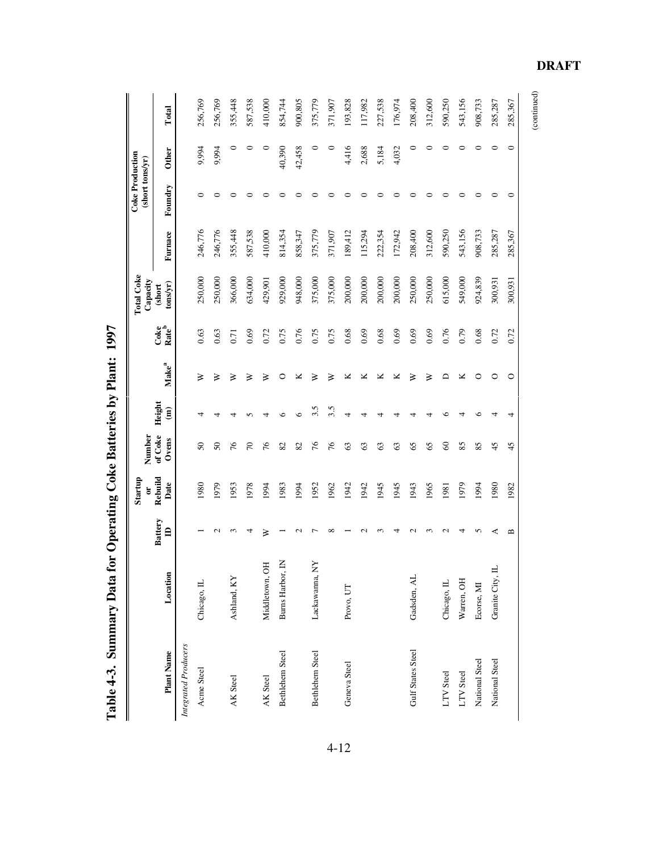|                             |                           |                                | Startup         | Number            |                         |                              |                           | <b>Total Coke</b><br>Capacity |         | <b>Coke Production</b><br>(short tons/yr) |        |         |
|-----------------------------|---------------------------|--------------------------------|-----------------|-------------------|-------------------------|------------------------------|---------------------------|-------------------------------|---------|-------------------------------------------|--------|---------|
| <b>Plant Name</b>           | Location                  | <b>Battery</b><br>$\mathbf{r}$ | Rebuild<br>Date | of Coke<br>Ovens  | Height<br>$\widehat{a}$ | $\mathbf{Make}^{\mathbf{a}}$ | Coke<br>Rate <sup>b</sup> | $t$ ons/yr)<br>(short         | Furnace | Foundry                                   | Other  | Total   |
| <b>Integrated Producers</b> |                           |                                |                 |                   |                         |                              |                           |                               |         |                                           |        |         |
| Acme Steel                  | Chicago, IL               |                                | 1980            | $\boldsymbol{50}$ |                         | ≽                            | 0.63                      | 250,000                       | 246,776 | 0                                         | 9,994  | 256,769 |
|                             |                           |                                | 1979            | $\boldsymbol{S}$  | 4                       | ⋧                            | 0.63                      | 250,000                       | 246,776 | 0                                         | 9,994  | 256,769 |
| AK Steel                    | Ashland, KY               |                                | 1953            | 76                |                         | ⋧                            | 0.71                      | 366,000                       | 355,448 | 0                                         | 0      | 355,448 |
|                             |                           | ₹                              | 1978            | $\approx$         |                         | ⋧                            | 0.69                      | 634,000                       | 587,538 | ⊂                                         | 0      | 587,538 |
| AK Steel                    | БÖ<br>Middletown,         | ≽                              | 1994            | 76                |                         | ⋧                            | 0.72                      | 429,901                       | 410,000 | 0                                         | 0      | 410,000 |
| Bethlehem Steel             | Burns Harbor, IN          |                                | 1983            | 82                | ⊾                       | C                            | 0.75                      | 929,000                       | 814,354 | ∊                                         | 40,390 | 854,744 |
|                             |                           |                                | 1994            | 82                | ∘                       | ⊻                            | 0.76                      | 948,000                       | 858,347 | ⊂                                         | 42,458 | 900,805 |
| Bethlehem Steel             | ΧX<br>Lackawanna,         |                                | 1952            | 76                | 3.5                     | ≽                            | 0.75                      | 375,000                       | 375,779 | ⊂                                         | 0      | 375,779 |
|                             |                           |                                | 1962            | 76                | 3.5                     | ⋧                            | 0.75                      | 375,000                       | 371,907 | ⊂                                         | ᅌ      | 371,907 |
| Geneva Steel                | Provo, UT                 |                                | 1942            | $\mathcal{C}$     | 4                       | ≃                            | 0.68                      | 200,000                       | 189,412 | 0                                         | 4,416  | 193,828 |
|                             |                           |                                | 1942            | $\mathcal{C}$     |                         | ⊻                            | 0.69                      | 200,000                       | 115,294 | 0                                         | 2,688  | 117,982 |
|                             |                           |                                | 1945            | 63                |                         | ⊻                            | 0.68                      | 200,000                       | 222,354 | 0                                         | 5,184  | 227,538 |
|                             |                           |                                | 1945            | $\mathcal{C}$     |                         | ⊻                            | 0.69                      | 200,000                       | 172,942 | ⊂                                         | 4,032  | 176,974 |
| Gulf States Steel           | Gadsden, AL               |                                | 1943            | 65                |                         | ⋧                            | 0.69                      | 250,000                       | 208,400 | ∊                                         | 0      | 208,400 |
|                             |                           |                                | 1965            | 65                |                         | ⋧                            | 0.69                      | 250,000                       | 312,600 | ⊂                                         | ○      | 312,600 |
| LTV Steel                   | Chicago, IL               |                                | 1981            | $\infty$          | c                       | ≏                            | 0.76                      | 615,000                       | 590,250 | ⊂                                         | ⊂      | 590,250 |
| LTV Steel                   | Warren, OH                |                                | 1979            | 85                |                         | ⊻                            | 0.79                      | 549,000                       | 543,156 | ⊂                                         | ⊂      | 543,156 |
| National Steel              | Ecorse, MI                | n                              | 1994            | 85                | €                       | C                            | 0.68                      | 924,839                       | 908,733 | ⊂                                         | ⊂      | 908,733 |
| National Steel              | $\exists$<br>Granite City |                                | 1980            | 45                |                         | 0                            | 0.72                      | 300,931                       | 285,287 | ⊂                                         | ⊂      | 285,287 |
|                             |                           | ≃                              | 1982            | 45                |                         | O                            | 0.72                      | 300,931                       | 285,367 | ∊                                         | ∊      | 285,367 |
|                             |                           |                                |                 |                   |                         |                              |                           |                               |         |                                           |        |         |

Table 4-3. Summary Data for Operating Coke Batteries by Plant: 1997 **Table 4-3. Summary Data for Operating Coke Batteries by Plant: 1997**

 $\left( \textrm{continued}\right)$ 

(continued)

**DRAFT**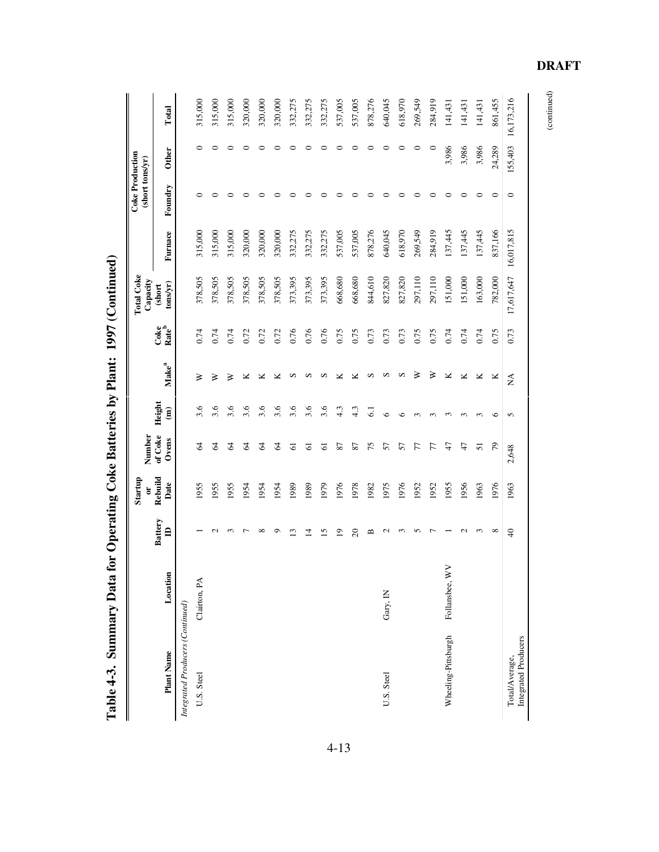|                                        |                |                                | Startup<br>ă    | Number           |                                  |                              |                                        | <b>Total Coke</b><br>Capacity |         | <b>Coke Production</b><br>(short tons/yr) |         |            |
|----------------------------------------|----------------|--------------------------------|-----------------|------------------|----------------------------------|------------------------------|----------------------------------------|-------------------------------|---------|-------------------------------------------|---------|------------|
| Plant Name                             | Location       | <b>Battery</b><br>$\triangleq$ | Rebuild<br>Date | of Coke<br>Ovens | Height<br>$\mathbf{\widehat{a}}$ | $\mathbf{Make}^{\mathbf{a}}$ | Coke <sup>b</sup><br>Rate <sup>b</sup> | $t$ ons/yr)<br>(short         | Furnace | Foundry                                   | Other   | Total      |
| Integrated Producers (Continued)       |                |                                |                 |                  |                                  |                              |                                        |                               |         |                                           |         |            |
| U.S. Steel                             | Clairton, PA   |                                | 1955            | Z                | 3.6                              | ≽                            | 0.74                                   | 378,505                       | 315,000 | ⊂                                         | 0       | 315,000    |
|                                        |                |                                | 1955            | 2                | 3.6                              | ⋧                            | 0.74                                   | 378,505                       | 315,000 | 0                                         | 0       | 315,000    |
|                                        |                |                                | 1955            | 2                | 3.6                              | ⋧                            | 0.74                                   | 378,505                       | 315,000 | ⊂                                         | ⊂       | 315,000    |
|                                        |                |                                | 1954            | 2                | 3.6                              | ⊻                            | 0.72                                   | 378,505                       | 320,000 | ⊂                                         | 0       | 320,000    |
|                                        |                | ∞                              | 1954            | 2                | 3.6                              | ⊻                            | 0.72                                   | 378,505                       | 320,000 | ⊂                                         | 0       | 320,000    |
|                                        |                | σ                              | 1954            | 2                | 3.6                              | ⊻                            | 0.72                                   | 378,505                       | 320,000 | ⊂                                         | 0       | 320,000    |
|                                        |                | ≌                              | 1989            | ಠ                | 3.6                              | $\omega$                     | 0.76                                   | 373,395                       | 332,275 | ⊂                                         | 0       | 332,275    |
|                                        |                | ⋣                              | 1989            | ତ                | 3.6                              | S                            | 0.76                                   | 373,395                       | 332,275 | 0                                         | $\circ$ | 332,275    |
|                                        |                | 15                             | 1979            | 5                | 3.6                              | S                            | 0.76                                   | 373,395                       | 332,275 |                                           | ᅌ       | 332,275    |
|                                        |                | $\overline{0}$                 | 1976            | 2                | 4.3                              | ⊻                            | 0.75                                   | 668,680                       | 537,005 | ⊂                                         | 0       | 537,005    |
|                                        |                | $\Omega$                       | 1978            | 87               | 4.3                              | ⊻                            | 0.75                                   | 668,680                       | 537,005 | ⊂                                         | 0       | 537,005    |
|                                        |                | ≃                              | 1982            | 75               | $\overline{5}$                   | S                            | 0.73                                   | 844,610                       | 878,276 | ⊂                                         | ⊂       | 878,276    |
| U.S. Steel                             | Gary, IN       |                                | 1975            | 57               | $\circ$                          | s                            | 0.73                                   | 827,820                       | 640,045 | ⊂                                         | ⊂       | 640,045    |
|                                        |                |                                | 1976            | 57               | ء                                | S                            | 0.73                                   | 827,820                       | 618,970 | ⊂                                         | 0       | 618,970    |
|                                        |                |                                | 1952            | F                | r                                | ≽                            | 0.75                                   | 297,110                       | 269,549 | 0                                         | 0       | 269,549    |
|                                        |                |                                | 1952            | 77               | $\sim$                           | ⋧                            | 0.75                                   | 297,110                       | 284,919 | ○                                         | $\circ$ | 284,919    |
| Wheeling-Pittsburgh                    | Follansbee, WV |                                | 1955            | 47               | r                                | ×                            | 0.74                                   | 151,000                       | 137,445 | 0                                         | 3,986   | 141,431    |
|                                        |                |                                | 1956            | 41               | m                                | ⊻                            | 0.74                                   | 151,000                       | 137,445 | 0                                         | 3,986   | 141,431    |
|                                        |                |                                | 1963            | 5                | r                                | ×                            | 0.74                                   | 163,000                       | 137,445 | ⊂                                         | 3,986   | 141,431    |
|                                        |                | $\infty$                       | 1976            | 56               | ७                                | ×                            | 0.75                                   | 782,000                       | 837,166 | $\circ$                                   | 24,289  | 861,455    |
| Integrated Producers<br>Total/Average, |                | $\Theta$                       | 1963            | 2,648            | 5                                | $\sum_{i=1}^{n}$             | 0.73                                   | 17,617,647 16,017,815         |         | 0                                         | 155,403 | 16,173,216 |

Table 4-3. Summary Data for Operating Coke Batteries by Plant: 1997 (Continued) **Table 4-3. Summary Data for Operating Coke Batteries by Plant: 1997 (Continued)**

**DRAFT**

(continued)

 $(continued)$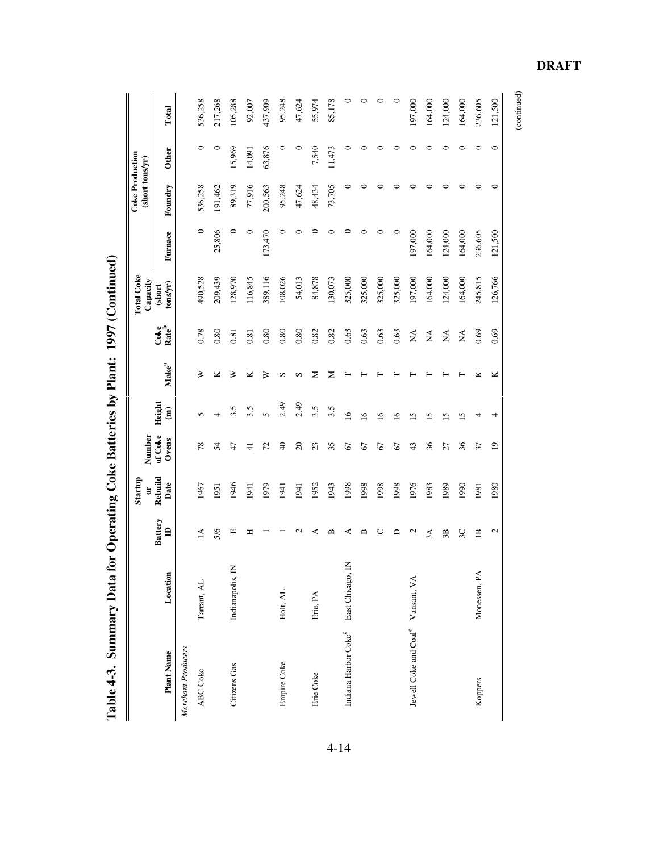| I<br>$\frac{1}{2}$                        |
|-------------------------------------------|
| $\ddot{\phantom{a}}$<br>i                 |
| $\vdots$<br>$\overline{a}$<br>≀<br>0<br>l |
| $\frac{1}{2}$<br>$\vdots$<br>Ì            |
| ₹<br>$\vdots$<br>ı                        |

| Table 4-3. Summary Data                       |                        |                                |                 |                  |                                  |                              |                                | for Operating Coke Batteries by Plant: 1997 (Continued) |         |                                           |              |         |
|-----------------------------------------------|------------------------|--------------------------------|-----------------|------------------|----------------------------------|------------------------------|--------------------------------|---------------------------------------------------------|---------|-------------------------------------------|--------------|---------|
|                                               |                        |                                | Startup<br>ä    | Number           |                                  |                              |                                | <b>Total Coke</b><br>Capacity                           |         | <b>Coke Production</b><br>(short tons/yr) |              |         |
| Plant Name                                    | Location               | <b>Battery</b><br>$\mathbf{a}$ | Rebuild<br>Date | of Coke<br>Ovens | Height<br>$\widehat{\mathbf{g}}$ | $\mathbf{Make}^{\mathbf{a}}$ | Coke<br>Rate <sup>b</sup>      | $t$ ons/yr $)$<br>(short                                | Furnace | Foundry                                   | <b>Other</b> | Total   |
| Merchant Producers                            |                        |                                |                 |                  |                                  |                              |                                |                                                         |         |                                           |              |         |
| ABC Coke                                      | Tarrant, AL            | $\Delta$                       | 1967            | $\frac{8}{2}$    | n                                | ≽                            | 0.78                           | 490,528                                                 | $\circ$ | 536,258                                   | $\circ$      | 536,258 |
|                                               |                        | 5/6                            | 1951            | 54               | 4                                | ⊻                            | 0.80                           | 209,439                                                 | 25,806  | 191,462                                   | 0            | 217,268 |
| Citizens Gas                                  | $\Xi$<br>Indianapolis, | щ                              | 1946            | $\ddot{t}$       | 3.5                              | ≽                            | 0.81                           | 128,970                                                 | $\circ$ | 89,319                                    | 15,969       | 105,288 |
|                                               |                        | Ξ                              | 1941            | $\frac{4}{3}$    | 3.5                              | ×                            | 0.81                           | 116,845                                                 | $\circ$ | 77,916                                    | 14,091       | 92,007  |
|                                               |                        |                                | 1979            | 72               | 5                                | ≽                            | 0.80                           | 389,116                                                 | 173,470 | 200,563                                   | 63,876       | 437,909 |
| Empire Coke                                   | Holt, AL               |                                | 1941            | $\Theta$         | 2.49                             | S                            | 0.80                           | 108,026                                                 | $\circ$ | 95,248                                    | $\circ$      | 95,248  |
|                                               |                        |                                | 1941            | $\Omega$         | 2.49                             | s                            | 0.80                           | 54,013                                                  | 0       | 47,624                                    | 0            | 47,624  |
| Erie Coke                                     | Erie, PA               | ⋖                              | 1952            | 23               | 3.5                              | z                            | 0.82                           | 84,878                                                  | 0       | 48,434                                    | 7,540        | 55,974  |
|                                               |                        | ≃                              | 1943            | 35               | 3.5                              | Σ                            | 0.82                           | 130,073                                                 | 0       | 73,705                                    | 11,473       | 85,178  |
| Indiana Harbor Coke <sup>c</sup>              | East Chicago, IN       | ⋖                              | 1998            | 67               | $\overline{16}$                  | ⊢                            | 0.63                           | 325,000                                                 | 0       | $\circ$                                   | $\circ$      | 0       |
|                                               |                        | ≃                              | 1998            | 67               | $\overline{16}$                  | ⊢                            | 0.63                           | 325,000                                                 | ᅌ       | 0                                         | 0            | 0       |
|                                               |                        | U                              | 1998            | $\mathcal{Q}$    | $\overline{16}$                  |                              | 0.63                           | 325,000                                                 | $\circ$ | ⊂                                         | 0            | 0       |
|                                               |                        | ≏                              | 1998            | 67               | $\overline{16}$                  |                              | 0.63                           | 325,000                                                 | $\circ$ | ⊂                                         | 0            | $\circ$ |
| Jewell Coke and Coal <sup>c</sup> Vansant, VA |                        | $\mathbf{c}$                   | 1976            | 43               | 51                               |                              | $\stackrel{\triangle}{\simeq}$ | 197,000                                                 | 197,000 | 0                                         | 0            | 197,000 |
|                                               |                        | 3A                             | 1983            | 36               | 51                               |                              | $\stackrel{\triangle}{\simeq}$ | 164,000                                                 | 164,000 | 0                                         | 0            | 164,000 |
|                                               |                        | 3B                             | 1989            | 27               | 5                                |                              | $\mathbb{A}^{\mathsf{A}}$      | 124,000                                                 | 124,000 | 0                                         | 0            | 124,000 |
|                                               |                        | 3C                             | 1990            | 36               | 51                               |                              | $\mathbb{A}^{\mathsf{A}}$      | 164,000                                                 | 164,000 | $\circ$                                   | $\circ$      | 164,000 |
| Koppers                                       | Monessen, PA           | $\mathbf{B}$                   | 1981            | 37               | 4                                | ⊻                            | 0.69                           | 245,815                                                 | 236,605 | 0                                         | $\circ$      | 236,605 |
|                                               |                        | $\mathcal{L}$                  | 1980            | $\overline{19}$  | 4                                | ×                            | 0.69                           | 126,766                                                 | 121,500 | $\circ$                                   | $\circ$      | 121,500 |

 $\left( \textrm{continued} \right)$ (continued)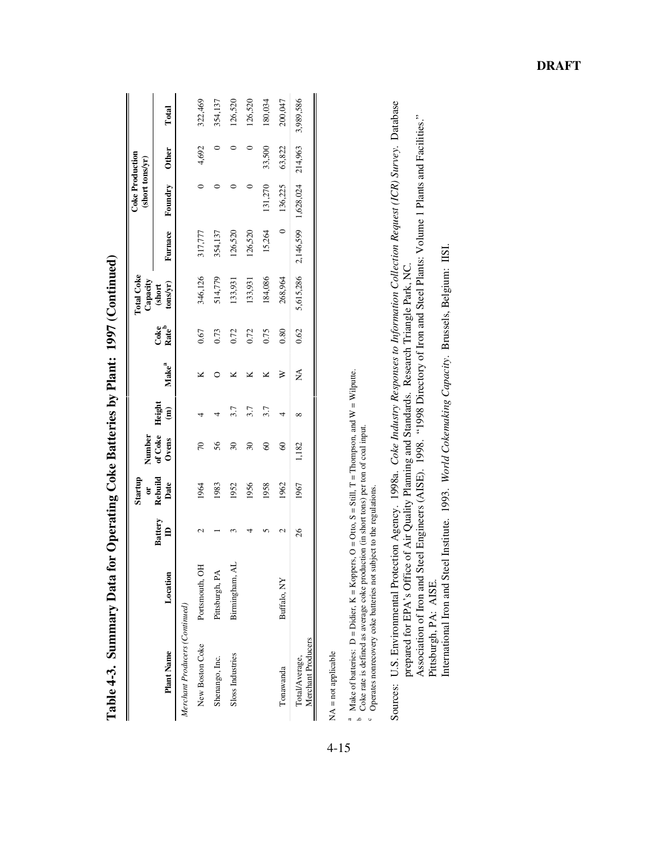|                                      |                |               | Startup<br>$\sigma$ |                            |                                                    |                              |                                        | <b>Total Coke</b>                                                                       |         | <b>Coke Production</b><br>(short tons/yr) |         |           |
|--------------------------------------|----------------|---------------|---------------------|----------------------------|----------------------------------------------------|------------------------------|----------------------------------------|-----------------------------------------------------------------------------------------|---------|-------------------------------------------|---------|-----------|
| <b>Plant Name</b>                    | Location       | Battery<br>ID | Rebuild<br>Date     | Number<br>of Coke<br>Ovens | Height<br>$\begin{matrix} \mathbf{g} \end{matrix}$ | $\mathbf{Make}^{\mathbf{a}}$ | Coke <sup>b</sup><br>Rate <sup>b</sup> | $\begin{array}{c} \textbf{Capacity}\\ \textbf{(short)}\\ \textbf{tons/yr)} \end{array}$ |         | Furnace Foundry Other                     |         | Total     |
| Merchant Producers (Continued)       |                |               |                     |                            |                                                    |                              |                                        |                                                                                         |         |                                           |         |           |
| New Boston Coke                      | Portsmouth, OH |               | 1964                | $\overline{70}$            |                                                    |                              | 0.67                                   | 346,126                                                                                 | 317,777 |                                           | 4,692   | 322,469   |
| Shenango, Inc.                       | Pittsburgh, PA |               | 1983                | 56                         |                                                    |                              | 0.73                                   | 514,779                                                                                 | 354,137 |                                           |         | 354,137   |
| Sloss Industries                     | Birmingham, AL |               | 1952                | $\overline{30}$            | 3.7                                                |                              | 0.72                                   | 133,931                                                                                 | 126,520 |                                           |         | 126,520   |
|                                      |                |               | 1956                | $\mathcal{E}$              | 3.7                                                |                              | 0.72                                   | 133,931                                                                                 | 126,520 |                                           |         | 126,520   |
|                                      |                |               | 1958                | 8                          | 3.7                                                |                              | 0.75                                   | 184,086                                                                                 | 15,264  | 131,270                                   | 33,500  | 180,034   |
| Tonawanda                            | Buffalo, NY    |               | 1962                | $\infty$                   | 4                                                  | ⋧                            | 0.80                                   | 268,964                                                                                 | $\circ$ | 136,225                                   | 63,822  | 200,047   |
| Merchant Producers<br>Total/Average, |                | 26            | 1967                | 1,182                      | ∞                                                  | Á                            | 0.62                                   | 5,615,286                                                                               |         | 2,146,599 1,628,024                       | 214,963 | 3,989,586 |
|                                      |                |               |                     |                            |                                                    |                              |                                        |                                                                                         |         |                                           |         |           |

| $\overline{1}$<br>I<br>ζ<br>í                                                      |
|------------------------------------------------------------------------------------|
| ļ<br>Í<br>l                                                                        |
| I                                                                                  |
| ֧֧֧֧֧֧֧֧֧֧֧֧֧֧֧֧֧֧֚֚֡֓֓֓֝֬֓֓֬֓֓֓֓֝֬֓֓֝֬֝֬֓֝֬֝֬֝֬֝֬֓֓֓֓֬֝֬֓֬֝֬֝֬֝֬֬֬<br>ζ<br>l<br>) |
| l<br>J                                                                             |
| $\frac{1}{2}$<br>$\vdots$<br>ļ<br>١                                                |
| l                                                                                  |
| $\vdots$                                                                           |

 $NA = not applicable$ NA = not applicable

d Du " Make of batteries:  $D = Didier$ ,  $K = Koppers$ ,  $O = Out$ ,  $S = Still$ ,  $T = Thompson$ , and  $W = Wilput$ .<br>b Coke rate is defined as average coke production (in short tons) per ton of coal input.

Operates nonrecovery coke batteries not subject to the regulations.

Sources: U.S. Environmental Protection Agency. 1998a. Coke Industry Responses to Information Collection Request (ICR) Survey. Database Sources: U.S. Environmental Protection Agency. 1998a. *Coke Industry Responses to Information Collection Request (ICR) Survey*. Database prepared for EPA's Office of Air Quality Planning and Standards. Research Triangle Park, NC.<br>Association of Iron and Steel Engineers (AISE). 1998. "1998 Directory of Iron and Steel Plants: Volume 1 Plants and Facilities." prepared for EPA's Office of Air Quality Planning and Standards. Research Triangle Park, NC.

Association of Iron and Steel Engineers (AISE). 1998. "1998 Directory of Iron and Steel Plants: Volume 1 Plants and Facilities." Pittsburgh, PA: AISE. Pittsburgh, PA: AISE.

International Iron and Steel Institute. 1993. World Cokemaking Capacity. Brussels, Belgium: IISI. International Iron and Steel Institute. 1993. *World Cokemaking Capacity*. Brussels, Belgium: IISI.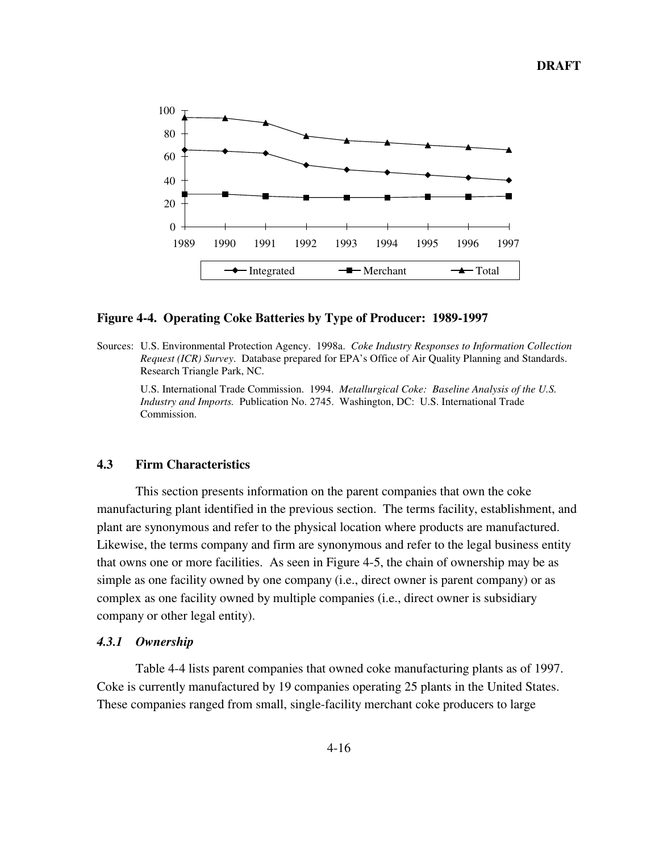

#### **Figure 4-4. Operating Coke Batteries by Type of Producer: 1989-1997**

Sources: U.S. Environmental Protection Agency. 1998a. *Coke Industry Responses to Information Collection Request (ICR) Survey*. Database prepared for EPA's Office of Air Quality Planning and Standards. Research Triangle Park, NC.

U.S. International Trade Commission. 1994. *Metallurgical Coke: Baseline Analysis of the U.S. Industry and Imports.* Publication No. 2745. Washington, DC: U.S. International Trade Commission.

## **4.3 Firm Characteristics**

This section presents information on the parent companies that own the coke manufacturing plant identified in the previous section. The terms facility, establishment, and plant are synonymous and refer to the physical location where products are manufactured. Likewise, the terms company and firm are synonymous and refer to the legal business entity that owns one or more facilities. As seen in Figure 4-5, the chain of ownership may be as simple as one facility owned by one company (i.e., direct owner is parent company) or as complex as one facility owned by multiple companies (i.e., direct owner is subsidiary company or other legal entity).

## *4.3.1 Ownership*

Table 4-4 lists parent companies that owned coke manufacturing plants as of 1997. Coke is currently manufactured by 19 companies operating 25 plants in the United States. These companies ranged from small, single-facility merchant coke producers to large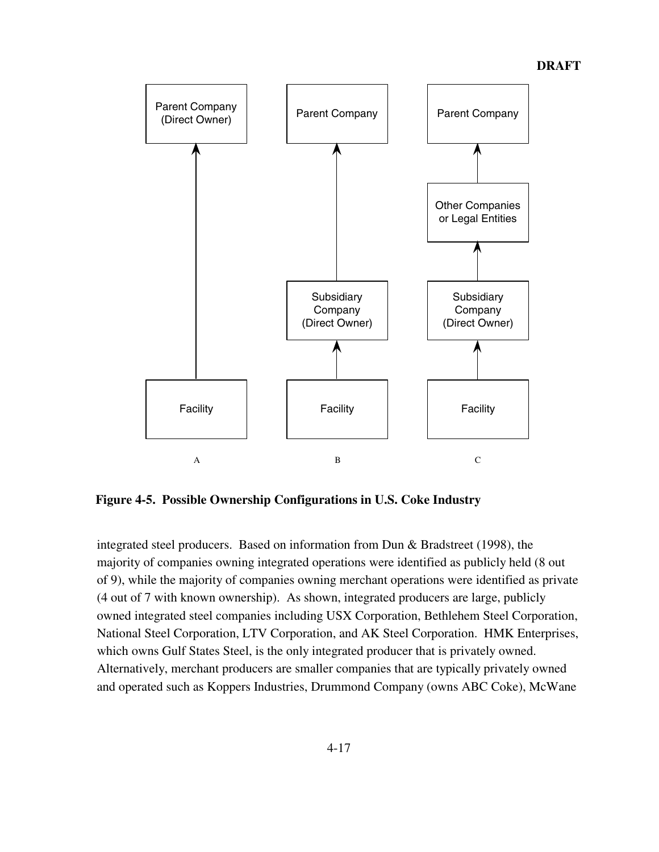

**Figure 4-5. Possible Ownership Configurations in U.S. Coke Industry**

integrated steel producers. Based on information from Dun & Bradstreet (1998), the majority of companies owning integrated operations were identified as publicly held (8 out of 9), while the majority of companies owning merchant operations were identified as private (4 out of 7 with known ownership). As shown, integrated producers are large, publicly owned integrated steel companies including USX Corporation, Bethlehem Steel Corporation, National Steel Corporation, LTV Corporation, and AK Steel Corporation. HMK Enterprises, which owns Gulf States Steel, is the only integrated producer that is privately owned. Alternatively, merchant producers are smaller companies that are typically privately owned and operated such as Koppers Industries, Drummond Company (owns ABC Coke), McWane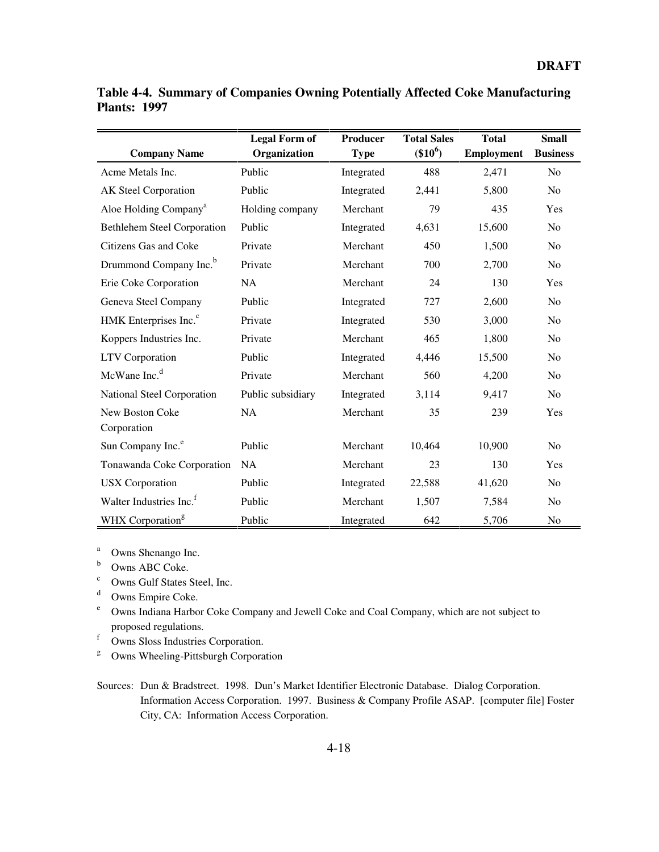|                                     | <b>Legal Form of</b> | <b>Producer</b> | <b>Total Sales</b> | <b>Total</b>      | <b>Small</b>    |
|-------------------------------------|----------------------|-----------------|--------------------|-------------------|-----------------|
| <b>Company Name</b>                 | Organization         | <b>Type</b>     | $(\$10^6)$         | <b>Employment</b> | <b>Business</b> |
| Acme Metals Inc.                    | Public               | Integrated      | 488                | 2,471             | N <sub>0</sub>  |
| AK Steel Corporation                | Public               | Integrated      | 2,441              | 5,800             | N <sub>0</sub>  |
| Aloe Holding Company <sup>a</sup>   | Holding company      | Merchant        | 79                 | 435               | Yes             |
| <b>Bethlehem Steel Corporation</b>  | Public               | Integrated      | 4,631              | 15,600            | N <sub>o</sub>  |
| Citizens Gas and Coke               | Private              | Merchant        | 450                | 1,500             | N <sub>o</sub>  |
| Drummond Company Inc. <sup>b</sup>  | Private              | Merchant        | 700                | 2,700             | N <sub>o</sub>  |
| Erie Coke Corporation               | NA                   | Merchant        | 24                 | 130               | Yes             |
| Geneva Steel Company                | Public               | Integrated      | 727                | 2,600             | No              |
| HMK Enterprises Inc. <sup>c</sup>   | Private              | Integrated      | 530                | 3,000             | N <sub>o</sub>  |
| Koppers Industries Inc.             | Private              | Merchant        | 465                | 1,800             | No              |
| <b>LTV</b> Corporation              | Public               | Integrated      | 4,446              | 15,500            | N <sub>o</sub>  |
| McWane Inc. <sup>d</sup>            | Private              | Merchant        | 560                | 4,200             | N <sub>o</sub>  |
| National Steel Corporation          | Public subsidiary    | Integrated      | 3,114              | 9,417             | N <sub>o</sub>  |
| New Boston Coke                     | <b>NA</b>            | Merchant        | 35                 | 239               | Yes             |
| Corporation                         |                      |                 |                    |                   |                 |
| Sun Company Inc. <sup>e</sup>       | Public               | Merchant        | 10,464             | 10,900            | N <sub>o</sub>  |
| Tonawanda Coke Corporation          | <b>NA</b>            | Merchant        | 23                 | 130               | Yes             |
| <b>USX</b> Corporation              | Public               | Integrated      | 22,588             | 41,620            | N <sub>o</sub>  |
| Walter Industries Inc. <sup>f</sup> | Public               | Merchant        | 1,507              | 7,584             | N <sub>o</sub>  |
| WHX Corporation <sup>g</sup>        | Public               | Integrated      | 642                | 5,706             | No              |

**Table 4-4. Summary of Companies Owning Potentially Affected Coke Manufacturing Plants: 1997**

<sup>a</sup> Owns Shenango Inc.

- **b** Owns ABC Coke.
- $\frac{c}{d}$  Owns Gulf States Steel, Inc.
- $\frac{d}{e}$  Owns Empire Coke.
- <sup>e</sup> Owns Indiana Harbor Coke Company and Jewell Coke and Coal Company, which are not subject to proposed regulations.
- <sup>f</sup> Owns Sloss Industries Corporation.
- <sup>g</sup> Owns Wheeling-Pittsburgh Corporation
- Sources: Dun & Bradstreet. 1998. Dun's Market Identifier Electronic Database. Dialog Corporation. Information Access Corporation. 1997. Business & Company Profile ASAP. [computer file] Foster City, CA: Information Access Corporation.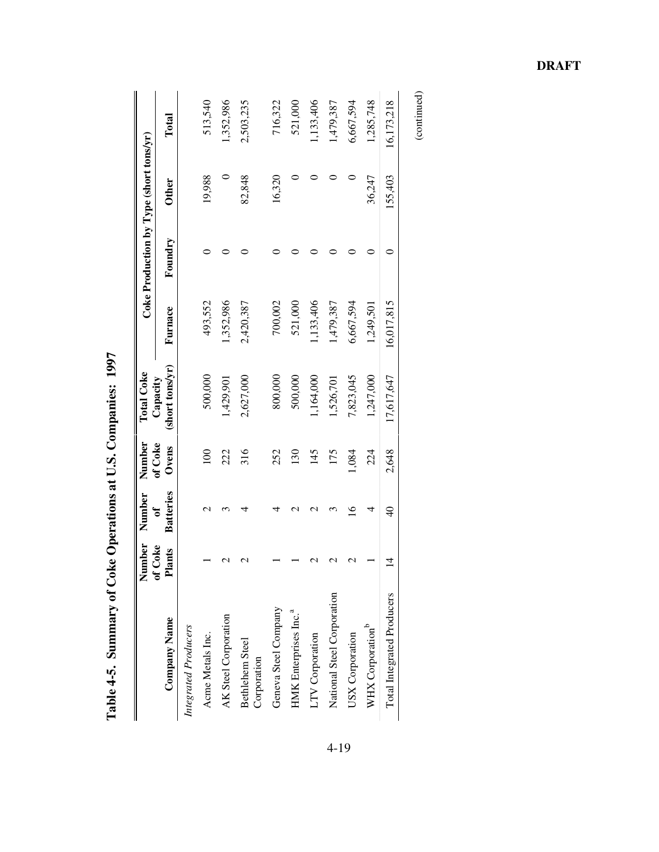|                                   | Number                               | Number           | Number           | <b>Total Coke</b>           |            | Coke Production by Type (short tons/yr) |              |            |
|-----------------------------------|--------------------------------------|------------------|------------------|-----------------------------|------------|-----------------------------------------|--------------|------------|
| <b>Company Name</b>               | Coke<br>Plants<br>$\tilde{\epsilon}$ | <b>Batteries</b> | of Coke<br>Ovens | (short tons/yr)<br>Capacity | Furnace    | Foundry                                 | <b>Other</b> | Total      |
| Integrated Producers              |                                      |                  |                  |                             |            |                                         |              |            |
| Acme Metals Inc.                  |                                      | $\mathrel{\sim}$ | 100              | 500,000                     | 493,552    |                                         | 19,988       | 513,540    |
| AK Steel Corporation              | $\mathcal{C}$                        |                  | 222              | 1,429,901                   | 1,352,986  |                                         |              | 1,352,986  |
| Bethlehem Steel<br>Corporation    | $\mathcal{C}$                        | ₹                | 316              | 2,627,000                   | 2,420,387  |                                         | 82,848       | 2,503,235  |
| Geneva Steel Company              |                                      | ₹                | 252              | 800,000                     | 700,002    |                                         | 16,320       | 716,322    |
| HMK Enterprises Inc. <sup>a</sup> |                                      | r                | 130              | 500,000                     | 521,000    |                                         |              | 521,000    |
| LTV Corporation                   | $\mathbf{\sim}$                      | r                | 145              | 1,164,000                   | 1,133,406  |                                         |              | 1,133,406  |
| National Steel Corporation        | $\mathbf{\mathcal{L}}$               |                  | 175              | 1,526,701                   | 1,479,387  |                                         |              | 1,479,387  |
| USX Corporation                   | $\mathbf 2$                          | $\overline{16}$  | 1,084            | 7,823,045                   | 6,667,594  |                                         | 0            | 6,667,594  |
| WHX Corporation <sup>b</sup>      |                                      | 4                | 224              | 1,247,000                   | 1,249,501  |                                         | 36,247       | 1,285,748  |
| <b>Total Integrated Producers</b> | 4                                    | $\frac{1}{4}$    | 2,648            | 17,617,647                  | 16,017,815 |                                         | 155,403      | 16,173,218 |

Table 4-5. Summary of Coke Operations at U.S. Companies: 1997 **Table 4-5. Summary of Coke Operations at U.S. Companies: 1997**

**DRAFT**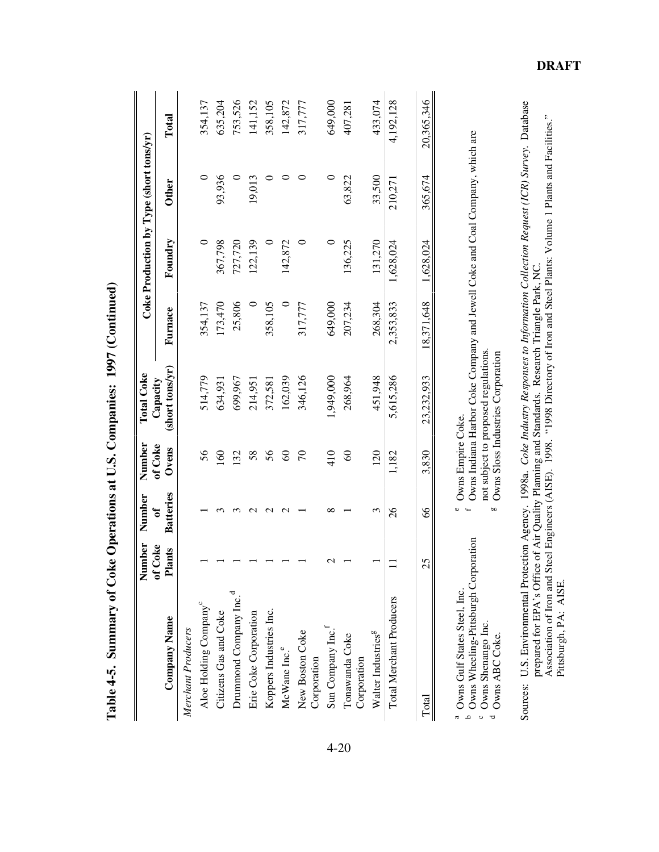|                                                                                                                                        | Number                | Number                | Number            | Total Coke                                                                                                                                                |           | Coke Production by Type (short tons/yr) |              |            |
|----------------------------------------------------------------------------------------------------------------------------------------|-----------------------|-----------------------|-------------------|-----------------------------------------------------------------------------------------------------------------------------------------------------------|-----------|-----------------------------------------|--------------|------------|
| <b>Company Name</b>                                                                                                                    | f Coke<br>Plants<br>Ξ | <b>Batteries</b><br>ð | of Coke<br>Ovens  | (short tons/yr)<br>Capacity                                                                                                                               | Furnace   | Foundry                                 | <b>Other</b> | Total      |
| Merchant Producers                                                                                                                     |                       |                       |                   |                                                                                                                                                           |           |                                         |              |            |
| Aloe Holding Company <sup>c</sup>                                                                                                      |                       |                       | 56                | 514,779                                                                                                                                                   | 354,137   |                                         |              | 354,137    |
| Citizens Gas and Coke                                                                                                                  |                       |                       | $\mathcal{S}$     | 634,931                                                                                                                                                   | 173,470   | 367,798                                 | 93,936       | 635,204    |
| Drummond Company Inc. <sup>d</sup>                                                                                                     |                       |                       | 132               | 699,967                                                                                                                                                   | 25,806    | 727,720                                 |              | 753,526    |
| Erie Coke Corporation                                                                                                                  |                       |                       | 58                | 214,951                                                                                                                                                   |           | 122,139                                 | 19,013       | 141,152    |
| Koppers Industries Inc.                                                                                                                |                       | $\sim$                | 56                | 372,581                                                                                                                                                   | 358,105   |                                         |              | 358,105    |
| McWane Inc. <sup>e</sup>                                                                                                               |                       |                       | $\infty$          | 162,039                                                                                                                                                   |           | 142,872                                 |              | 142,872    |
| New Boston Coke<br>Corporation                                                                                                         |                       |                       | $\mathcal{L}$     | 346,126                                                                                                                                                   | 317,777   |                                         |              | 317,777    |
| Sun Company Inc.                                                                                                                       |                       | ∞                     | 410               | 1,949,000                                                                                                                                                 | 649,000   |                                         | 0            | 649,000    |
| Tonawanda Coke<br>Corporation                                                                                                          |                       |                       | $\infty$          | 268,964                                                                                                                                                   | 207,234   | 136,225                                 | 63,822       | 407,281    |
| Walter Industries <sup>g</sup>                                                                                                         |                       | 3                     | 120               | 451,948                                                                                                                                                   | 268,304   | 131,270                                 | 33,500       | 433,074    |
| Total Merchant Producers                                                                                                               |                       | $\frac{8}{2}$         | 1,182             | 5,615,286                                                                                                                                                 | 2,353,833 | 1,628,024                               | 210,271      | 4,192,128  |
| Total                                                                                                                                  | 25                    | 89                    | 3,830             | 23,232,933                                                                                                                                                | 8,371,648 | 1,628,024                               | 365,674      | 20,365,346 |
| <sup>b</sup> Owns Wheeling-Pittsburgh Corporation<br>Owns Gulf States Steel, Inc.<br><sup>c</sup> Owns Shenango Inc.<br>Owns ABC Coke. |                       | <b>b</b>              | Owns Empire Coke. | Owns Indiana Harbor Coke Company and Jewell Coke and Coal Company, which are<br>not subject to proposed regulations.<br>Owns Sloss Industries Corporation |           |                                         |              |            |

Table 4-5. Summary of Coke Operations at U.S. Companies: 1997 (Continued) **Table 4-5. Summary of Coke Operations at U.S. Companies: 1997 (Continued)** Sources: U.S. Environmental Protection Agency. 1998a. *Coke Industry Responses to Information Collection Request (ICR) Survey*. Database prepared for EPA's Office of Air Quality Planning and Standards. Research Triangle Pa Sources: U.S. Environmental Protection Agency. 1998a. *Coke Industry Responses to Information Collection Request (ICR) Survey*. Database Association of Iron and Steel Engineers (AISE). 1998. "1998 Directory of Iron and Steel Plants: Volume 1 Plants and Facilities." prepared for EPA's Office of Air Quality Planning and Standards. Research Triangle Park, NC.

Pittsburgh, PA: AISE.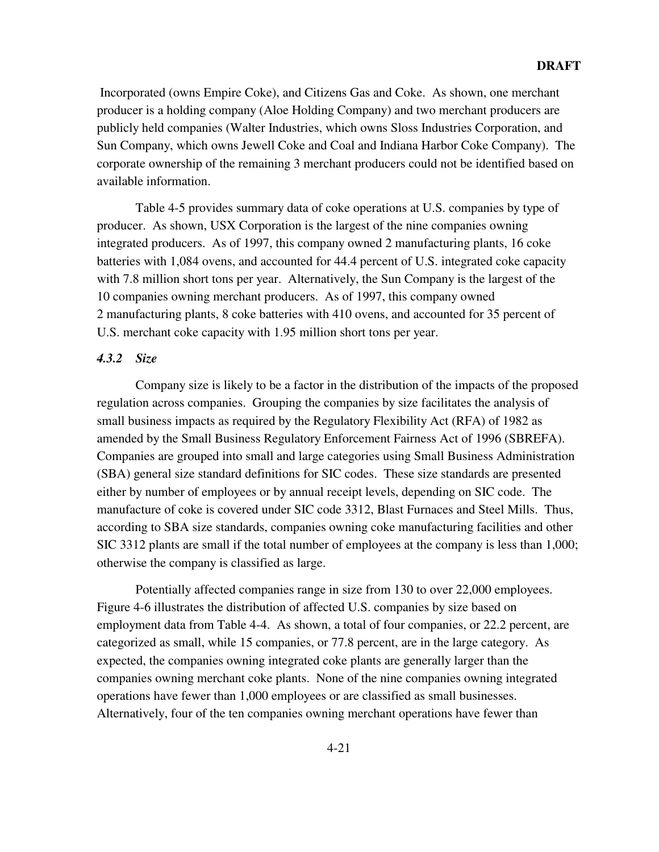Incorporated (owns Empire Coke), and Citizens Gas and Coke. As shown, one merchant producer is a holding company (Aloe Holding Company) and two merchant producers are publicly held companies (Walter Industries, which owns Sloss Industries Corporation, and Sun Company, which owns Jewell Coke and Coal and Indiana Harbor Coke Company). The corporate ownership of the remaining 3 merchant producers could not be identified based on available information.

Table 4-5 provides summary data of coke operations at U.S. companies by type of producer. As shown, USX Corporation is the largest of the nine companies owning integrated producers. As of 1997, this company owned 2 manufacturing plants, 16 coke batteries with 1,084 ovens, and accounted for 44.4 percent of U.S. integrated coke capacity with 7.8 million short tons per year. Alternatively, the Sun Company is the largest of the 10 companies owning merchant producers. As of 1997, this company owned 2 manufacturing plants, 8 coke batteries with 410 ovens, and accounted for 35 percent of U.S. merchant coke capacity with 1.95 million short tons per year.

# *4.3.2 Size*

Company size is likely to be a factor in the distribution of the impacts of the proposed regulation across companies. Grouping the companies by size facilitates the analysis of small business impacts as required by the Regulatory Flexibility Act (RFA) of 1982 as amended by the Small Business Regulatory Enforcement Fairness Act of 1996 (SBREFA). Companies are grouped into small and large categories using Small Business Administration (SBA) general size standard definitions for SIC codes. These size standards are presented either by number of employees or by annual receipt levels, depending on SIC code. The manufacture of coke is covered under SIC code 3312, Blast Furnaces and Steel Mills. Thus, according to SBA size standards, companies owning coke manufacturing facilities and other SIC 3312 plants are small if the total number of employees at the company is less than 1,000; otherwise the company is classified as large.

Potentially affected companies range in size from 130 to over 22,000 employees. Figure 4-6 illustrates the distribution of affected U.S. companies by size based on employment data from Table 4-4. As shown, a total of four companies, or 22.2 percent, are categorized as small, while 15 companies, or 77.8 percent, are in the large category. As expected, the companies owning integrated coke plants are generally larger than the companies owning merchant coke plants. None of the nine companies owning integrated operations have fewer than 1,000 employees or are classified as small businesses. Alternatively, four of the ten companies owning merchant operations have fewer than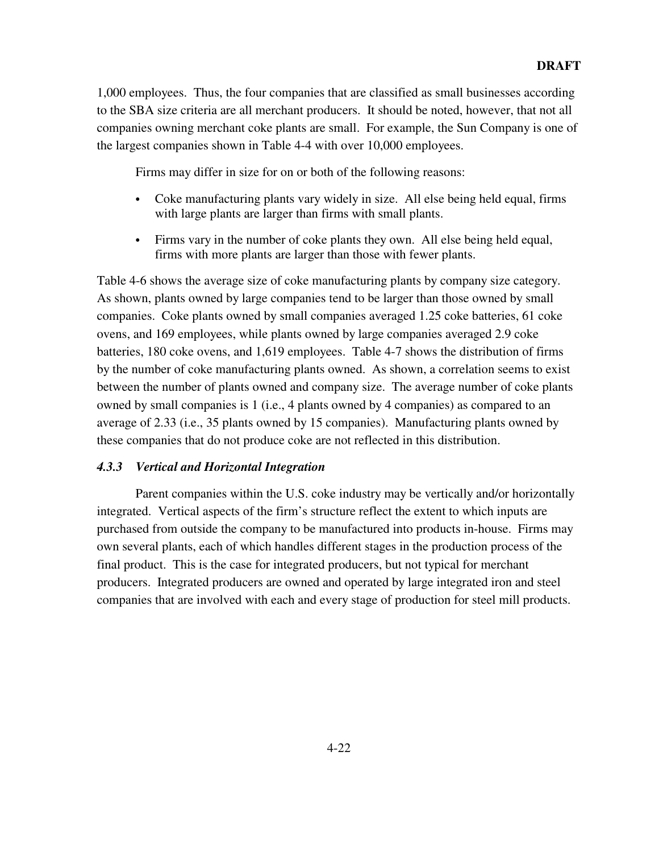1,000 employees. Thus, the four companies that are classified as small businesses according to the SBA size criteria are all merchant producers. It should be noted, however, that not all companies owning merchant coke plants are small. For example, the Sun Company is one of the largest companies shown in Table 4-4 with over 10,000 employees.

Firms may differ in size for on or both of the following reasons:

- Coke manufacturing plants vary widely in size. All else being held equal, firms with large plants are larger than firms with small plants.
- Firms vary in the number of coke plants they own. All else being held equal, firms with more plants are larger than those with fewer plants.

Table 4-6 shows the average size of coke manufacturing plants by company size category. As shown, plants owned by large companies tend to be larger than those owned by small companies. Coke plants owned by small companies averaged 1.25 coke batteries, 61 coke ovens, and 169 employees, while plants owned by large companies averaged 2.9 coke batteries, 180 coke ovens, and 1,619 employees. Table 4-7 shows the distribution of firms by the number of coke manufacturing plants owned. As shown, a correlation seems to exist between the number of plants owned and company size. The average number of coke plants owned by small companies is 1 (i.e., 4 plants owned by 4 companies) as compared to an average of 2.33 (i.e., 35 plants owned by 15 companies). Manufacturing plants owned by these companies that do not produce coke are not reflected in this distribution.

# *4.3.3 Vertical and Horizontal Integration*

Parent companies within the U.S. coke industry may be vertically and/or horizontally integrated. Vertical aspects of the firm's structure reflect the extent to which inputs are purchased from outside the company to be manufactured into products in-house. Firms may own several plants, each of which handles different stages in the production process of the final product. This is the case for integrated producers, but not typical for merchant producers. Integrated producers are owned and operated by large integrated iron and steel companies that are involved with each and every stage of production for steel mill products.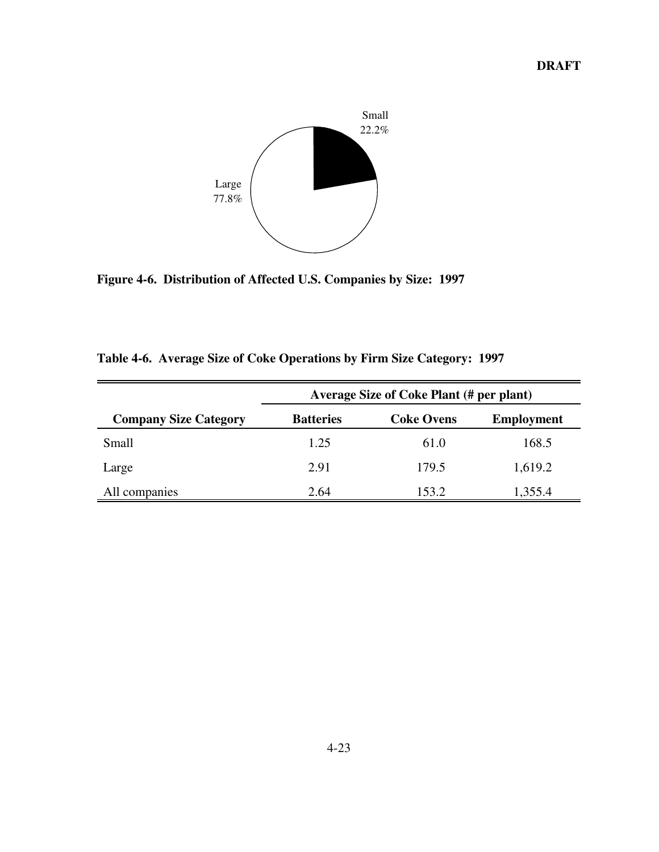

**Figure 4-6. Distribution of Affected U.S. Companies by Size: 1997**

|                              |                  | <b>Average Size of Coke Plant (# per plant)</b> |                   |
|------------------------------|------------------|-------------------------------------------------|-------------------|
| <b>Company Size Category</b> | <b>Batteries</b> | <b>Coke Ovens</b>                               | <b>Employment</b> |
| Small                        | 1.25             | 61.0                                            | 168.5             |
| Large                        | 2.91             | 179.5                                           | 1,619.2           |
| All companies                | 2.64             | 153.2                                           | 1,355.4           |

**Table 4-6. Average Size of Coke Operations by Firm Size Category: 1997**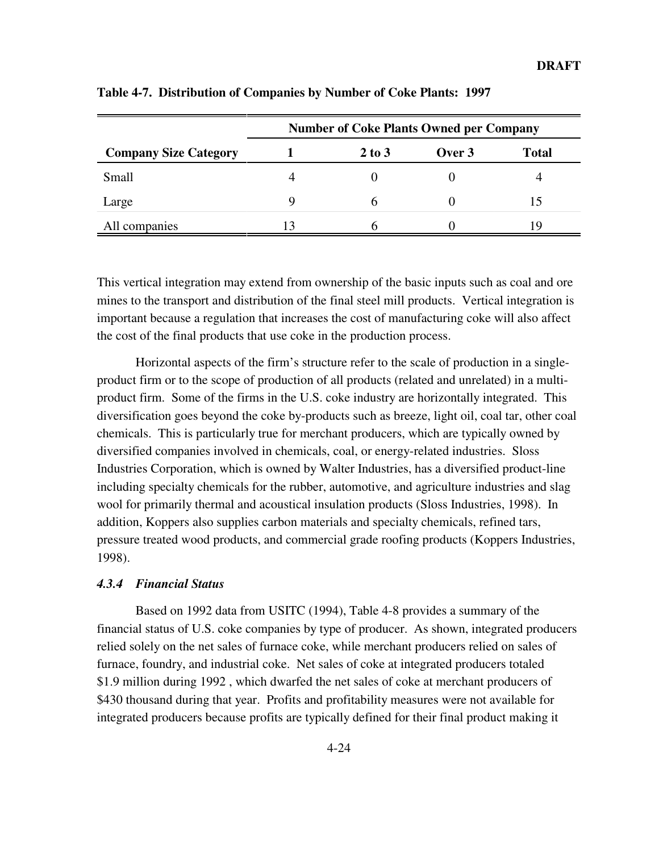|                              |   | <b>Number of Coke Plants Owned per Company</b> |        |              |
|------------------------------|---|------------------------------------------------|--------|--------------|
| <b>Company Size Category</b> |   | $2$ to $3$                                     | Over 3 | <b>Total</b> |
| Small                        |   |                                                |        |              |
| Large                        | Q |                                                |        | 15           |
| All companies                |   |                                                |        | ۱Q.          |

**Table 4-7. Distribution of Companies by Number of Coke Plants: 1997**

This vertical integration may extend from ownership of the basic inputs such as coal and ore mines to the transport and distribution of the final steel mill products. Vertical integration is important because a regulation that increases the cost of manufacturing coke will also affect the cost of the final products that use coke in the production process.

Horizontal aspects of the firm's structure refer to the scale of production in a singleproduct firm or to the scope of production of all products (related and unrelated) in a multiproduct firm. Some of the firms in the U.S. coke industry are horizontally integrated. This diversification goes beyond the coke by-products such as breeze, light oil, coal tar, other coal chemicals. This is particularly true for merchant producers, which are typically owned by diversified companies involved in chemicals, coal, or energy-related industries. Sloss Industries Corporation, which is owned by Walter Industries, has a diversified product-line including specialty chemicals for the rubber, automotive, and agriculture industries and slag wool for primarily thermal and acoustical insulation products (Sloss Industries, 1998). In addition, Koppers also supplies carbon materials and specialty chemicals, refined tars, pressure treated wood products, and commercial grade roofing products (Koppers Industries, 1998).

### *4.3.4 Financial Status*

Based on 1992 data from USITC (1994), Table 4-8 provides a summary of the financial status of U.S. coke companies by type of producer. As shown, integrated producers relied solely on the net sales of furnace coke, while merchant producers relied on sales of furnace, foundry, and industrial coke. Net sales of coke at integrated producers totaled \$1.9 million during 1992 , which dwarfed the net sales of coke at merchant producers of \$430 thousand during that year. Profits and profitability measures were not available for integrated producers because profits are typically defined for their final product making it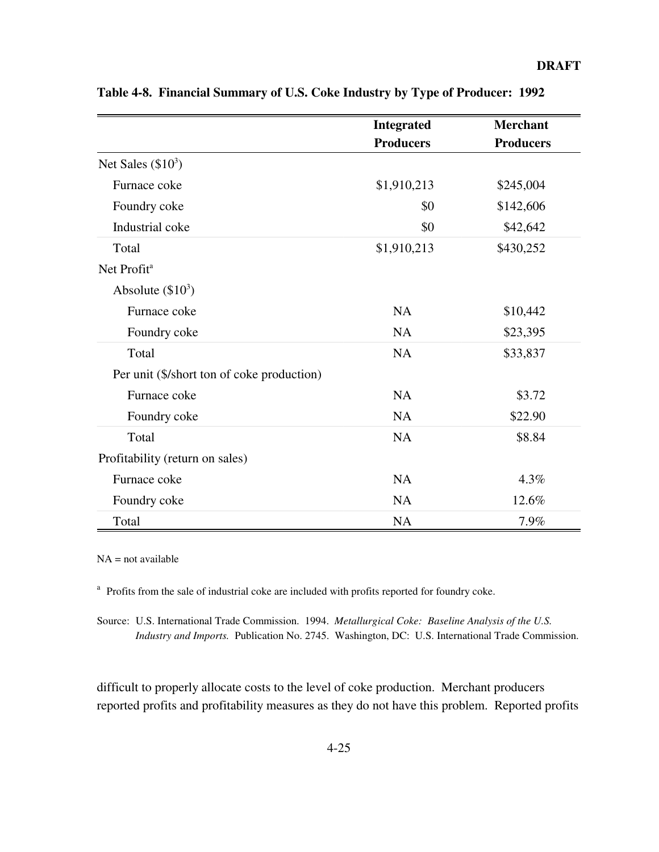|                                            | <b>Integrated</b> | <b>Merchant</b>  |
|--------------------------------------------|-------------------|------------------|
|                                            | <b>Producers</b>  | <b>Producers</b> |
| Net Sales $(\$10^3)$                       |                   |                  |
| Furnace coke                               | \$1,910,213       | \$245,004        |
| Foundry coke                               | \$0               | \$142,606        |
| Industrial coke                            | \$0               | \$42,642         |
| Total                                      | \$1,910,213       | \$430,252        |
| Net Profit <sup>a</sup>                    |                   |                  |
| Absolute $(\$10^3)$                        |                   |                  |
| Furnace coke                               | <b>NA</b>         | \$10,442         |
| Foundry coke                               | <b>NA</b>         | \$23,395         |
| Total                                      | NA                | \$33,837         |
| Per unit (\$/short ton of coke production) |                   |                  |
| Furnace coke                               | <b>NA</b>         | \$3.72           |
| Foundry coke                               | <b>NA</b>         | \$22.90          |
| Total                                      | <b>NA</b>         | \$8.84           |
| Profitability (return on sales)            |                   |                  |
| Furnace coke                               | NA                | 4.3%             |
| Foundry coke                               | <b>NA</b>         | 12.6%            |
| Total                                      | <b>NA</b>         | 7.9%             |

**Table 4-8. Financial Summary of U.S. Coke Industry by Type of Producer: 1992**

 $NA = not available$ 

<sup>a</sup> Profits from the sale of industrial coke are included with profits reported for foundry coke.

Source: U.S. International Trade Commission. 1994. *Metallurgical Coke: Baseline Analysis of the U.S. Industry and Imports.* Publication No. 2745. Washington, DC: U.S. International Trade Commission.

difficult to properly allocate costs to the level of coke production. Merchant producers reported profits and profitability measures as they do not have this problem. Reported profits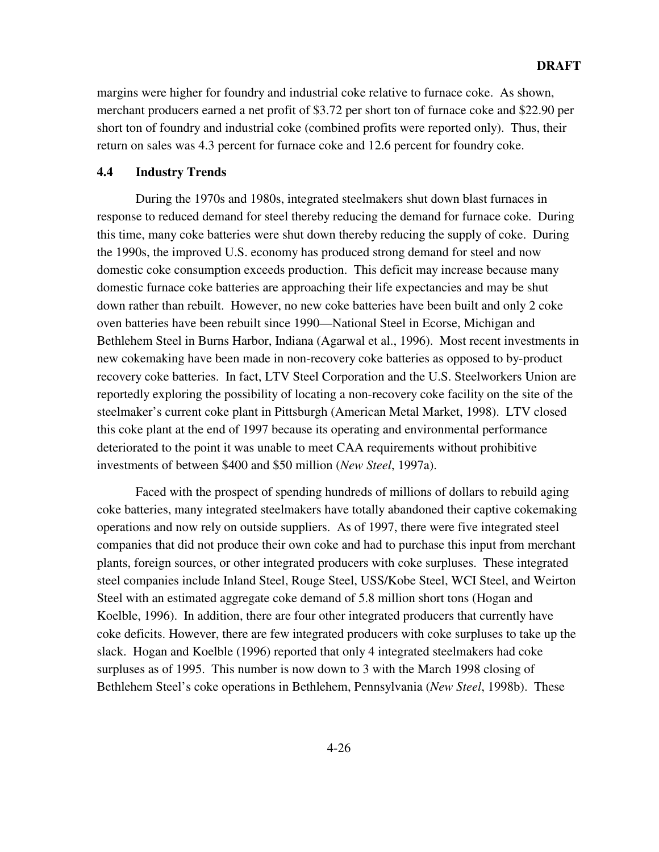margins were higher for foundry and industrial coke relative to furnace coke. As shown, merchant producers earned a net profit of \$3.72 per short ton of furnace coke and \$22.90 per short ton of foundry and industrial coke (combined profits were reported only). Thus, their return on sales was 4.3 percent for furnace coke and 12.6 percent for foundry coke.

# **4.4 Industry Trends**

During the 1970s and 1980s, integrated steelmakers shut down blast furnaces in response to reduced demand for steel thereby reducing the demand for furnace coke. During this time, many coke batteries were shut down thereby reducing the supply of coke. During the 1990s, the improved U.S. economy has produced strong demand for steel and now domestic coke consumption exceeds production. This deficit may increase because many domestic furnace coke batteries are approaching their life expectancies and may be shut down rather than rebuilt. However, no new coke batteries have been built and only 2 coke oven batteries have been rebuilt since 1990—National Steel in Ecorse, Michigan and Bethlehem Steel in Burns Harbor, Indiana (Agarwal et al., 1996). Most recent investments in new cokemaking have been made in non-recovery coke batteries as opposed to by-product recovery coke batteries. In fact, LTV Steel Corporation and the U.S. Steelworkers Union are reportedly exploring the possibility of locating a non-recovery coke facility on the site of the steelmaker's current coke plant in Pittsburgh (American Metal Market, 1998). LTV closed this coke plant at the end of 1997 because its operating and environmental performance deteriorated to the point it was unable to meet CAA requirements without prohibitive investments of between \$400 and \$50 million (*New Steel*, 1997a).

Faced with the prospect of spending hundreds of millions of dollars to rebuild aging coke batteries, many integrated steelmakers have totally abandoned their captive cokemaking operations and now rely on outside suppliers. As of 1997, there were five integrated steel companies that did not produce their own coke and had to purchase this input from merchant plants, foreign sources, or other integrated producers with coke surpluses. These integrated steel companies include Inland Steel, Rouge Steel, USS/Kobe Steel, WCI Steel, and Weirton Steel with an estimated aggregate coke demand of 5.8 million short tons (Hogan and Koelble, 1996). In addition, there are four other integrated producers that currently have coke deficits. However, there are few integrated producers with coke surpluses to take up the slack. Hogan and Koelble (1996) reported that only 4 integrated steelmakers had coke surpluses as of 1995. This number is now down to 3 with the March 1998 closing of Bethlehem Steel's coke operations in Bethlehem, Pennsylvania (*New Steel*, 1998b). These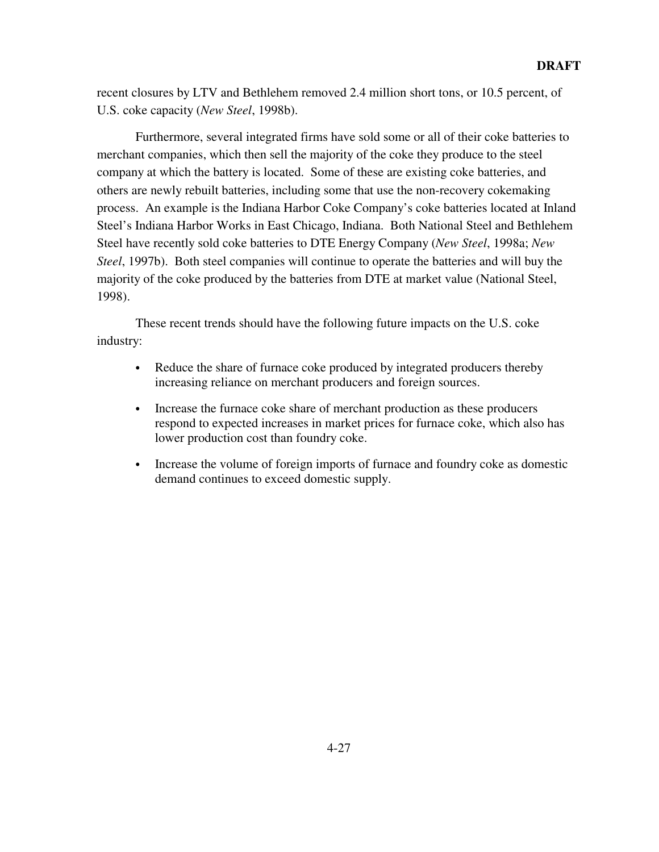recent closures by LTV and Bethlehem removed 2.4 million short tons, or 10.5 percent, of U.S. coke capacity (*New Steel*, 1998b).

Furthermore, several integrated firms have sold some or all of their coke batteries to merchant companies, which then sell the majority of the coke they produce to the steel company at which the battery is located. Some of these are existing coke batteries, and others are newly rebuilt batteries, including some that use the non-recovery cokemaking process. An example is the Indiana Harbor Coke Company's coke batteries located at Inland Steel's Indiana Harbor Works in East Chicago, Indiana. Both National Steel and Bethlehem Steel have recently sold coke batteries to DTE Energy Company (*New Steel*, 1998a; *New Steel*, 1997b). Both steel companies will continue to operate the batteries and will buy the majority of the coke produced by the batteries from DTE at market value (National Steel, 1998).

These recent trends should have the following future impacts on the U.S. coke industry:

- Reduce the share of furnace coke produced by integrated producers thereby increasing reliance on merchant producers and foreign sources.
- Increase the furnace coke share of merchant production as these producers respond to expected increases in market prices for furnace coke, which also has lower production cost than foundry coke.
- Increase the volume of foreign imports of furnace and foundry coke as domestic demand continues to exceed domestic supply.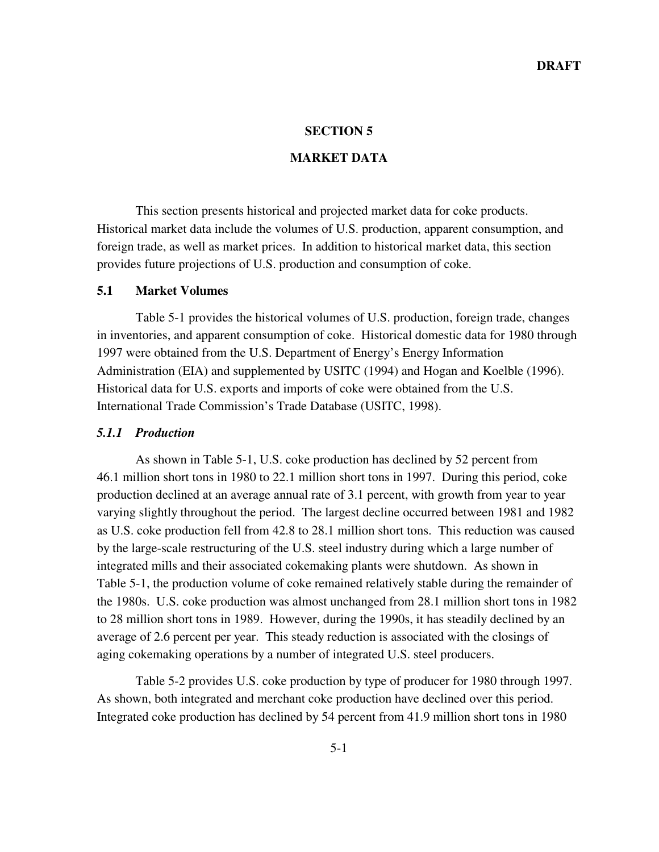#### **SECTION 5**

### **MARKET DATA**

This section presents historical and projected market data for coke products. Historical market data include the volumes of U.S. production, apparent consumption, and foreign trade, as well as market prices. In addition to historical market data, this section provides future projections of U.S. production and consumption of coke.

# **5.1 Market Volumes**

Table 5-1 provides the historical volumes of U.S. production, foreign trade, changes in inventories, and apparent consumption of coke. Historical domestic data for 1980 through 1997 were obtained from the U.S. Department of Energy's Energy Information Administration (EIA) and supplemented by USITC (1994) and Hogan and Koelble (1996). Historical data for U.S. exports and imports of coke were obtained from the U.S. International Trade Commission's Trade Database (USITC, 1998).

#### *5.1.1 Production*

As shown in Table 5-1, U.S. coke production has declined by 52 percent from 46.1 million short tons in 1980 to 22.1 million short tons in 1997. During this period, coke production declined at an average annual rate of 3.1 percent, with growth from year to year varying slightly throughout the period. The largest decline occurred between 1981 and 1982 as U.S. coke production fell from 42.8 to 28.1 million short tons. This reduction was caused by the large-scale restructuring of the U.S. steel industry during which a large number of integrated mills and their associated cokemaking plants were shutdown. As shown in Table 5-1, the production volume of coke remained relatively stable during the remainder of the 1980s. U.S. coke production was almost unchanged from 28.1 million short tons in 1982 to 28 million short tons in 1989. However, during the 1990s, it has steadily declined by an average of 2.6 percent per year. This steady reduction is associated with the closings of aging cokemaking operations by a number of integrated U.S. steel producers.

Table 5-2 provides U.S. coke production by type of producer for 1980 through 1997. As shown, both integrated and merchant coke production have declined over this period. Integrated coke production has declined by 54 percent from 41.9 million short tons in 1980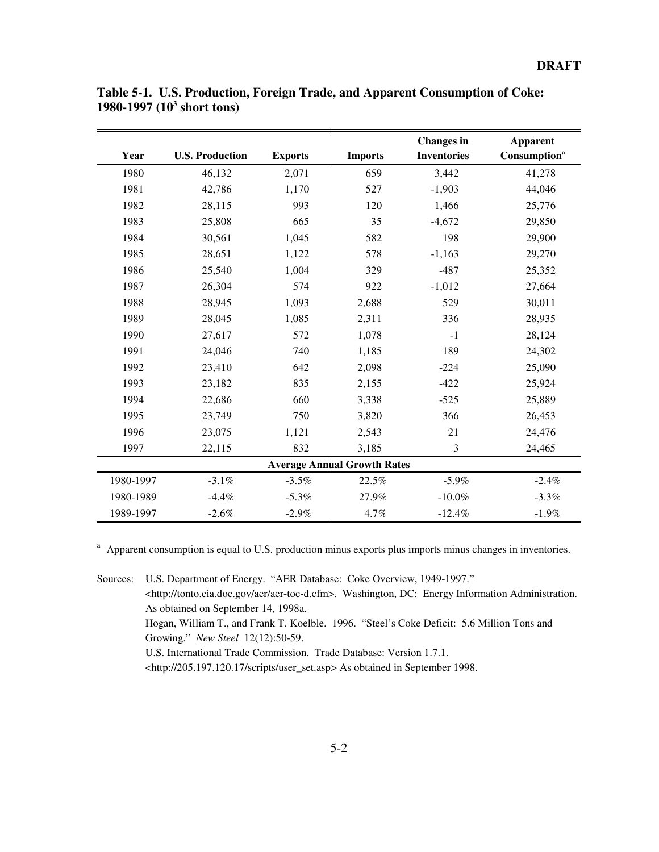|           |                        |                |                                    | <b>Changes</b> in  | <b>Apparent</b>          |
|-----------|------------------------|----------------|------------------------------------|--------------------|--------------------------|
| Year      | <b>U.S. Production</b> | <b>Exports</b> | <b>Imports</b>                     | <b>Inventories</b> | Consumption <sup>a</sup> |
| 1980      | 46,132                 | 2,071          | 659                                | 3,442              | 41,278                   |
| 1981      | 42,786                 | 1,170          | 527                                | $-1,903$           | 44,046                   |
| 1982      | 28,115                 | 993            | 120                                | 1,466              | 25,776                   |
| 1983      | 25,808                 | 665            | 35                                 | $-4,672$           | 29,850                   |
| 1984      | 30,561                 | 1,045          | 582                                | 198                | 29,900                   |
| 1985      | 28,651                 | 1,122          | 578                                | $-1,163$           | 29,270                   |
| 1986      | 25,540                 | 1,004          | 329                                | $-487$             | 25,352                   |
| 1987      | 26,304                 | 574            | 922                                | $-1,012$           | 27,664                   |
| 1988      | 28,945                 | 1,093          | 2,688                              | 529                | 30,011                   |
| 1989      | 28,045                 | 1,085          | 2,311                              | 336                | 28,935                   |
| 1990      | 27,617                 | 572            | 1,078                              | $-1$               | 28,124                   |
| 1991      | 24,046                 | 740            | 1,185                              | 189                | 24,302                   |
| 1992      | 23,410                 | 642            | 2,098                              | $-224$             | 25,090                   |
| 1993      | 23,182                 | 835            | 2,155                              | $-422$             | 25,924                   |
| 1994      | 22,686                 | 660            | 3,338                              | $-525$             | 25,889                   |
| 1995      | 23,749                 | 750            | 3,820                              | 366                | 26,453                   |
| 1996      | 23,075                 | 1,121          | 2,543                              | 21                 | 24,476                   |
| 1997      | 22,115                 | 832            | 3,185                              | 3                  | 24,465                   |
|           |                        |                | <b>Average Annual Growth Rates</b> |                    |                          |
| 1980-1997 | $-3.1%$                | $-3.5%$        | 22.5%                              | $-5.9%$            | $-2.4%$                  |
| 1980-1989 | $-4.4%$                | $-5.3%$        | 27.9%                              | $-10.0\%$          | $-3.3%$                  |
| 1989-1997 | $-2.6%$                | $-2.9%$        | 4.7%                               | $-12.4%$           | $-1.9%$                  |

**Table 5-1. U.S. Production, Foreign Trade, and Apparent Consumption of Coke: 1980-1997 (103 short tons)**

<sup>a</sup> Apparent consumption is equal to U.S. production minus exports plus imports minus changes in inventories.

Sources: U.S. Department of Energy. "AER Database: Coke Overview, 1949-1997." <http://tonto.eia.doe.gov/aer/aer-toc-d.cfm>. Washington, DC: Energy Information Administration. As obtained on September 14, 1998a. Hogan, William T., and Frank T. Koelble. 1996. "Steel's Coke Deficit: 5.6 Million Tons and Growing." *New Steel* 12(12):50-59. U.S. International Trade Commission. Trade Database: Version 1.7.1. <http://205.197.120.17/scripts/user\_set.asp> As obtained in September 1998.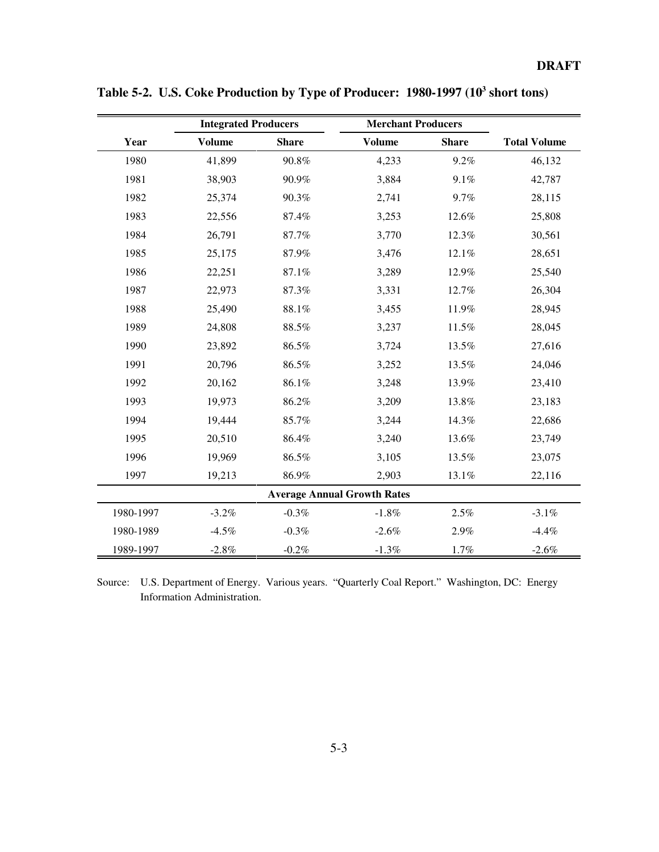|           | <b>Integrated Producers</b> |              | <b>Merchant Producers</b>          |              |                     |
|-----------|-----------------------------|--------------|------------------------------------|--------------|---------------------|
| Year      | <b>Volume</b>               | <b>Share</b> | <b>Volume</b>                      | <b>Share</b> | <b>Total Volume</b> |
| 1980      | 41,899                      | 90.8%        | 4,233                              | 9.2%         | 46,132              |
| 1981      | 38,903                      | 90.9%        | 3,884                              | 9.1%         | 42,787              |
| 1982      | 25,374                      | 90.3%        | 2,741                              | 9.7%         | 28,115              |
| 1983      | 22,556                      | 87.4%        | 3,253                              | 12.6%        | 25,808              |
| 1984      | 26,791                      | 87.7%        | 3,770                              | 12.3%        | 30,561              |
| 1985      | 25,175                      | 87.9%        | 3,476                              | 12.1%        | 28,651              |
| 1986      | 22,251                      | 87.1%        | 3,289                              | 12.9%        | 25,540              |
| 1987      | 22,973                      | 87.3%        | 3,331                              | 12.7%        | 26,304              |
| 1988      | 25,490                      | $88.1\%$     | 3,455                              | 11.9%        | 28,945              |
| 1989      | 24,808                      | 88.5%        | 3,237                              | 11.5%        | 28,045              |
| 1990      | 23,892                      | 86.5%        | 3,724                              | 13.5%        | 27,616              |
| 1991      | 20,796                      | 86.5%        | 3,252                              | 13.5%        | 24,046              |
| 1992      | 20,162                      | 86.1%        | 3,248                              | 13.9%        | 23,410              |
| 1993      | 19,973                      | 86.2%        | 3,209                              | 13.8%        | 23,183              |
| 1994      | 19,444                      | 85.7%        | 3,244                              | 14.3%        | 22,686              |
| 1995      | 20,510                      | 86.4%        | 3,240                              | 13.6%        | 23,749              |
| 1996      | 19,969                      | 86.5%        | 3,105                              | 13.5%        | 23,075              |
| 1997      | 19,213                      | 86.9%        | 2,903                              | 13.1%        | 22,116              |
|           |                             |              | <b>Average Annual Growth Rates</b> |              |                     |
| 1980-1997 | $-3.2%$                     | $-0.3\%$     | $-1.8\%$                           | 2.5%         | $-3.1%$             |
| 1980-1989 | $-4.5%$                     | $-0.3%$      | $-2.6%$                            | 2.9%         | $-4.4%$             |
| 1989-1997 | $-2.8%$                     | $-0.2\%$     | $-1.3%$                            | 1.7%         | $-2.6\%$            |

Table 5-2. U.S. Coke Production by Type of Producer: 1980-1997 (10<sup>3</sup> short tons)

Source: U.S. Department of Energy. Various years. "Quarterly Coal Report." Washington, DC: Energy Information Administration.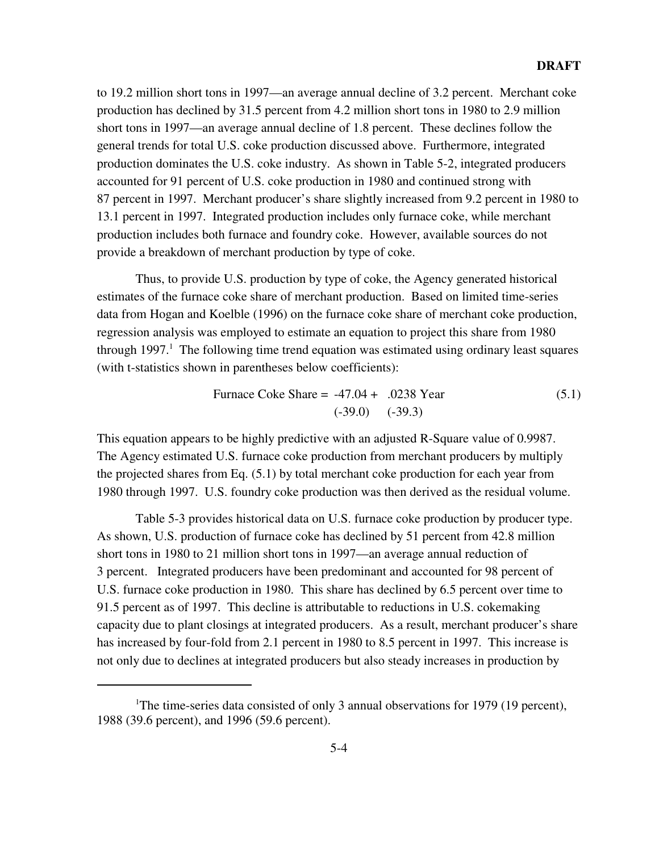to 19.2 million short tons in 1997—an average annual decline of 3.2 percent. Merchant coke production has declined by 31.5 percent from 4.2 million short tons in 1980 to 2.9 million short tons in 1997—an average annual decline of 1.8 percent. These declines follow the general trends for total U.S. coke production discussed above. Furthermore, integrated production dominates the U.S. coke industry. As shown in Table 5-2, integrated producers accounted for 91 percent of U.S. coke production in 1980 and continued strong with 87 percent in 1997. Merchant producer's share slightly increased from 9.2 percent in 1980 to 13.1 percent in 1997. Integrated production includes only furnace coke, while merchant production includes both furnace and foundry coke. However, available sources do not provide a breakdown of merchant production by type of coke.

Thus, to provide U.S. production by type of coke, the Agency generated historical estimates of the furnace coke share of merchant production. Based on limited time-series data from Hogan and Koelble (1996) on the furnace coke share of merchant coke production, regression analysis was employed to estimate an equation to project this share from 1980 through 1997.<sup>1</sup> The following time trend equation was estimated using ordinary least squares (with t-statistics shown in parentheses below coefficients):

Furthermore, the three cases are given by:

\n
$$
6.1 = 39.0 \quad (39.3)
$$
\n(5.1)

This equation appears to be highly predictive with an adjusted R-Square value of 0.9987. The Agency estimated U.S. furnace coke production from merchant producers by multiply the projected shares from Eq. (5.1) by total merchant coke production for each year from 1980 through 1997. U.S. foundry coke production was then derived as the residual volume.

Table 5-3 provides historical data on U.S. furnace coke production by producer type. As shown, U.S. production of furnace coke has declined by 51 percent from 42.8 million short tons in 1980 to 21 million short tons in 1997—an average annual reduction of 3 percent. Integrated producers have been predominant and accounted for 98 percent of U.S. furnace coke production in 1980. This share has declined by 6.5 percent over time to 91.5 percent as of 1997. This decline is attributable to reductions in U.S. cokemaking capacity due to plant closings at integrated producers. As a result, merchant producer's share has increased by four-fold from 2.1 percent in 1980 to 8.5 percent in 1997. This increase is not only due to declines at integrated producers but also steady increases in production by

<sup>&</sup>lt;sup>1</sup>The time-series data consisted of only 3 annual observations for 1979 (19 percent), 1988 (39.6 percent), and 1996 (59.6 percent).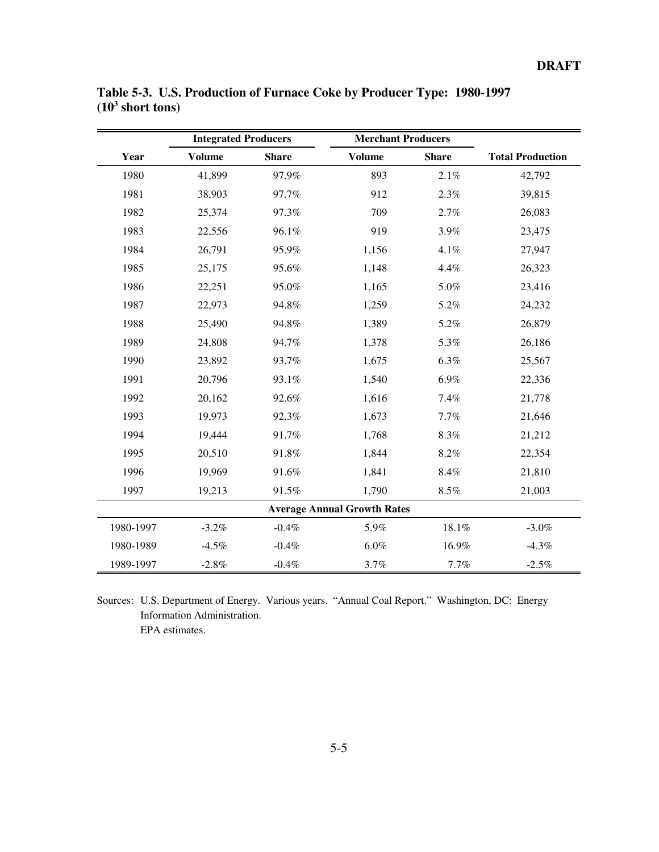|           | <b>Integrated Producers</b> |              | <b>Merchant Producers</b>          |              |                         |
|-----------|-----------------------------|--------------|------------------------------------|--------------|-------------------------|
| Year      | <b>Volume</b>               | <b>Share</b> | <b>Volume</b>                      | <b>Share</b> | <b>Total Production</b> |
| 1980      | 41,899                      | 97.9%        | 893                                | $2.1\%$      | 42,792                  |
| 1981      | 38,903                      | 97.7%        | 912                                | 2.3%         | 39,815                  |
| 1982      | 25,374                      | 97.3%        | 709                                | 2.7%         | 26,083                  |
| 1983      | 22,556                      | 96.1%        | 919                                | 3.9%         | 23,475                  |
| 1984      | 26,791                      | 95.9%        | 1,156                              | 4.1%         | 27,947                  |
| 1985      | 25,175                      | 95.6%        | 1,148                              | 4.4%         | 26,323                  |
| 1986      | 22,251                      | 95.0%        | 1,165                              | $5.0\%$      | 23,416                  |
| 1987      | 22,973                      | 94.8%        | 1,259                              | 5.2%         | 24,232                  |
| 1988      | 25,490                      | 94.8%        | 1,389                              | 5.2%         | 26,879                  |
| 1989      | 24,808                      | 94.7%        | 1,378                              | 5.3%         | 26,186                  |
| 1990      | 23,892                      | 93.7%        | 1,675                              | 6.3%         | 25,567                  |
| 1991      | 20,796                      | 93.1%        | 1,540                              | 6.9%         | 22,336                  |
| 1992      | 20,162                      | 92.6%        | 1,616                              | 7.4%         | 21,778                  |
| 1993      | 19,973                      | 92.3%        | 1,673                              | 7.7%         | 21,646                  |
| 1994      | 19,444                      | 91.7%        | 1,768                              | 8.3%         | 21,212                  |
| 1995      | 20,510                      | 91.8%        | 1,844                              | $8.2\%$      | 22,354                  |
| 1996      | 19,969                      | 91.6%        | 1,841                              | 8.4%         | 21,810                  |
| 1997      | 19,213                      | 91.5%        | 1,790                              | $8.5\%$      | 21,003                  |
|           |                             |              | <b>Average Annual Growth Rates</b> |              |                         |
| 1980-1997 | $-3.2\%$                    | $-0.4%$      | 5.9%                               | $18.1\%$     | $-3.0\%$                |
| 1980-1989 | $-4.5%$                     | $-0.4%$      | $6.0\%$                            | 16.9%        | $-4.3%$                 |
| 1989-1997 | $-2.8%$                     | $-0.4%$      | 3.7%                               | 7.7%         | $-2.5%$                 |

**Table 5-3. U.S. Production of Furnace Coke by Producer Type: 1980-1997 (103 short tons)**

Sources: U.S. Department of Energy. Various years. "Annual Coal Report." Washington, DC: Energy Information Administration. EPA estimates.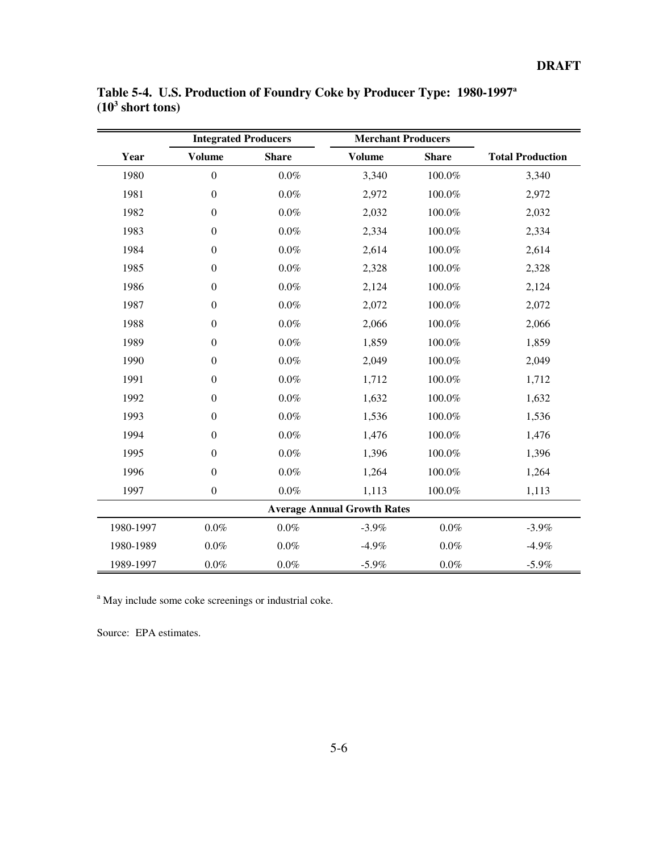|           | <b>Integrated Producers</b> |              | <b>Merchant Producers</b>          |              |                         |
|-----------|-----------------------------|--------------|------------------------------------|--------------|-------------------------|
| Year      | <b>Volume</b>               | <b>Share</b> | <b>Volume</b>                      | <b>Share</b> | <b>Total Production</b> |
| 1980      | $\boldsymbol{0}$            | $0.0\%$      | 3,340                              | 100.0%       | 3,340                   |
| 1981      | $\boldsymbol{0}$            | $0.0\%$      | 2,972                              | 100.0%       | 2,972                   |
| 1982      | $\boldsymbol{0}$            | $0.0\%$      | 2,032                              | 100.0%       | 2,032                   |
| 1983      | $\boldsymbol{0}$            | $0.0\%$      | 2,334                              | 100.0%       | 2,334                   |
| 1984      | $\boldsymbol{0}$            | $0.0\%$      | 2,614                              | $100.0\%$    | 2,614                   |
| 1985      | $\boldsymbol{0}$            | $0.0\%$      | 2,328                              | 100.0%       | 2,328                   |
| 1986      | $\boldsymbol{0}$            | $0.0\%$      | 2,124                              | 100.0%       | 2,124                   |
| 1987      | $\boldsymbol{0}$            | $0.0\%$      | 2,072                              | 100.0%       | 2,072                   |
| 1988      | $\boldsymbol{0}$            | $0.0\%$      | 2,066                              | 100.0%       | 2,066                   |
| 1989      | $\boldsymbol{0}$            | $0.0\%$      | 1,859                              | 100.0%       | 1,859                   |
| 1990      | $\boldsymbol{0}$            | $0.0\%$      | 2,049                              | 100.0%       | 2,049                   |
| 1991      | $\boldsymbol{0}$            | $0.0\%$      | 1,712                              | 100.0%       | 1,712                   |
| 1992      | $\boldsymbol{0}$            | $0.0\%$      | 1,632                              | 100.0%       | 1,632                   |
| 1993      | $\boldsymbol{0}$            | $0.0\%$      | 1,536                              | 100.0%       | 1,536                   |
| 1994      | $\boldsymbol{0}$            | $0.0\%$      | 1,476                              | 100.0%       | 1,476                   |
| 1995      | $\boldsymbol{0}$            | $0.0\%$      | 1,396                              | 100.0%       | 1,396                   |
| 1996      | $\boldsymbol{0}$            | $0.0\%$      | 1,264                              | $100.0\%$    | 1,264                   |
| 1997      | $\boldsymbol{0}$            | $0.0\%$      | 1,113                              | 100.0%       | 1,113                   |
|           |                             |              | <b>Average Annual Growth Rates</b> |              |                         |
| 1980-1997 | $0.0\%$                     | $0.0\%$      | $-3.9%$                            | $0.0\%$      | $-3.9%$                 |
| 1980-1989 | $0.0\%$                     | $0.0\%$      | $-4.9%$                            | $0.0\%$      | $-4.9%$                 |
| 1989-1997 | $0.0\%$                     | $0.0\%$      | $-5.9%$                            | $0.0\%$      | $-5.9\%$                |

**Table 5-4. U.S. Production of Foundry Coke by Producer Type: 1980-1997a (103 short tons)**

<sup>a</sup> May include some coke screenings or industrial coke.

Source: EPA estimates.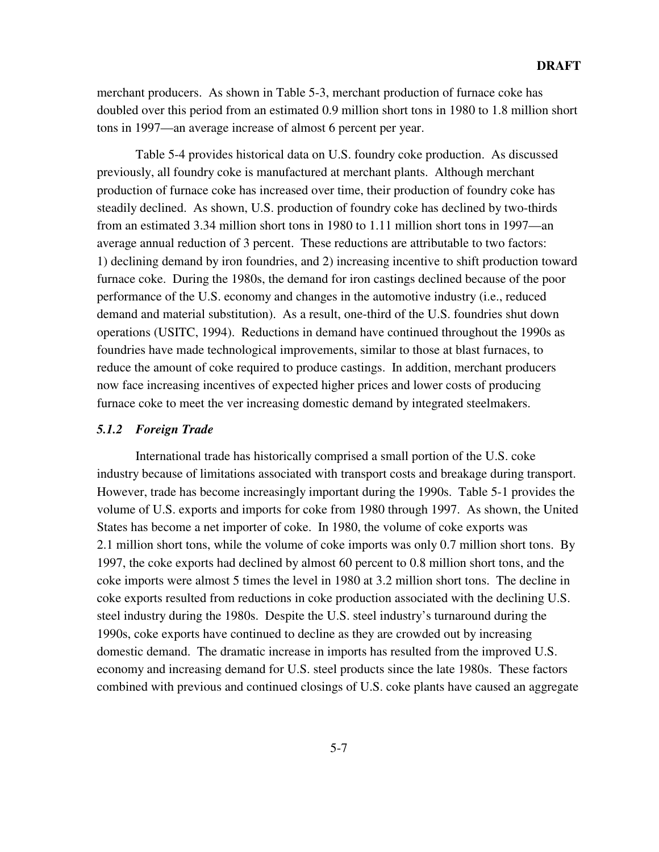merchant producers. As shown in Table 5-3, merchant production of furnace coke has doubled over this period from an estimated 0.9 million short tons in 1980 to 1.8 million short tons in 1997—an average increase of almost 6 percent per year.

Table 5-4 provides historical data on U.S. foundry coke production. As discussed previously, all foundry coke is manufactured at merchant plants. Although merchant production of furnace coke has increased over time, their production of foundry coke has steadily declined. As shown, U.S. production of foundry coke has declined by two-thirds from an estimated 3.34 million short tons in 1980 to 1.11 million short tons in 1997—an average annual reduction of 3 percent. These reductions are attributable to two factors: 1) declining demand by iron foundries, and 2) increasing incentive to shift production toward furnace coke. During the 1980s, the demand for iron castings declined because of the poor performance of the U.S. economy and changes in the automotive industry (i.e., reduced demand and material substitution). As a result, one-third of the U.S. foundries shut down operations (USITC, 1994). Reductions in demand have continued throughout the 1990s as foundries have made technological improvements, similar to those at blast furnaces, to reduce the amount of coke required to produce castings. In addition, merchant producers now face increasing incentives of expected higher prices and lower costs of producing furnace coke to meet the ver increasing domestic demand by integrated steelmakers.

# *5.1.2 Foreign Trade*

International trade has historically comprised a small portion of the U.S. coke industry because of limitations associated with transport costs and breakage during transport. However, trade has become increasingly important during the 1990s. Table 5-1 provides the volume of U.S. exports and imports for coke from 1980 through 1997. As shown, the United States has become a net importer of coke. In 1980, the volume of coke exports was 2.1 million short tons, while the volume of coke imports was only 0.7 million short tons. By 1997, the coke exports had declined by almost 60 percent to 0.8 million short tons, and the coke imports were almost 5 times the level in 1980 at 3.2 million short tons. The decline in coke exports resulted from reductions in coke production associated with the declining U.S. steel industry during the 1980s. Despite the U.S. steel industry's turnaround during the 1990s, coke exports have continued to decline as they are crowded out by increasing domestic demand. The dramatic increase in imports has resulted from the improved U.S. economy and increasing demand for U.S. steel products since the late 1980s. These factors combined with previous and continued closings of U.S. coke plants have caused an aggregate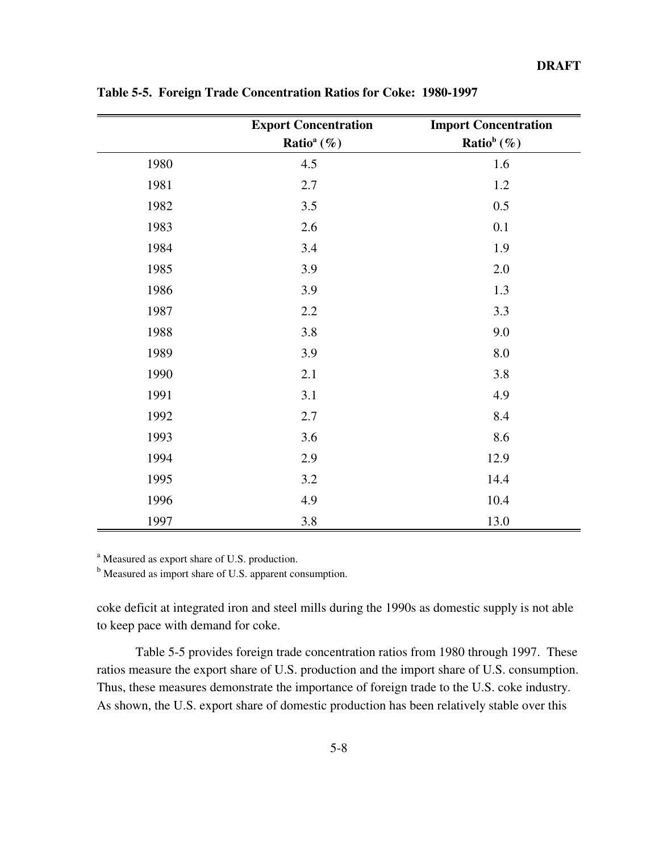|      | <b>Export Concentration</b> | <b>Import Concentration</b> |
|------|-----------------------------|-----------------------------|
|      | Ratio <sup>a</sup> $(\%)$   | Ratio <sup>b</sup> $(\%)$   |
| 1980 | 4.5                         | 1.6                         |
| 1981 | $2.7\,$                     | 1.2                         |
| 1982 | 3.5                         | 0.5                         |
| 1983 | 2.6                         | 0.1                         |
| 1984 | 3.4                         | 1.9                         |
| 1985 | 3.9                         | 2.0                         |
| 1986 | 3.9                         | 1.3                         |
| 1987 | 2.2                         | 3.3                         |
| 1988 | 3.8                         | 9.0                         |
| 1989 | 3.9                         | 8.0                         |
| 1990 | 2.1                         | 3.8                         |
| 1991 | 3.1                         | 4.9                         |
| 1992 | 2.7                         | 8.4                         |
| 1993 | 3.6                         | 8.6                         |
| 1994 | 2.9                         | 12.9                        |
| 1995 | 3.2                         | 14.4                        |
| 1996 | 4.9                         | 10.4                        |
| 1997 | 3.8                         | 13.0                        |

**Table 5-5. Foreign Trade Concentration Ratios for Coke: 1980-1997**

<sup>a</sup> Measured as export share of U.S. production.

<sup>b</sup> Measured as import share of U.S. apparent consumption.

coke deficit at integrated iron and steel mills during the 1990s as domestic supply is not able to keep pace with demand for coke.

Table 5-5 provides foreign trade concentration ratios from 1980 through 1997. These ratios measure the export share of U.S. production and the import share of U.S. consumption. Thus, these measures demonstrate the importance of foreign trade to the U.S. coke industry. As shown, the U.S. export share of domestic production has been relatively stable over this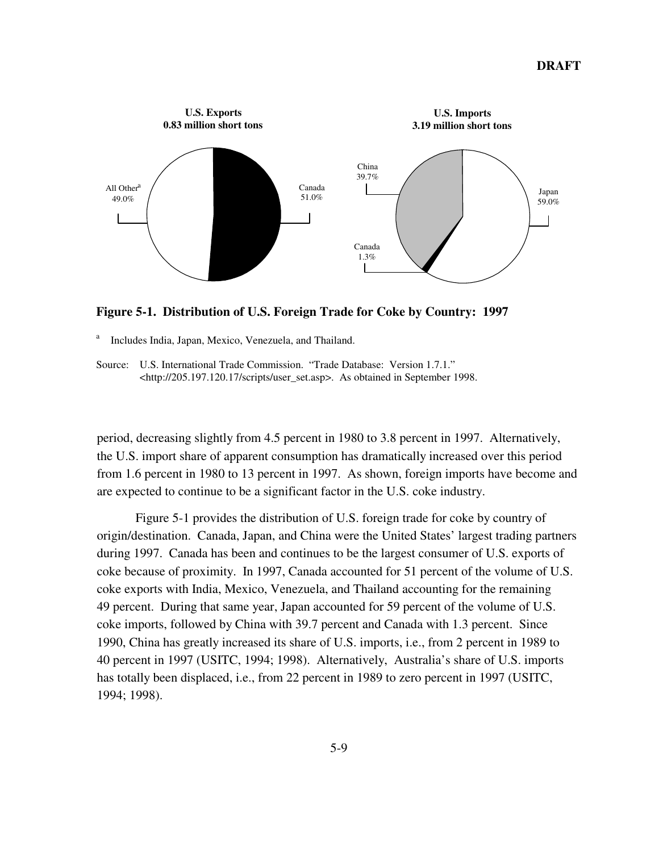

**Figure 5-1. Distribution of U.S. Foreign Trade for Coke by Country: 1997**

<sup>a</sup> Includes India, Japan, Mexico, Venezuela, and Thailand.

Source: U.S. International Trade Commission. "Trade Database: Version 1.7.1." <http://205.197.120.17/scripts/user\_set.asp>. As obtained in September 1998.

period, decreasing slightly from 4.5 percent in 1980 to 3.8 percent in 1997. Alternatively, the U.S. import share of apparent consumption has dramatically increased over this period from 1.6 percent in 1980 to 13 percent in 1997. As shown, foreign imports have become and are expected to continue to be a significant factor in the U.S. coke industry.

Figure 5-1 provides the distribution of U.S. foreign trade for coke by country of origin/destination. Canada, Japan, and China were the United States' largest trading partners during 1997. Canada has been and continues to be the largest consumer of U.S. exports of coke because of proximity. In 1997, Canada accounted for 51 percent of the volume of U.S. coke exports with India, Mexico, Venezuela, and Thailand accounting for the remaining 49 percent. During that same year, Japan accounted for 59 percent of the volume of U.S. coke imports, followed by China with 39.7 percent and Canada with 1.3 percent. Since 1990, China has greatly increased its share of U.S. imports, i.e., from 2 percent in 1989 to 40 percent in 1997 (USITC, 1994; 1998). Alternatively, Australia's share of U.S. imports has totally been displaced, i.e., from 22 percent in 1989 to zero percent in 1997 (USITC, 1994; 1998).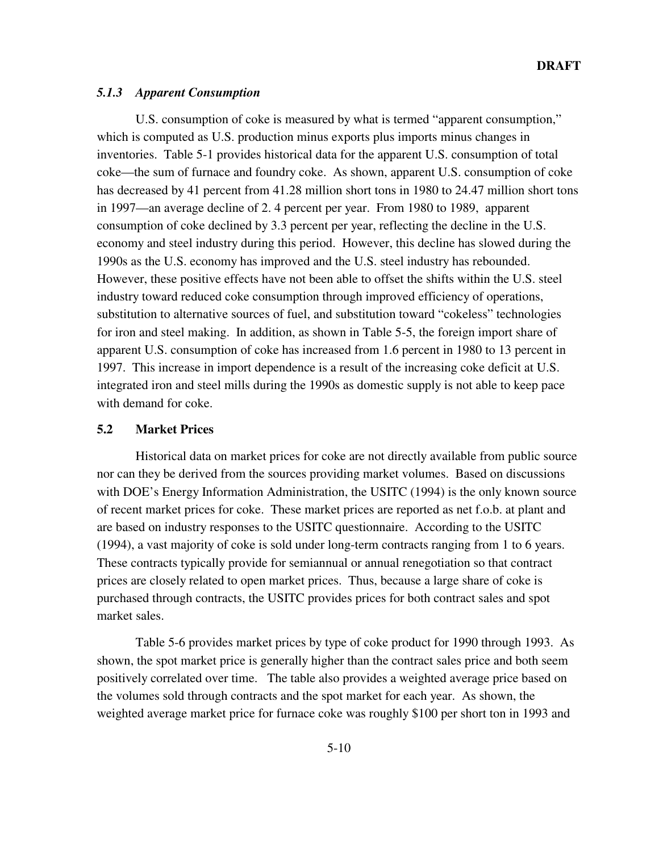# *5.1.3 Apparent Consumption*

U.S. consumption of coke is measured by what is termed "apparent consumption," which is computed as U.S. production minus exports plus imports minus changes in inventories. Table 5-1 provides historical data for the apparent U.S. consumption of total coke—the sum of furnace and foundry coke. As shown, apparent U.S. consumption of coke has decreased by 41 percent from 41.28 million short tons in 1980 to 24.47 million short tons in 1997—an average decline of 2. 4 percent per year. From 1980 to 1989, apparent consumption of coke declined by 3.3 percent per year, reflecting the decline in the U.S. economy and steel industry during this period. However, this decline has slowed during the 1990s as the U.S. economy has improved and the U.S. steel industry has rebounded. However, these positive effects have not been able to offset the shifts within the U.S. steel industry toward reduced coke consumption through improved efficiency of operations, substitution to alternative sources of fuel, and substitution toward "cokeless" technologies for iron and steel making. In addition, as shown in Table 5-5, the foreign import share of apparent U.S. consumption of coke has increased from 1.6 percent in 1980 to 13 percent in 1997. This increase in import dependence is a result of the increasing coke deficit at U.S. integrated iron and steel mills during the 1990s as domestic supply is not able to keep pace with demand for coke.

# **5.2 Market Prices**

Historical data on market prices for coke are not directly available from public source nor can they be derived from the sources providing market volumes. Based on discussions with DOE's Energy Information Administration, the USITC (1994) is the only known source of recent market prices for coke. These market prices are reported as net f.o.b. at plant and are based on industry responses to the USITC questionnaire. According to the USITC (1994), a vast majority of coke is sold under long-term contracts ranging from 1 to 6 years. These contracts typically provide for semiannual or annual renegotiation so that contract prices are closely related to open market prices. Thus, because a large share of coke is purchased through contracts, the USITC provides prices for both contract sales and spot market sales.

Table 5-6 provides market prices by type of coke product for 1990 through 1993. As shown, the spot market price is generally higher than the contract sales price and both seem positively correlated over time. The table also provides a weighted average price based on the volumes sold through contracts and the spot market for each year. As shown, the weighted average market price for furnace coke was roughly \$100 per short ton in 1993 and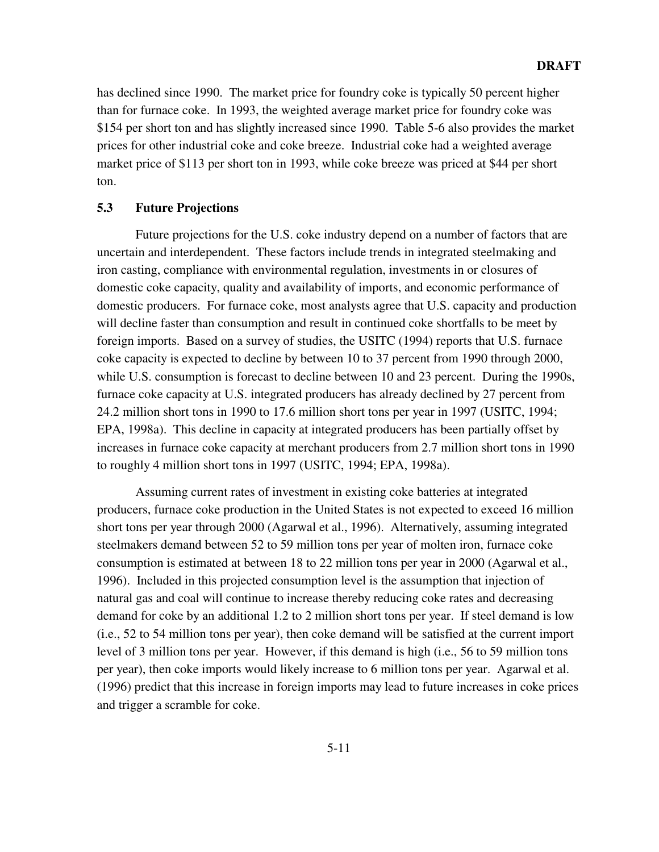has declined since 1990. The market price for foundry coke is typically 50 percent higher than for furnace coke. In 1993, the weighted average market price for foundry coke was \$154 per short ton and has slightly increased since 1990. Table 5-6 also provides the market prices for other industrial coke and coke breeze. Industrial coke had a weighted average market price of \$113 per short ton in 1993, while coke breeze was priced at \$44 per short ton.

# **5.3 Future Projections**

Future projections for the U.S. coke industry depend on a number of factors that are uncertain and interdependent. These factors include trends in integrated steelmaking and iron casting, compliance with environmental regulation, investments in or closures of domestic coke capacity, quality and availability of imports, and economic performance of domestic producers. For furnace coke, most analysts agree that U.S. capacity and production will decline faster than consumption and result in continued coke shortfalls to be meet by foreign imports. Based on a survey of studies, the USITC (1994) reports that U.S. furnace coke capacity is expected to decline by between 10 to 37 percent from 1990 through 2000, while U.S. consumption is forecast to decline between 10 and 23 percent. During the 1990s, furnace coke capacity at U.S. integrated producers has already declined by 27 percent from 24.2 million short tons in 1990 to 17.6 million short tons per year in 1997 (USITC, 1994; EPA, 1998a). This decline in capacity at integrated producers has been partially offset by increases in furnace coke capacity at merchant producers from 2.7 million short tons in 1990 to roughly 4 million short tons in 1997 (USITC, 1994; EPA, 1998a).

Assuming current rates of investment in existing coke batteries at integrated producers, furnace coke production in the United States is not expected to exceed 16 million short tons per year through 2000 (Agarwal et al., 1996). Alternatively, assuming integrated steelmakers demand between 52 to 59 million tons per year of molten iron, furnace coke consumption is estimated at between 18 to 22 million tons per year in 2000 (Agarwal et al., 1996). Included in this projected consumption level is the assumption that injection of natural gas and coal will continue to increase thereby reducing coke rates and decreasing demand for coke by an additional 1.2 to 2 million short tons per year. If steel demand is low (i.e., 52 to 54 million tons per year), then coke demand will be satisfied at the current import level of 3 million tons per year. However, if this demand is high (i.e., 56 to 59 million tons per year), then coke imports would likely increase to 6 million tons per year. Agarwal et al. (1996) predict that this increase in foreign imports may lead to future increases in coke prices and trigger a scramble for coke.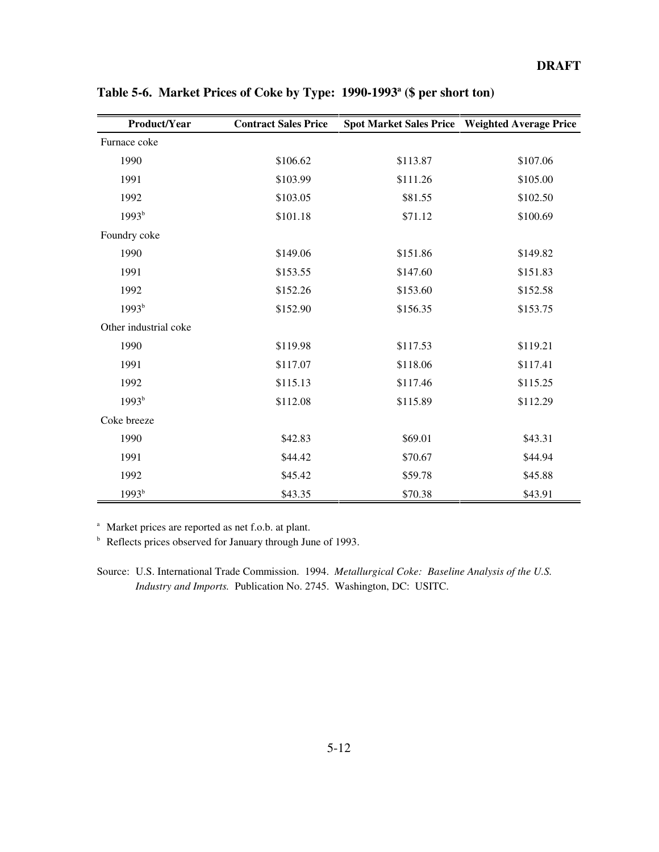| Product/Year          | <b>Contract Sales Price</b> |          | Spot Market Sales Price Weighted Average Price |
|-----------------------|-----------------------------|----------|------------------------------------------------|
| Furnace coke          |                             |          |                                                |
| 1990                  | \$106.62                    | \$113.87 | \$107.06                                       |
| 1991                  | \$103.99                    | \$111.26 | \$105.00                                       |
| 1992                  | \$103.05                    | \$81.55  | \$102.50                                       |
| $1993^{b}$            | \$101.18                    | \$71.12  | \$100.69                                       |
| Foundry coke          |                             |          |                                                |
| 1990                  | \$149.06                    | \$151.86 | \$149.82                                       |
| 1991                  | \$153.55                    | \$147.60 | \$151.83                                       |
| 1992                  | \$152.26                    | \$153.60 | \$152.58                                       |
| 1993 <sup>b</sup>     | \$152.90                    | \$156.35 | \$153.75                                       |
| Other industrial coke |                             |          |                                                |
| 1990                  | \$119.98                    | \$117.53 | \$119.21                                       |
| 1991                  | \$117.07                    | \$118.06 | \$117.41                                       |
| 1992                  | \$115.13                    | \$117.46 | \$115.25                                       |
| $1993^{b}$            | \$112.08                    | \$115.89 | \$112.29                                       |
| Coke breeze           |                             |          |                                                |
| 1990                  | \$42.83                     | \$69.01  | \$43.31                                        |
| 1991                  | \$44.42                     | \$70.67  | \$44.94                                        |
| 1992                  | \$45.42                     | \$59.78  | \$45.88                                        |
| 1993 <sup>b</sup>     | \$43.35                     | \$70.38  | \$43.91                                        |

Table 5-6. Market Prices of Coke by Type: 1990-1993<sup>a</sup> (\$ per short ton)

<sup>a</sup> Market prices are reported as net f.o.b. at plant.

<sup>b</sup> Reflects prices observed for January through June of 1993.

Source: U.S. International Trade Commission. 1994. *Metallurgical Coke: Baseline Analysis of the U.S. Industry and Imports.* Publication No. 2745. Washington, DC: USITC.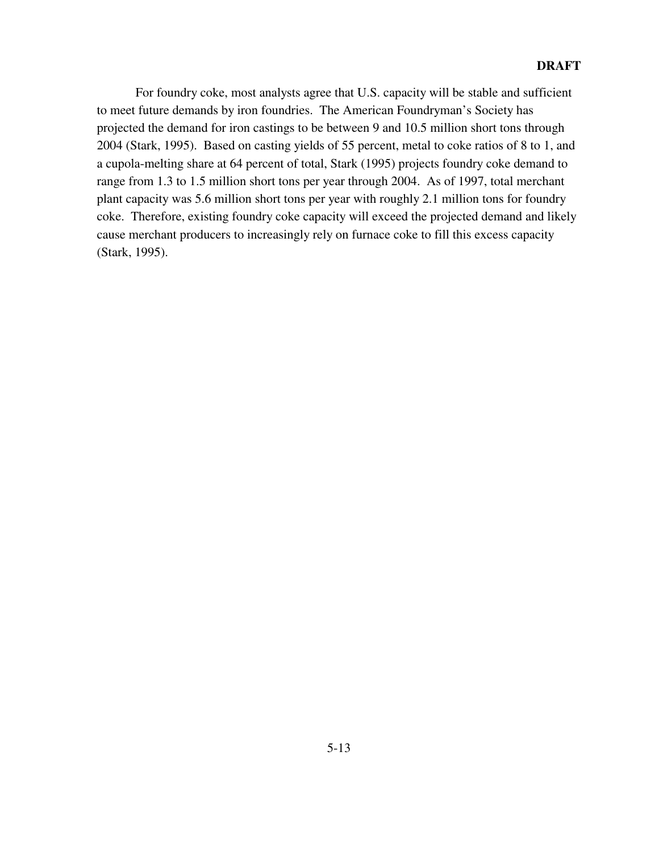For foundry coke, most analysts agree that U.S. capacity will be stable and sufficient to meet future demands by iron foundries. The American Foundryman's Society has projected the demand for iron castings to be between 9 and 10.5 million short tons through 2004 (Stark, 1995). Based on casting yields of 55 percent, metal to coke ratios of 8 to 1, and a cupola-melting share at 64 percent of total, Stark (1995) projects foundry coke demand to range from 1.3 to 1.5 million short tons per year through 2004. As of 1997, total merchant plant capacity was 5.6 million short tons per year with roughly 2.1 million tons for foundry coke. Therefore, existing foundry coke capacity will exceed the projected demand and likely cause merchant producers to increasingly rely on furnace coke to fill this excess capacity (Stark, 1995).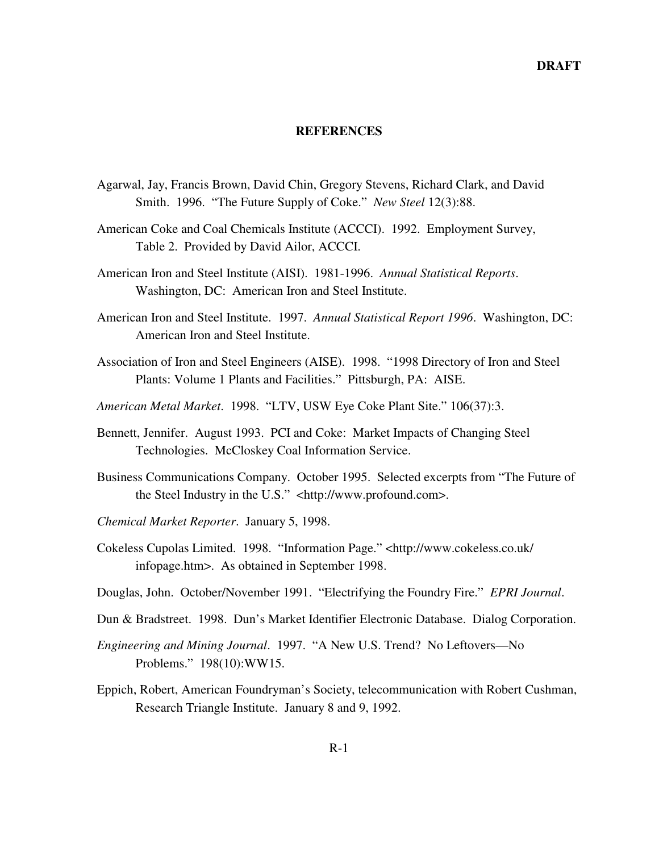#### **REFERENCES**

- Agarwal, Jay, Francis Brown, David Chin, Gregory Stevens, Richard Clark, and David Smith. 1996. "The Future Supply of Coke." *New Steel* 12(3):88.
- American Coke and Coal Chemicals Institute (ACCCI). 1992. Employment Survey, Table 2. Provided by David Ailor, ACCCI.
- American Iron and Steel Institute (AISI). 1981-1996. *Annual Statistical Reports*. Washington, DC: American Iron and Steel Institute.
- American Iron and Steel Institute. 1997. *Annual Statistical Report 1996*. Washington, DC: American Iron and Steel Institute.
- Association of Iron and Steel Engineers (AISE). 1998. "1998 Directory of Iron and Steel Plants: Volume 1 Plants and Facilities." Pittsburgh, PA: AISE.
- *American Metal Market*. 1998. "LTV, USW Eye Coke Plant Site." 106(37):3.
- Bennett, Jennifer. August 1993. PCI and Coke: Market Impacts of Changing Steel Technologies. McCloskey Coal Information Service.
- Business Communications Company. October 1995. Selected excerpts from "The Future of the Steel Industry in the U.S." <http://www.profound.com>.
- *Chemical Market Reporter*. January 5, 1998.
- Cokeless Cupolas Limited. 1998. "Information Page." <http://www.cokeless.co.uk/ infopage.htm>. As obtained in September 1998.
- Douglas, John. October/November 1991. "Electrifying the Foundry Fire." *EPRI Journal*.
- Dun & Bradstreet. 1998. Dun's Market Identifier Electronic Database. Dialog Corporation.
- *Engineering and Mining Journal*. 1997. "A New U.S. Trend? No Leftovers—No Problems." 198(10):WW15.
- Eppich, Robert, American Foundryman's Society, telecommunication with Robert Cushman, Research Triangle Institute. January 8 and 9, 1992.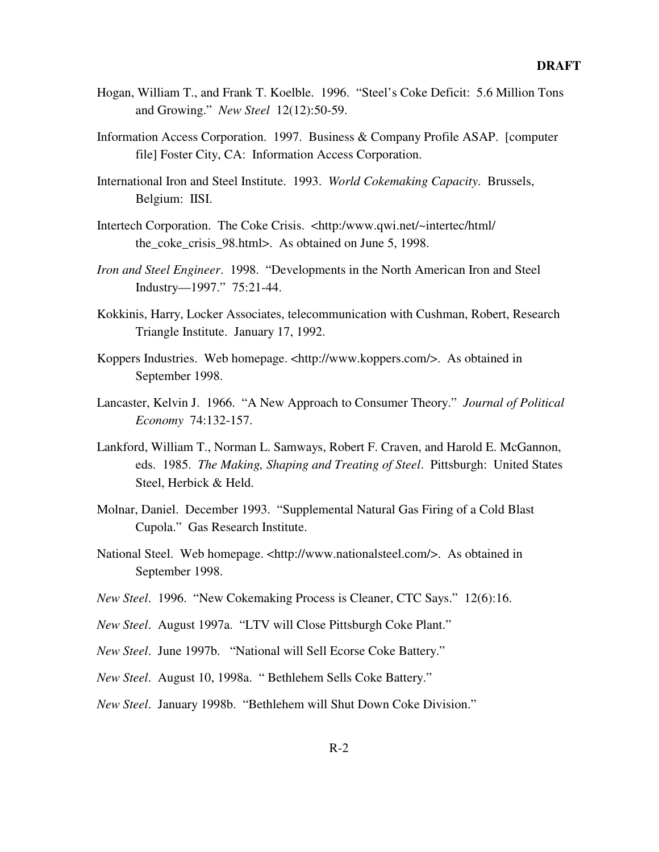- Hogan, William T., and Frank T. Koelble. 1996. "Steel's Coke Deficit: 5.6 Million Tons and Growing." *New Steel* 12(12):50-59.
- Information Access Corporation. 1997. Business & Company Profile ASAP. [computer file] Foster City, CA: Information Access Corporation.
- International Iron and Steel Institute. 1993. *World Cokemaking Capacity*. Brussels, Belgium: IISI.
- Intertech Corporation. The Coke Crisis. <http:/www.qwi.net/~intertec/html/ the\_coke\_crisis\_98.html>. As obtained on June 5, 1998.
- *Iron and Steel Engineer*. 1998. "Developments in the North American Iron and Steel Industry—1997." 75:21-44.
- Kokkinis, Harry, Locker Associates, telecommunication with Cushman, Robert, Research Triangle Institute. January 17, 1992.
- Koppers Industries. Web homepage. <http://www.koppers.com/>. As obtained in September 1998.
- Lancaster, Kelvin J. 1966. "A New Approach to Consumer Theory." *Journal of Political Economy* 74:132-157.
- Lankford, William T., Norman L. Samways, Robert F. Craven, and Harold E. McGannon, eds. 1985. *The Making, Shaping and Treating of Steel*. Pittsburgh: United States Steel, Herbick & Held.
- Molnar, Daniel. December 1993. "Supplemental Natural Gas Firing of a Cold Blast Cupola." Gas Research Institute.
- National Steel. Web homepage. <http://www.nationalsteel.com/>. As obtained in September 1998.
- *New Steel*. 1996. "New Cokemaking Process is Cleaner, CTC Says." 12(6):16.
- *New Steel*. August 1997a. "LTV will Close Pittsburgh Coke Plant."
- *New Steel*. June 1997b. "National will Sell Ecorse Coke Battery."
- *New Steel*. August 10, 1998a. " Bethlehem Sells Coke Battery."
- *New Steel*. January 1998b. "Bethlehem will Shut Down Coke Division."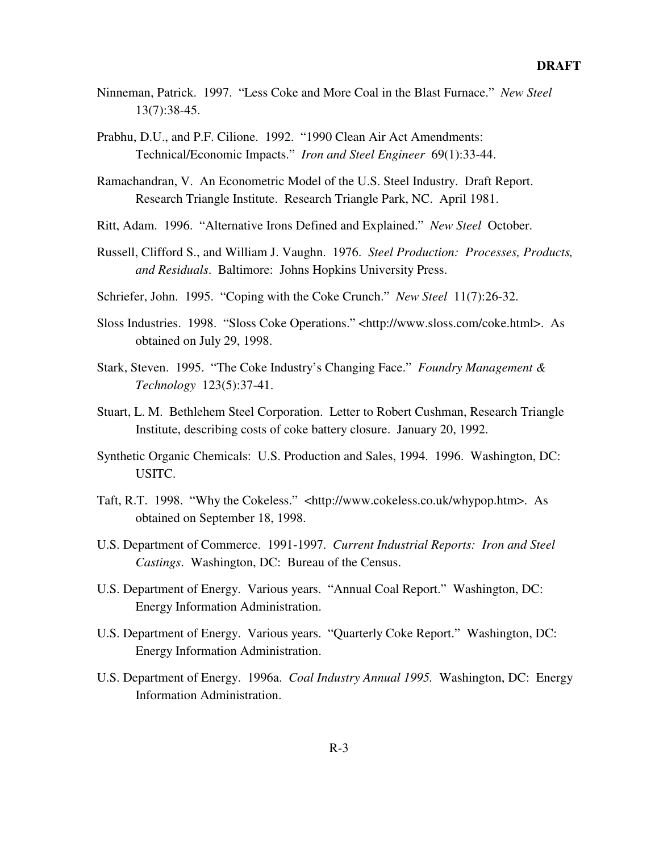- Ninneman, Patrick. 1997. "Less Coke and More Coal in the Blast Furnace." *New Steel* 13(7):38-45.
- Prabhu, D.U., and P.F. Cilione. 1992. "1990 Clean Air Act Amendments: Technical/Economic Impacts." *Iron and Steel Engineer* 69(1):33-44.
- Ramachandran, V. An Econometric Model of the U.S. Steel Industry. Draft Report. Research Triangle Institute. Research Triangle Park, NC. April 1981.
- Ritt, Adam. 1996. "Alternative Irons Defined and Explained." *New Steel* October.
- Russell, Clifford S., and William J. Vaughn. 1976. *Steel Production: Processes, Products, and Residuals*. Baltimore: Johns Hopkins University Press.
- Schriefer, John. 1995. "Coping with the Coke Crunch." *New Steel* 11(7):26-32.
- Sloss Industries. 1998. "Sloss Coke Operations." <http://www.sloss.com/coke.html>. As obtained on July 29, 1998.
- Stark, Steven. 1995. "The Coke Industry's Changing Face." *Foundry Management & Technology* 123(5):37-41.
- Stuart, L. M. Bethlehem Steel Corporation. Letter to Robert Cushman, Research Triangle Institute, describing costs of coke battery closure. January 20, 1992.
- Synthetic Organic Chemicals: U.S. Production and Sales, 1994. 1996. Washington, DC: USITC.
- Taft, R.T. 1998. "Why the Cokeless." <http://www.cokeless.co.uk/whypop.htm>. As obtained on September 18, 1998.
- U.S. Department of Commerce. 1991-1997. *Current Industrial Reports: Iron and Steel Castings*. Washington, DC: Bureau of the Census.
- U.S. Department of Energy. Various years. "Annual Coal Report." Washington, DC: Energy Information Administration.
- U.S. Department of Energy. Various years. "Quarterly Coke Report." Washington, DC: Energy Information Administration.
- U.S. Department of Energy. 1996a. *Coal Industry Annual 1995.* Washington, DC: Energy Information Administration.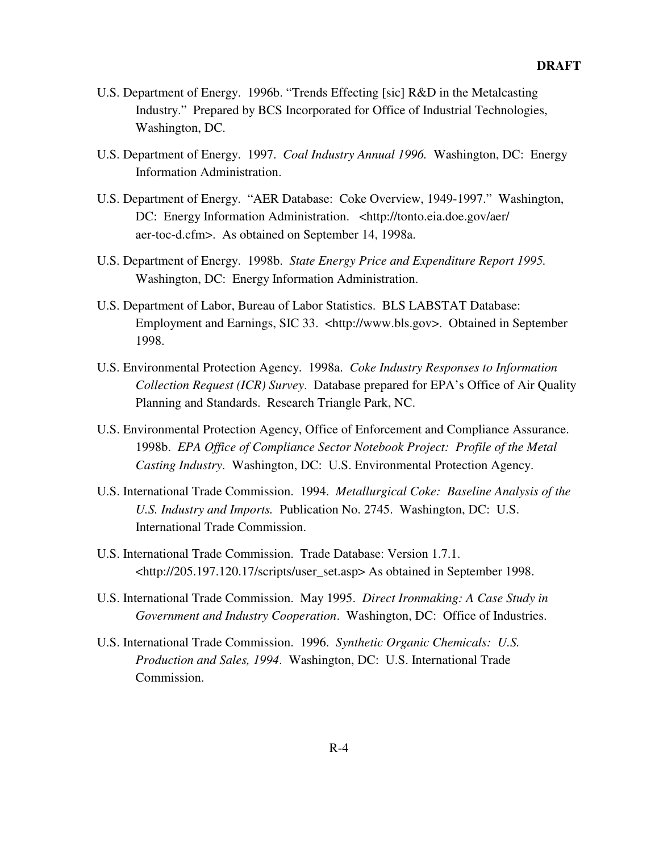- U.S. Department of Energy. 1996b. "Trends Effecting [sic] R&D in the Metalcasting Industry." Prepared by BCS Incorporated for Office of Industrial Technologies, Washington, DC.
- U.S. Department of Energy. 1997. *Coal Industry Annual 1996.* Washington, DC: Energy Information Administration.
- U.S. Department of Energy. "AER Database: Coke Overview, 1949-1997." Washington, DC: Energy Information Administration. <http://tonto.eia.doe.gov/aer/ aer-toc-d.cfm>. As obtained on September 14, 1998a.
- U.S. Department of Energy. 1998b. *State Energy Price and Expenditure Report 1995.* Washington, DC: Energy Information Administration.
- U.S. Department of Labor, Bureau of Labor Statistics. BLS LABSTAT Database: Employment and Earnings, SIC 33. <http://www.bls.gov>. Obtained in September 1998.
- U.S. Environmental Protection Agency. 1998a. *Coke Industry Responses to Information Collection Request (ICR) Survey*. Database prepared for EPA's Office of Air Quality Planning and Standards. Research Triangle Park, NC.
- U.S. Environmental Protection Agency, Office of Enforcement and Compliance Assurance. 1998b. *EPA Office of Compliance Sector Notebook Project: Profile of the Metal Casting Industry*. Washington, DC: U.S. Environmental Protection Agency.
- U.S. International Trade Commission. 1994. *Metallurgical Coke: Baseline Analysis of the U.S. Industry and Imports.* Publication No. 2745. Washington, DC: U.S. International Trade Commission.
- U.S. International Trade Commission. Trade Database: Version 1.7.1. <http://205.197.120.17/scripts/user\_set.asp> As obtained in September 1998.
- U.S. International Trade Commission. May 1995. *Direct Ironmaking: A Case Study in Government and Industry Cooperation*. Washington, DC: Office of Industries.
- U.S. International Trade Commission. 1996. *Synthetic Organic Chemicals: U.S. Production and Sales, 1994*. Washington, DC: U.S. International Trade Commission.